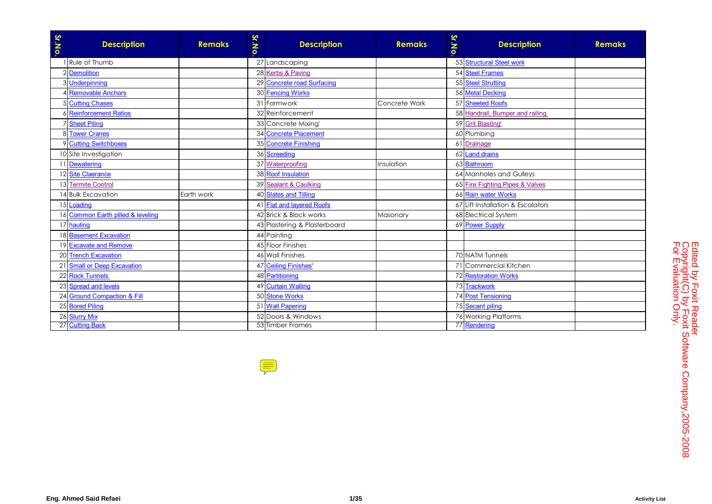| Sr.No. | <b>Description</b>                | <b>Remaks</b> | <b>Sr.No</b> | <b>Description</b>           | <b>Remaks</b> | <b>Sr.No</b> | <b>Description</b>                | <b>Remaks</b> |
|--------|-----------------------------------|---------------|--------------|------------------------------|---------------|--------------|-----------------------------------|---------------|
|        | Rule of Thumb                     |               |              | 27 Landscaping               |               |              | 53 Structural Steel work          |               |
|        | 2 Demolition                      |               |              | 28 Kerbs & Paving            |               |              | 54 Steel Frames                   |               |
|        | 3 <u>Underpinning</u>             |               |              | 29 Concrete road Surfacing   |               |              | 55 Steel Strutting                |               |
|        | 4 Removable Anchors               |               |              | 30 Fencing Works             |               |              | 56 Metal Decking                  |               |
|        | 5 Cutting Chases                  |               |              | 31 Formwork                  | Concrete Work |              | 57 Sheeted Roofs                  |               |
|        | 6 Reinforcement Ratios            |               |              | 32 Reinforcement             |               |              | 58 Handrail, Bumper and railing   |               |
|        | <b>7 Sheet Piling</b>             |               |              | 33 Concrete Mixing           |               |              | 59 Grit Blasting                  |               |
|        | 8 Tower Cranes                    |               |              | 34 Concrete Placement        |               |              | 60 Plumbing                       |               |
|        | 9 Cutting Switchboxes             |               |              | 35 Concrete Finishing        |               |              | 61 Drainage                       |               |
|        | 10 Site Investigation             |               |              | 36 Screeding                 |               |              | 62 Land drains                    |               |
|        | Dewatering                        |               |              | 37 Waterproofing             | Insulation    |              | 63 Bathroom                       |               |
|        | 12 Site Claerance                 |               |              | 38 Roof Insulation           |               |              | 64 Manholes and Gulleys           |               |
|        | 13 Termite Control                |               |              | 39 Sealant & Caulking        |               |              | 65 Fire Fighting Pipes & Valves   |               |
|        | 14 Bulk Excavation                | Earth work    |              | 40 Slates and Tilling        |               |              | 66 Rain water Works               |               |
|        | 15 Loading                        |               |              | 41 Flat and layered Roofs    |               |              | 67 Lift Installation & Escalators |               |
|        | 16 Common Earth pilled & leveling |               |              | 42 Brick & Block works       | Masonary      |              | 68 Electrical System              |               |
|        | 17 hauling                        |               |              | 43 Plastering & Plasterboard |               |              | 69 Power Supply                   |               |
|        | 18 Basement Excavation            |               |              | 44 Painting                  |               |              |                                   |               |
|        | 19 Excavate and Remove            |               |              | 45 Floor Finishes            |               |              |                                   |               |
|        | 20 Trench Excavation              |               |              | 46 Wall Finishes             |               |              | 70 NATM Tunnels                   |               |
|        | 21 Small or Deep Excavation       |               |              | 47 Ceiling Finishes'         |               |              | 71 Commercial Kitchen             |               |
|        | 22 Rock Tunnels                   |               |              | 48 Partitioning              |               |              | 72 Restoration Works              |               |
|        | 23 Spread and levels              |               |              | 49 Curtain Walling           |               |              | 73 Trackwork                      |               |
|        | 24 Ground Compaction & Fill       |               |              | 50 Stone Works               |               |              | 74 Post Tensioning                |               |
|        | 25 Bored Piling                   |               |              | 51 Wall Papering             |               |              | 75 Secant piling                  |               |
|        | 26 Slurry Mix                     |               |              | 52 Doors & Windows           |               |              | 76 Working Platforms              |               |
|        | 27 Cutting Back                   |               |              | 53 Timber Frames             |               |              | 77 Rendering                      |               |

 $\frac{1}{2}$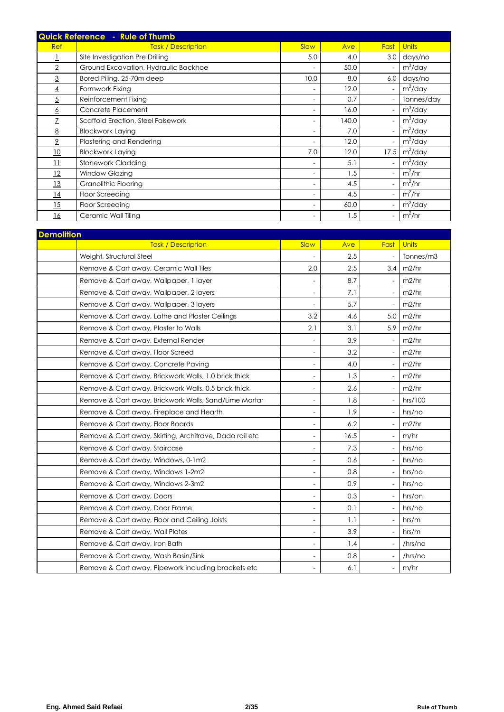|                 | Quick Reference - Rule of Thumb      |                          |       |                          |              |  |  |  |
|-----------------|--------------------------------------|--------------------------|-------|--------------------------|--------------|--|--|--|
| <b>Ref</b>      | <b>Task / Description</b>            | Slow                     | Ave   | Fast                     | <b>Units</b> |  |  |  |
|                 | Site Investigation Pre Drilling      | 5.0                      | 4.0   | 3.0                      | days/no      |  |  |  |
| $\overline{2}$  | Ground Excavation, Hydraulic Backhoe | $\overline{\phantom{a}}$ | 50.0  | $\overline{\phantom{a}}$ | $m^3$ /day   |  |  |  |
| 3               | Bored Piling, 25-70m deep            | 10.0                     | 8.0   | 6.0                      | days/no      |  |  |  |
| $\overline{4}$  | Formwork Fixing                      | $\overline{\phantom{a}}$ | 12.0  | $\overline{\phantom{a}}$ | $m^2$ /day   |  |  |  |
| $\overline{5}$  | Reinforcement Fixing                 | $\overline{\phantom{a}}$ | 0.7   | $\overline{\phantom{a}}$ | Tonnes/day   |  |  |  |
| <u>6</u>        | Concrete Placement                   | $\overline{\phantom{a}}$ | 16.0  | $\overline{\phantom{a}}$ | $m^3$ /day   |  |  |  |
|                 | Scaffold Erection, Steel Falsework   | $\overline{\phantom{0}}$ | 140.0 | $\overline{\phantom{a}}$ | $m^3$ /day   |  |  |  |
| 8               | <b>Blockwork Laying</b>              | $\overline{\phantom{a}}$ | 7.0   | $\overline{\phantom{a}}$ | $m^2$ /day   |  |  |  |
| $\overline{2}$  | Plastering and Rendering             | $\overline{\phantom{a}}$ | 12.0  | $\overline{\phantom{a}}$ | $m^2$ /day   |  |  |  |
| 10              | <b>Blockwork Laying</b>              | 7.0                      | 12.0  | 17.5                     | $m^2$ /day   |  |  |  |
| $\overline{11}$ | Stonework Cladding                   | $\overline{\phantom{a}}$ | 5.1   | $\overline{\phantom{a}}$ | $m^2$ /day   |  |  |  |
| 12              | Window Glazing                       | $\overline{\phantom{a}}$ | 1.5   | $\overline{\phantom{a}}$ | $m^2/hr$     |  |  |  |
| 13              | Granolithic Flooring                 | $\overline{\phantom{a}}$ | 4.5   | $\overline{\phantom{a}}$ | $m^2/hr$     |  |  |  |
| 14              | Floor Screeding                      | $\overline{\phantom{a}}$ | 4.5   | $\overline{\phantom{a}}$ | $m^2/hr$     |  |  |  |
| 15              | Floor Screeding                      | $\overline{\phantom{a}}$ | 60.0  | $\overline{\phantom{a}}$ | $m^2$ /day   |  |  |  |
| 16              | Ceramic Wall Tiling                  | $\overline{\phantom{a}}$ | 1.5   | $\overline{\phantom{a}}$ | $m^2/hr$     |  |  |  |

| <b>Demolition</b>                                       |                          |      |                          |           |
|---------------------------------------------------------|--------------------------|------|--------------------------|-----------|
| <b>Task / Description</b>                               | Slow                     | Ave  | Fast                     | Units     |
| Weight, Structural Steel                                |                          | 2.5  | $\overline{\phantom{a}}$ | Tonnes/m3 |
| Remove & Cart away, Ceramic Wall Tiles                  | 2.0                      | 2.5  | 3.4                      | m2/hr     |
| Remove & Cart away, Wallpaper, 1 layer                  |                          | 8.7  | $\overline{\phantom{0}}$ | m2/hr     |
| Remove & Cart away, Wallpaper, 2 layers                 | $\overline{\phantom{a}}$ | 7.1  | $\overline{\phantom{a}}$ | m2/hr     |
| Remove & Cart away, Wallpaper, 3 layers                 |                          | 5.7  | $\overline{\phantom{a}}$ | m2/hr     |
| Remove & Cart away, Lathe and Plaster Ceilings          | 3.2                      | 4.6  | 5.0                      | m2/hr     |
| Remove & Cart away, Plaster to Walls                    | 2.1                      | 3.1  | 5.9                      | m2/hr     |
| Remove & Cart away, External Render                     |                          | 3.9  | $\overline{\phantom{a}}$ | m2/hr     |
| Remove & Cart away, Floor Screed                        | $\overline{a}$           | 3.2  | $\blacksquare$           | m2/hr     |
| Remove & Cart away, Concrete Paving                     | $\overline{\phantom{a}}$ | 4.0  | $\overline{\phantom{a}}$ | m2/hr     |
| Remove & Cart away, Brickwork Walls, 1.0 brick thick    | $\overline{a}$           | 1.3  | $\overline{\phantom{a}}$ | m2/hr     |
| Remove & Cart away, Brickwork Walls, 0.5 brick thick    |                          | 2.6  | $\overline{\phantom{0}}$ | m2/hr     |
| Remove & Cart away, Brickwork Walls, Sand/Lime Mortar   |                          | 1.8  | $\overline{\phantom{a}}$ | hrs/100   |
| Remove & Cart away, Fireplace and Hearth                | $\overline{\phantom{0}}$ | 1.9  | $\frac{1}{2}$            | hrs/no    |
| Remove & Cart away, Floor Boards                        | $\overline{a}$           | 6.2  | $\overline{\phantom{a}}$ | m2/hr     |
| Remove & Cart away, Skirting, Architrave, Dado rail etc | $\overline{a}$           | 16.5 | $\overline{\phantom{a}}$ | m/hr      |
| Remove & Cart away, Staircase                           |                          | 7.3  | $\overline{\phantom{0}}$ | hrs/no    |
| Remove & Cart away, Windows, 0-1m2                      |                          | 0.6  | $\overline{\phantom{a}}$ | hrs/no    |
| Remove & Cart away, Windows 1-2m2                       | $\overline{\phantom{a}}$ | 0.8  | $\blacksquare$           | hrs/no    |
| Remove & Cart away, Windows 2-3m2                       | $\overline{a}$           | 0.9  | $\overline{\phantom{a}}$ | hrs/no    |
| Remove & Cart away, Doors                               |                          | 0.3  | $\overline{\phantom{a}}$ | hrs/on    |
| Remove & Cart away, Door Frame                          |                          | 0.1  | $\overline{\phantom{0}}$ | hrs/no    |
| Remove & Cart away, Floor and Ceiling Joists            |                          | 1.1  | $\overline{\phantom{a}}$ | hrs/m     |
| Remove & Cart away, Wall Plates                         | $\overline{\phantom{a}}$ | 3.9  | $\overline{\phantom{a}}$ | hrs/m     |
| Remove & Cart away, Iron Bath                           | $\overline{\phantom{0}}$ | 1.4  | $\overline{\phantom{a}}$ | /hrs/no   |
| Remove & Cart away, Wash Basin/Sink                     | $\overline{a}$           | 0.8  | $\overline{\phantom{a}}$ | /hrs/no   |
| Remove & Cart away, Pipework including brackets etc     |                          | 6.1  | $\frac{1}{2}$            | m/hr      |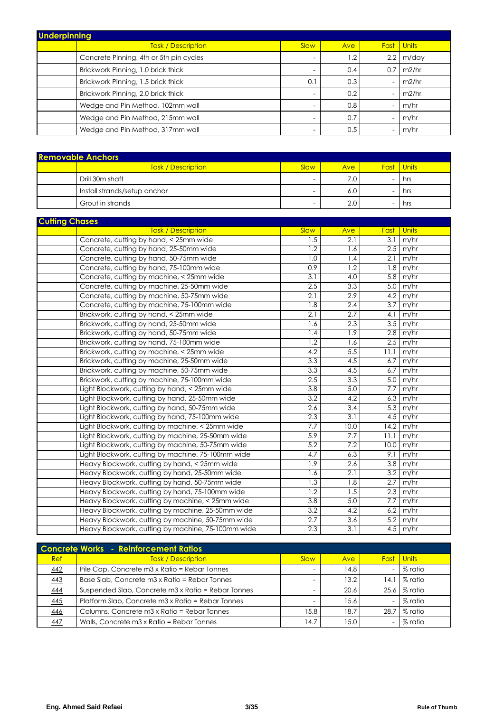| <b>Underpinning</b> |                                         |                          |            |                          |              |  |  |  |
|---------------------|-----------------------------------------|--------------------------|------------|--------------------------|--------------|--|--|--|
|                     | Task / Description                      | Slow                     | Ave        | Fast                     | <b>Units</b> |  |  |  |
|                     | Concrete Pinning, 4th or 5th pin cycles | $\overline{\phantom{a}}$ | $\cdot$ .2 | 2.2                      | m/day        |  |  |  |
|                     | Brickwork Pinning, 1.0 brick thick      | $\overline{\phantom{0}}$ | 0.4        | 0.7                      | m2/hr        |  |  |  |
|                     | Brickwork Pinning, 1.5 brick thick      | (0.1)                    | 0.3        | $\overline{\phantom{a}}$ | m2/hr        |  |  |  |
|                     | Brickwork Pinning, 2.0 brick thick      | $\overline{\phantom{0}}$ | 0.2        | $\overline{a}$           | m2/hr        |  |  |  |
|                     | Wedge and Pin Method, 102mm wall        | $\overline{\phantom{0}}$ | 0.8        | $\overline{\phantom{a}}$ | m/hr         |  |  |  |
|                     | Wedge and Pin Method, 215mm wall        | $\overline{\phantom{a}}$ | 0.7        | $\overline{\phantom{0}}$ | m/hr         |  |  |  |
|                     | Wedge and Pin Method, 317mm wall        | $\overline{\phantom{0}}$ | 0.5        | $\overline{\phantom{a}}$ | m/hr         |  |  |  |

| <b>Removable Anchors</b> |                              |                          |     |                          |       |  |  |  |
|--------------------------|------------------------------|--------------------------|-----|--------------------------|-------|--|--|--|
|                          | Task / Description           | Slow                     | Ave | Fast                     | Units |  |  |  |
|                          | Drill 30m shaft              | $\overline{\phantom{0}}$ | '.O | $\overline{\phantom{0}}$ | hrs   |  |  |  |
|                          | Install strands/setup anchor |                          | 6.0 | $\overline{\phantom{0}}$ | hrs   |  |  |  |
|                          | Grout in strands             | -                        | 2.0 | $\overline{\phantom{0}}$ | hrs   |  |  |  |

| <b>Cutting Chases</b> |                                                    |                  |                  |                  |                 |
|-----------------------|----------------------------------------------------|------------------|------------------|------------------|-----------------|
|                       | <b>Task / Description</b>                          | Slow             | Ave              | Fast             | <b>Units</b>    |
|                       | Concrete, cutting by hand, < 25mm wide             | 1.5              | 2.1              | 3.1              | m/hr            |
|                       | Concrete, cutting by hand, 25-50mm wide            | 1.2              | 1.6              | 2.5              | m/hr            |
|                       | Concrete, cutting by hand, 50-75mm wide            | 1.0              | 1.4              | 2.1              | m/hr            |
|                       | Concrete, cutting by hand, 75-100mm wide           | 0.9              | 1.2              | 1.8              | m/hr            |
|                       | Concrete, cutting by machine, < 25mm wide          | 3.1              | 4.0              | 5.8              | m/hr            |
|                       | Concrete, cutting by machine, 25-50mm wide         | 2.5              | 3.3              | 5.0              | m/hr            |
|                       | Concrete, cutting by machine, 50-75mm wide         | $\overline{2.1}$ | $\overline{2.9}$ | 4.2              | m/hr            |
|                       | Concrete, cutting by machine, 75-100mm wide        | $\overline{1.8}$ | $\overline{2.4}$ | $\overline{3.7}$ | m/hr            |
|                       | Brickwork, cutting by hand, < 25mm wide            | $\overline{2.1}$ | $\overline{2.7}$ | 4.1              | m/hr            |
|                       | Brickwork, cutting by hand, 25-50mm wide           | 1.6              | 2.3              | 3.5              | m/hr            |
|                       | Brickwork, cutting by hand, 50-75mm wide           | 1.4              | $\overline{1.9}$ | 2.8              | m/hr            |
|                       | Brickwork, cutting by hand, 75-100mm wide          | $\overline{1.2}$ | 1.6              | 2.5              | m/hr            |
|                       | Brickwork, cutting by machine, < 25mm wide         | $\overline{4.2}$ | $\overline{5.5}$ | 11.1             | m/hr            |
|                       | Brickwork, cutting by machine, 25-50mm wide        | 3.3              | 4.5              | 6.7              | m/hr            |
|                       | Brickwork, cutting by machine, 50-75mm wide        | $\overline{3.3}$ | 4.5              | 6.7              | m/hr            |
|                       | Brickwork, cutting by machine, 75-100mm wide       | $\overline{2.5}$ | $\overline{3.3}$ | 5.0              | m/hr            |
|                       | Light Blockwork, cutting by hand, < 25mm wide      | $\overline{3.8}$ | 5.0              | 7.7              | m/hr            |
|                       | Light Blockwork, cutting by hand, 25-50mm wide     | 3.2              | 4.2              | 6.3              | m/hr            |
|                       | Light Blockwork, cutting by hand, 50-75mm wide     | $\overline{2.6}$ | 3.4              | 5.3              | m/hr            |
|                       | Light Blockwork, cutting by hand, 75-100mm wide    | 2.3              | 3.1              | 4.5              | m/hr            |
|                       | Light Blockwork, cutting by machine, < 25mm wide   | 7.7              | 10.0             | 14.2             | m/hr            |
|                       | Light Blockwork, cutting by machine, 25-50mm wide  | 5.9              | 7.7              | 11.1             | m/hr            |
|                       | Light Blockwork, cutting by machine, 50-75mm wide  | 5.2              | 7.2              | 10.0             | m/hr            |
|                       | Light Blockwork, cutting by machine, 75-100mm wide | 4.7              | 6.3              | 9.1              | m/hr            |
|                       | Heavy Blockwork, cutting by hand, < 25mm wide      | 1.9              | 2.6              | 3.8              | m/hr            |
|                       | Heavy Blockwork, cutting by hand, 25-50mm wide     | 1.6              | $\overline{2.1}$ | 3.2              | m/hr            |
|                       | Heavy Blockwork, cutting by hand, 50-75mm wide     | 1.3              | 1.8              | 2.7              | m/hr            |
|                       | Heavy Blockwork, cutting by hand, 75-100mm wide    | $\overline{1.2}$ | 1.5              | 2.3              | m/hr            |
|                       | Heavy Blockwork, cutting by machine, < 25mm wide   | $\overline{3.8}$ | 5.0              | 7.7              | m/hr            |
|                       | Heavy Blockwork, cutting by machine, 25-50mm wide  | $\overline{3.2}$ | 4.2              | 6.2              | m/hr            |
|                       | Heavy Blockwork, cutting by machine, 50-75mm wide  | 2.7              | $\overline{3.6}$ | 5.2              | m/hr            |
|                       | Heavy Blockwork, cutting by machine, 75-100mm wide | 2.3              | 3.1              |                  | $4.5 \mid m/hr$ |

| <b>Concrete Works - Reinforcement Ratios</b> |                                                    |      |      |             |              |  |  |  |
|----------------------------------------------|----------------------------------------------------|------|------|-------------|--------------|--|--|--|
| <b>Ref</b>                                   | <b>Task / Description</b>                          | Slow | Ave  | <b>Fast</b> | <b>Units</b> |  |  |  |
| 442                                          | Pile Cap, Concrete m3 x Ratio = Rebar Tonnes       |      | 14.8 |             | % ratio      |  |  |  |
| 443                                          | Base Slab, Concrete m3 x Ratio = Rebar Tonnes      |      | 13.2 | 14.1        | % ratio      |  |  |  |
| 444                                          | Suspended Slab, Concrete m3 x Ratio = Rebar Tonnes |      | 20.6 |             | 25.6 % ratio |  |  |  |
| 445                                          | Platform Slab, Concrete m3 x Ratio = Rebar Tonnes  |      | 15.6 |             | % ratio      |  |  |  |
| 446                                          | Columns, Concrete m3 x Ratio = Rebar Tonnes        | 15.8 | 18.7 | 28.7        | % ratio      |  |  |  |
| 447                                          | Walls, Concrete m3 x Ratio = Rebar Tonnes          | 14.7 | 15.0 |             | % ratio      |  |  |  |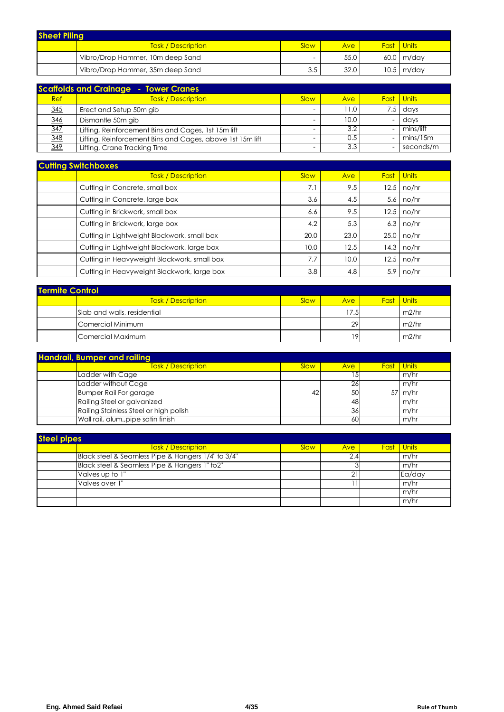| <b>Sheet Pilina</b> |                                  |                          |      |  |                      |  |  |  |
|---------------------|----------------------------------|--------------------------|------|--|----------------------|--|--|--|
|                     | <b>Task / Description</b>        | Slow                     | Ave  |  | <b>Fast</b> Units    |  |  |  |
|                     | Vibro/Drop Hammer, 10m deep Sand | $\overline{\phantom{a}}$ | 55.0 |  | $60.0 \mid m$ /dav   |  |  |  |
|                     | Vibro/Drop Hammer, 35m deep Sand | 3.5                      | 32.0 |  | $10.5 \text{ m/day}$ |  |  |  |

| <b>Scaffolds and Crainage - Tower Cranes</b> |                                                           |                          |      |                          |                   |  |  |  |  |
|----------------------------------------------|-----------------------------------------------------------|--------------------------|------|--------------------------|-------------------|--|--|--|--|
| Ref                                          | <b>Task / Description</b>                                 | Slow                     | Ave  |                          | <b>Fast</b> Units |  |  |  |  |
| 345                                          | Erect and Setup 50m gib                                   | $\overline{\phantom{0}}$ | 11.0 |                          | $7.5$ davs        |  |  |  |  |
| 346                                          | Dismantle 50m gib                                         |                          | 10.0 | $\overline{\phantom{0}}$ | davs              |  |  |  |  |
| 347                                          | Lifting, Reinforcement Bins and Cages, 1st 15m lift       |                          | 3.2  | $\overline{\phantom{0}}$ | mins/lift         |  |  |  |  |
| 348                                          | Lifting, Reinforcement Bins and Cages, above 1st 15m lift |                          | 0.5  | -                        | mins/15m          |  |  |  |  |
| 349                                          | Lifting, Crane Tracking Time                              |                          | 3.3  |                          | seconds/m         |  |  |  |  |

| <b>Cutting Switchboxes</b>                  |      |      |      |              |  |  |  |  |
|---------------------------------------------|------|------|------|--------------|--|--|--|--|
| Task / Description                          | Slow | Ave  | Fast | <b>Units</b> |  |  |  |  |
| Cutting in Concrete, small box              | 7.1  | 9.5  | 12.5 | no/hr        |  |  |  |  |
| Cutting in Concrete, large box              | 3.6  | 4.5  | 5.6  | no/hr        |  |  |  |  |
| Cutting in Brickwork, small box             | 6.6  | 9.5  | 12.5 | no/hr        |  |  |  |  |
| Cutting in Brickwork, large box             | 4.2  | 5.3  | 6.3  | no/hr        |  |  |  |  |
| Cutting in Lightweight Blockwork, small box | 20.0 | 23.0 | 25.0 | no/hr        |  |  |  |  |
| Cutting in Lightweight Blockwork, large box | 10.0 | 12.5 | 14.3 | no/hr        |  |  |  |  |
| Cutting in Heavyweight Blockwork, small box | 7.7  | 10.0 | 12.5 | no/hr        |  |  |  |  |
| Cutting in Heavyweight Blockwork, large box | 3.8  | 4.8  | 5.9  | no/hr        |  |  |  |  |

| <b>Termite Control</b> |                             |      |      |  |                   |  |  |  |  |
|------------------------|-----------------------------|------|------|--|-------------------|--|--|--|--|
|                        | Task / Description          | Slow | Ave. |  | <b>Fast</b> Units |  |  |  |  |
|                        | Slab and walls, residential |      | 17.5 |  | m2/hr             |  |  |  |  |
|                        | Comercial Minimum           |      | 29   |  | m2/hr             |  |  |  |  |
|                        | Comercial Maximum           |      | 19   |  | m2/hr             |  |  |  |  |

| <b>Handrail, Bumper and railing</b> |                                        |      |            |                   |                   |  |  |  |
|-------------------------------------|----------------------------------------|------|------------|-------------------|-------------------|--|--|--|
|                                     | <b>Task / Description</b>              | Slow | <b>Ave</b> | <b>Fast Units</b> |                   |  |  |  |
|                                     | Ladder with Cage                       |      | .5         |                   | m/hr              |  |  |  |
|                                     | Ladder without Cage                    |      | 26         |                   | m/hr              |  |  |  |
|                                     | <b>Bumper Rail For garage</b>          | 42   | 50         |                   | $57 \text{ m/hr}$ |  |  |  |
|                                     | Railing Steel or galvanized            |      | 48         |                   | m/hr              |  |  |  |
|                                     | Railing Stainless Steel or high polish |      | 36         |                   | m/hr              |  |  |  |
|                                     | Wall rail, alum., pipe satin finish    |      | 60         |                   | m/hr              |  |  |  |

| <b>Steel pipes</b> |                                                    |      |            |  |                   |  |  |  |  |
|--------------------|----------------------------------------------------|------|------------|--|-------------------|--|--|--|--|
|                    | Task / Description                                 | Slow | <b>Ave</b> |  | <b>Fast</b> Units |  |  |  |  |
|                    | Black steel & Seamless Pipe & Hangers 1/4" to 3/4" |      |            |  | m/hr              |  |  |  |  |
|                    | Black steel & Seamless Pipe & Hangers 1" to2"      |      |            |  | m/hr              |  |  |  |  |
|                    | Valves up to 1"                                    |      |            |  | Ea/day            |  |  |  |  |
|                    | Valves over 1"                                     |      |            |  | m/hr              |  |  |  |  |
|                    |                                                    |      |            |  | m/hr              |  |  |  |  |
|                    |                                                    |      |            |  | m/hr              |  |  |  |  |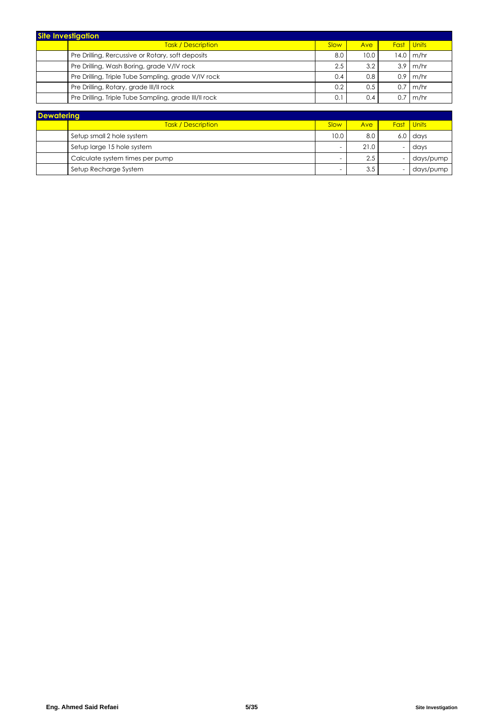| <b>Site Investigation</b> |                                                       |      |               |      |             |  |  |  |
|---------------------------|-------------------------------------------------------|------|---------------|------|-------------|--|--|--|
|                           | <b>Task / Description</b>                             | Slow | Ave           | Fast | Units       |  |  |  |
|                           | Pre Drilling, Rercussive or Rotary, soft deposits     | 8.0  | 10.0          |      | $14.0$ m/hr |  |  |  |
|                           | Pre Drilling, Wash Boring, grade V/IV rock            | 2.5  | 3.2           |      | $3.9$ m/hr  |  |  |  |
|                           | Pre Drilling, Triple Tube Sampling, grade V/IV rock   | 0.4  | 0.8           |      | $0.9$ m/hr  |  |  |  |
|                           | Pre Drilling, Rotary, grade III/II rock               | 0.2  | $0.5^{\circ}$ | 0.7  | $\ln m/hr$  |  |  |  |
|                           | Pre Drilling, Triple Tube Sampling, grade III/II rock | 0.1  | 0.4           | 0.7  | $\ln m/hr$  |  |  |  |

| <b>Dewatering</b> |                                 |      |         |  |                   |  |  |  |  |
|-------------------|---------------------------------|------|---------|--|-------------------|--|--|--|--|
|                   | <b>Task / Description</b>       | Slow | Ave     |  | <b>Fast</b> Units |  |  |  |  |
|                   | Setup small 2 hole system       | 10.0 | 8.0     |  | $6.0$ days        |  |  |  |  |
|                   | Setup large 15 hole system      |      | 21.0    |  | davs              |  |  |  |  |
|                   | Calculate system times per pump | -    | $2.5\,$ |  | days/pump         |  |  |  |  |
|                   | Setup Recharge System           | -    | 3.5     |  | days/pump         |  |  |  |  |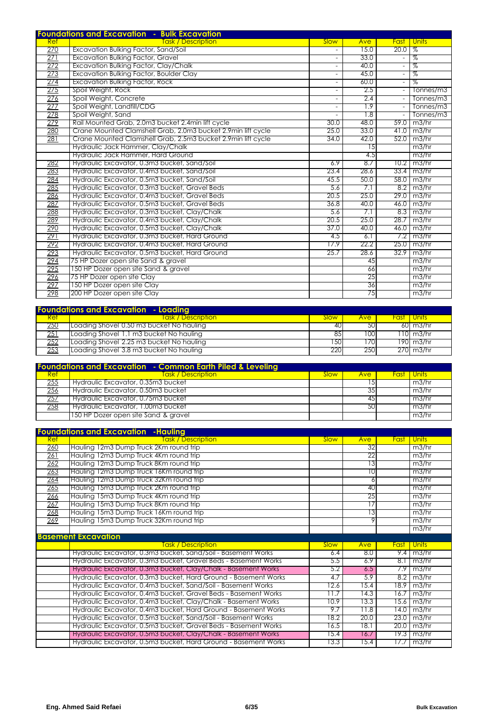|             | <b>Foundations and Excavation - Bulk Excavation</b>          |                          |            |                          |              |
|-------------|--------------------------------------------------------------|--------------------------|------------|--------------------------|--------------|
| Ref         | <u> Task / Description</u>                                   | Slow                     | <b>Ave</b> | <b>Fast</b>              | <b>Units</b> |
| 270         | Excavation Bulking Factor, Sand/Soil                         | $\overline{\phantom{a}}$ | 15.0       | 20.0                     | $\%$         |
| 271         | <b>Excavation Bulking Factor, Gravel</b>                     | $\overline{\phantom{a}}$ | 33.0       | $\blacksquare$           | %            |
| <u> 272</u> | <b>Excavation Bulking Factor, Clay/Chalk</b>                 | $\blacksquare$           | 40.0       | $\equiv$                 | %            |
| 273         | Excavation Bulking Factor, Boulder Clay                      | $\blacksquare$           | 45.0       | $\overline{\phantom{a}}$ | %            |
| 274         | <b>Excavation Bulking Factor, Rock</b>                       | $\sim$                   | 60.0       | Ξ                        | ℅            |
| 275         | Spoil Weight, Rock                                           | $\sim$                   | 2.5        | $\equiv$                 | Tonnes/m3    |
| 276         | Spoil Weight, Concrete                                       | $\overline{\phantom{a}}$ | 2.4        | $\equiv$                 | Tonnes/m3    |
| 277         | Spoil Weight, Landfill/CDG                                   | $\blacksquare$           | 1.9        | $\equiv$                 | Tonnes/m3    |
| 278         | Spoil Weight, Sand                                           | $\blacksquare$           | 1.8        | $\equiv$                 | Tonnes/m3    |
| 279         | Rail Mounted Grab, 2.0m3 bucket 2.4min lift cycle            | 30.0                     | 48.0       | 59.0                     | m3/hr        |
| 280         | Crane Mounted Clamshell Grab, 2.0m3 bucket 2.9min lift cycle | 25.0                     | 33.0       | 41.0                     | m3/hr        |
| 281         | Crane Mounted Clamshell Grab, 2.5m3 bucket 2.9min lift cycle | 34.0                     | 42.0       | 52.0                     | m3/hr        |
|             | Hydraulic Jack Hammer, Clay/Chalk                            |                          | 15         |                          | m3/hr        |
|             | Hydraulic Jack Hammer, Hard Ground                           |                          | 4.5        |                          | m3/hr        |
| 282         | Hydraulic Excavator, 0.3m3 bucket, Sand/Soil                 | 6.9                      | 8.7        | 10.2                     | m3/hr        |
| 283         | Hydraulic Excavator, 0.4m3 bucket, Sand/Soil                 | 23.4                     | 28.6       | 33.4                     | m3/hr        |
| 284         | Hydraulic Excavator, 0.5m3 bucket, Sand/Soil                 | 45.5                     | 50.0       | 58.0                     | m3/hr        |
| 285         | Hydraulic Excavator, 0.3m3 bucket, Gravel Beds               | 5.6                      | 7.1        | 8.2                      | m3/hr        |
| 286         | Hydraulic Excavator, 0.4m3 bucket, Gravel Beds               | 20.5                     | 25.0       | 29.0                     | m3/hr        |
| 287         | Hydraulic Excavator, 0.5m3 bucket, Gravel Beds               | 36.8                     | 40.0       | 46.0                     | m3/hr        |
| 288         | Hydraulic Excavator, 0.3m3 bucket, Clay/Chalk                | 5.6                      | 7.1        | 8.3                      | m3/hr        |
| 289         | Hydraulic Excavator, 0.4m3 bucket, Clay/Chalk                | 20.5                     | 25.0       | 28.7                     | m3/hr        |
| 290         | Hydraulic Excavator, 0.5m3 bucket, Clay/Chalk                | 37.0                     | 40.0       | 46.0                     | m3/hr        |
| 291         | Hydraulic Excavator, 0.3m3 bucket, Hard Ground               | 4.5                      | 6.1        | 7.2                      | m3/hr        |
| <u> 292</u> | Hydraulic Excavator, 0.4m3 bucket, Hard Ground               | 17.9                     | 22.2       | 25.0                     | m3/hr        |
| 293         | Hydraulic Excavator, 0.5m3 bucket, Hard Ground               | 25.7                     | 28.6       | 32.9                     | m3/hr        |
| 294         | 75 HP Dozer open site Sand & gravel                          |                          | 45         |                          | m3/hr        |
| 295         | 150 HP Dozer open site Sand & gravel                         |                          | 66         |                          | m3/hr        |
| 296         | 75 HP Dozer open site Clay                                   |                          | 25         |                          | m3/hr        |
| 297         | 150 HP Dozer open site Clay                                  |                          | 36         |                          | m3/hr        |
| 298         | 200 HP Dozer open site Clay                                  |                          | 75         |                          | m3/hr        |

| <b>Foundations and Excavation - Loading</b> |                                          |             |                 |  |                     |  |  |  |  |  |
|---------------------------------------------|------------------------------------------|-------------|-----------------|--|---------------------|--|--|--|--|--|
| Ret                                         | <b>Task / Description</b>                | <b>Slow</b> | Ave \           |  | <b>Fast I Units</b> |  |  |  |  |  |
| 250                                         | Loading Shovel 0.50 m3 bucket No hauling | 40          | 50 <sup>1</sup> |  | 60 m3/hr            |  |  |  |  |  |
| 251                                         | Loading Shovel 1.1 m3 bucket No hauling  | 85          | 100I            |  | 110 m3/hr           |  |  |  |  |  |
| 252                                         | Loading Shovel 2.25 m3 bucket No hauling | 150         | 70              |  | 190 m3/hr           |  |  |  |  |  |
| 253                                         | Loading Shovel 3.8 m3 bucket No hauling  | 220         | 2501            |  | 2701 m3/hr          |  |  |  |  |  |

|            | <b>Foundations and Excavation - Common Earth Piled &amp; Leveling</b> |             |     |                   |
|------------|-----------------------------------------------------------------------|-------------|-----|-------------------|
| <b>Ref</b> | <u> Task / Description I</u>                                          | <b>Slow</b> | Ave | <b>Fast Units</b> |
| 255        | Hydraulic Excavator, 0.35m3 bucket                                    |             |     | m3/hr             |
| 256        | Hydraulic Excavator, 0.50m3 bucket                                    |             | 35  | m3/hr             |
| 257        | Hydraulic Excavator, 0.75m3 bucket                                    |             | 45  | m3/hr             |
| 258        | Hydraulic Excavator, 1.00m3 bucket                                    |             | 50  | m3/hr             |
|            | 150 HP Dozer open site Sand & gravel                                  |             |     | m3/hr             |

|     | <b>Foundations and Excavation -Hauling</b>                      |             |      |             |              |
|-----|-----------------------------------------------------------------|-------------|------|-------------|--------------|
| Ref | ask / Description                                               | <b>Slow</b> | Ave  | <b>Fast</b> | Units        |
| 260 | Hauling 12m3 Dump Truck 2Km round trip                          |             | 32   |             | m3/hr        |
| 261 | Hauling 12m3 Dump Truck 4Km round trip                          |             | 22   |             | m3/hr        |
| 262 | Hauling 12m3 Dump Truck 8Km round trip                          |             | 13   |             | m3/hr        |
| 263 | Hauling 12m3 Dump Truck 16Km round trip                         |             | 10   |             | m3/hr        |
| 264 | Hauling 12m3 Dump Truck 32Km round trip                         |             | 6    |             | m3/hr        |
| 265 | Hauling 15m3 Dump Truck 2Km round trip                          |             | 40   |             | m3/hr        |
| 266 | Hauling 15m3 Dump Truck 4Km round trip                          |             | 25   |             | m3/hr        |
| 267 | Hauling 15m3 Dump Truck 8Km round trip                          |             | 17   |             | m3/hr        |
| 268 | Hauling 15m3 Dump Truck 16Km round trip                         |             | 13   |             | m3/hr        |
| 269 | Hauling 15m3 Dump Truck 32Km round trip                         |             | 9    |             | m3/hr        |
|     |                                                                 |             |      |             | m3/hr        |
|     | <b>Basement Excavation</b>                                      |             |      |             |              |
|     | <b>Task / Description</b>                                       | <b>Slow</b> | Ave  | Fast        | <b>Units</b> |
|     | Hydraulic Excavator, 0.3m3 bucket, Sand/Soil - Basement Works   | 6.4         | 8.0  | 9.4         | m3/hr        |
|     | Hydraulic Excavator, 0.3m3 bucket, Gravel Beds - Basement Works | 5.5         | 6.9  | 8.1         | m3/hr        |
|     | Hydraulic Excavator, 0.3m3 bucket, Clay/Chalk - Basement Works  | 5.2         | 6.5  | 7.9         | m3/hr        |
|     | Hydraulic Excavator, 0.3m3 bucket, Hard Ground - Basement Works | 4.7         | 5.9  | 8.2         | m3/hr        |
|     | Hydraulic Excavator, 0.4m3 bucket, Sand/Soil - Basement Works   | 12.6        | 15.4 | 18.9        | m3/hr        |
|     | Hydraulic Excavator, 0.4m3 bucket, Gravel Beds - Basement Works | 11.7        | 4.3  | 16.7        | m3/hr        |
|     | Hydraulic Excavator, 0.4m3 bucket, Clay/Chalk - Basement Works  | 10.9        | 13.3 | 15.6        | m3/hr        |
|     | Hydraulic Excavator, 0.4m3 bucket, Hard Ground - Basement Works | 9.7         | 11.8 | 14.0        | m3/hr        |
|     | Hydraulic Excavator, 0.5m3 bucket, Sand/Soil - Basement Works   | 18.2        | 20.0 | 23.0        | m3/hr        |
|     | Hydraulic Excavator, 0.5m3 bucket, Gravel Beds - Basement Works | 16.5        | 18.1 | 20.0        | m3/hr        |
|     | Hydraulic Excavator, 0.5m3 bucket, Clay/Chalk - Basement Works  | 15.4        | 16.7 | 19.3        | m3/hr        |
|     | Hydraulic Excavator, 0.5m3 bucket, Hard Ground - Basement Works | 13.3        | 15.4 | 17.7        | m3/hr        |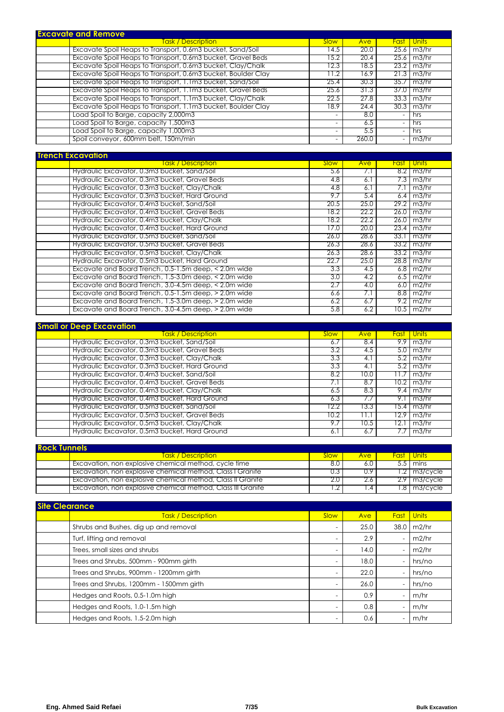| <b>Excavate and Remove</b>                                    |                          |            |                          |                    |
|---------------------------------------------------------------|--------------------------|------------|--------------------------|--------------------|
| <u>Task / Description </u>                                    | <b>Slow</b>              | <b>Ave</b> | Fast                     | <b>Units</b>       |
| Excavate Spoil Heaps to Transport, 0.6m3 bucket, Sand/Soil    | 14.5                     | 20.0       | 25.6                     | m3/hr              |
| Excavate Spoil Heaps to Transport, 0.6m3 bucket, Gravel Beds  | 15.2                     | 20.4       | 25.6                     | m3/hr              |
| Excavate Spoil Heaps to Transport, 0.6m3 bucket, Clay/Chalk   | 12.3                     | 18.5       |                          | $23.2$   m $3$ /hr |
| Excavate Spoil Heaps to Transport, 0.6m3 bucket, Boulder Clay | 1.2                      | 16.9       | 21.3                     | m3/hr              |
| Excavate Spoil Heaps to Transport, 1.1m3 bucket, Sand/Soil    | 25.4                     | 30.3       | 35.7                     | m3/hr              |
| Excavate Spoil Heaps to Transport, 1.1m3 bucket, Gravel Beds  | 25.6                     | 31.3       | 37.0                     | m3/hr              |
| Excavate Spoil Heaps to Transport, 1.1m3 bucket, Clay/Chalk   | 22.5                     | 27.8       | 33.3                     | m3/hr              |
| Excavate Spoil Heaps to Transport, 1.1m3 bucket, Boulder Clay | 18.9                     | 24.4       | 30.3                     | m3/hr              |
| Load Spoil to Barge, capacity 2,000m3                         |                          | 8.0        | $\overline{\phantom{0}}$ | hrs                |
| Load Spoil to Barge, capacity 1,500m3                         | -                        | 6.5        | -                        | hrs                |
| Load Spoil to Barge, capacity 1,000m3                         | $\overline{\phantom{0}}$ | 5.5        | $\overline{\phantom{0}}$ | hrs                |
| Spoil conveyor, 600mm belt, 150m/min                          |                          | 260.0      |                          | m3/hr              |

| <b>Trench Excavation</b> |                                                       |             |      |      |                        |
|--------------------------|-------------------------------------------------------|-------------|------|------|------------------------|
|                          | <b>Task / Description</b>                             | <b>Slow</b> | Ave  | Fast | Units                  |
|                          | Hydraulic Excavator, 0.3m3 bucket, Sand/Soil          | 5.6         |      |      | $8.2 \, \text{m}$ 3/hi |
|                          | Hydraulic Excavator, 0.3m3 bucket, Gravel Beds        | 4.8         | 6.1  |      | $7.3 \mid m3/h$        |
|                          | Hydraulic Excavator, 0.3m3 bucket, Clay/Chalk         | 4.8         | 6. I |      | m3/h                   |
|                          | Hydraulic Excavator, 0.3m3 bucket, Hard Ground        | 9.7         | 5.4  |      | $6.4$ m $3/h$          |
|                          | Hydraulic Excavator, 0.4m3 bucket, Sand/Soil          | 20.5        | 25.0 |      | 29.2   m3/hi           |
|                          | Hydraulic Excavator, 0.4m3 bucket, Gravel Beds        | 18.2        | 22.2 |      | 26.0   m3/hi           |
|                          | Hydraulic Excavator, 0.4m3 bucket, Clay/Chalk         | 18.2        | 22.2 |      | $26.0$ m3/h            |
|                          | Hydraulic Excavator, 0.4m3 bucket, Hard Ground        | 17.0        | 20.0 | 23.4 | m3/h                   |
|                          | Hydraulic Excavator, 0.5m3 bucket, Sand/Soil          | 26.0        | 28.6 | 33.1 | m3/h                   |
|                          | Hydraulic Excavator, 0.5m3 bucket, Gravel Beds        | 26.3        | 28.6 |      | 33.2   m3/hi           |
|                          | Hydraulic Excavator, 0.5m3 bucket, Clay/Chalk         | 26.3        | 28.6 |      | $33.2$   m $3/h$       |
|                          | Hydraulic Excavator, 0.5m3 bucket, Hard Ground        | 22.7        | 25.0 |      | $28.8$   m3/hi         |
|                          | Excavate and Board Trench, 0.5-1.5m deep, < 2.0m wide | 3.3         | 4.5  |      | $6.8$ m2/hi            |
|                          | Excavate and Board Trench, 1.5-3.0m deep, < 2.0m wide | 3.0         | 4.2  |      | $6.5 \, \text{m2/h}$   |
|                          | Excavate and Board Trench, 3.0-4.5m deep, < 2.0m wide | 2.7         | 4.0  |      | $6.0$ m2/h             |

| Excavate and Board Trench, 1.5-3.0m deep, > 2.0m wide | 6.2        | 6.7                       | 9.2    | m2/hr |
|-------------------------------------------------------|------------|---------------------------|--------|-------|
| Excavate and Board Trench, 3.0-4.5m deep, > 2.0m wide | 5.8        | 6.2                       | 10.5 I | m2/hr |
|                                                       |            |                           |        |       |
| <b>Small or Deep Excavation</b>                       |            |                           |        |       |
| <u> Task / Description</u>                            | Slow       | Ave                       | Fast   | Units |
| Hydraulic Excavator, 0.3m3 bucket, Sand/Soil          | 6.7        | 8.4                       | 9.9    | m3/hr |
| Hydraulic Excavator, 0.3m3 bucket, Gravel Beds        | 3.2        | 4.5                       | 5.0 I  | m3/hr |
| Hydraulic Excavator, 0.3m3 bucket, Clay/Chalk         | 3.3        | 4.1                       | 5.2    | m3/hr |
| Hydraulic Excavator, 0.3m3 bucket, Hard Ground        | 3.3        | 4.1                       | 5.2    | m3/hr |
| Hydraulic Excavator, 0.4m3 bucket, Sand/Soil          | 8.2        | 10.0                      |        | m3/hr |
| Hydraulic Excavator, 0.4m3 bucket, Gravel Beds        | $\sqrt{1}$ | 8.7                       | 10.2   | m3/hr |
| Hydraulic Excavator, 0.4m3 bucket, Clay/Chalk         | 6.5        | 8.3                       | 9.4 I  | m3/hr |
| Hydraulic Excavator, 0.4m3 bucket, Hard Ground        | 6.3        | $^{\prime}$ . $^{\prime}$ | 9.1    | m3/hr |
| Hydraulic Excavator, 0.5m3 bucket, Sand/Soil          | 12.2       | 13.3                      | 15.4   | m3/hr |
| Hydraulic Excavator, 0.5m3 bucket, Gravel Beds        | 0.2        |                           | 2.9    | m3/hr |
| Hydraulic Excavator, 0.5m3 bucket, Clay/Chalk         | 9.7        | 10.5                      | 12.    | m3/hr |
| Hydraulic Excavator, 0.5m3 bucket, Hard Ground        | 6.1        | 6.7                       |        | m3/hr |

Excavate and Board Trench, 0.5-1.5m deep, > 2.0m wide 6.6 7.1 8.8 m2/hr

| <b>Rock Tunnels</b> |                                                              |       |               |       |                      |  |  |  |
|---------------------|--------------------------------------------------------------|-------|---------------|-------|----------------------|--|--|--|
|                     | <b>Task / Description</b>                                    | Slow: | <b>Ave</b>    |       | <b>Fast I Units</b>  |  |  |  |
|                     | Excavation, non explosive chemical method, cycle time        |       | 6.0           |       | mins                 |  |  |  |
|                     | Excavation, non explosive chemical method, Class I Granite   | 0.3   | $0.9^{\circ}$ |       | $.2 \,$ m3/cvcle     |  |  |  |
|                     | Excavation, non explosive chemical method, Class II Granite  | 2.0   | 2.6           |       | $2.9 \mid m3/c$ ycle |  |  |  |
|                     | Excavation, non explosive chemical method, Class III Granite |       | .4            | - 8 I | m3/cycle             |  |  |  |

| <b>Site Clearance</b>                   |                          |      |             |              |  |  |  |  |  |
|-----------------------------------------|--------------------------|------|-------------|--------------|--|--|--|--|--|
| <b>Task / Description</b>               | Slow                     | Ave  | <b>Fast</b> | <b>Units</b> |  |  |  |  |  |
| Shrubs and Bushes, dig up and removal   |                          | 25.0 | 38.0        | m2/hr        |  |  |  |  |  |
| Turf, lifting and removal               |                          | 2.9  |             | m2/hr        |  |  |  |  |  |
| Trees, small sizes and shrubs           | $\overline{\phantom{0}}$ | 14.0 |             | m2/hr        |  |  |  |  |  |
| Trees and Shrubs, 500mm - 900mm girth   |                          | 18.0 |             | hrs/no       |  |  |  |  |  |
| Trees and Shrubs, 900mm - 1200mm girth  | $\overline{\phantom{0}}$ | 22.0 |             | hrs/no       |  |  |  |  |  |
| Trees and Shrubs, 1200mm - 1500mm girth |                          | 26.0 |             | hrs/no       |  |  |  |  |  |
| Hedges and Roots, 0.5-1.0m high         |                          | 0.9  |             | m/hr         |  |  |  |  |  |
| Hedges and Roots, 1.0-1.5m high         |                          | 0.8  |             | m/hr         |  |  |  |  |  |
| Hedges and Roots, 1.5-2.0m high         |                          | 0.6  |             | m/hr         |  |  |  |  |  |

 $33.2$  m3/hr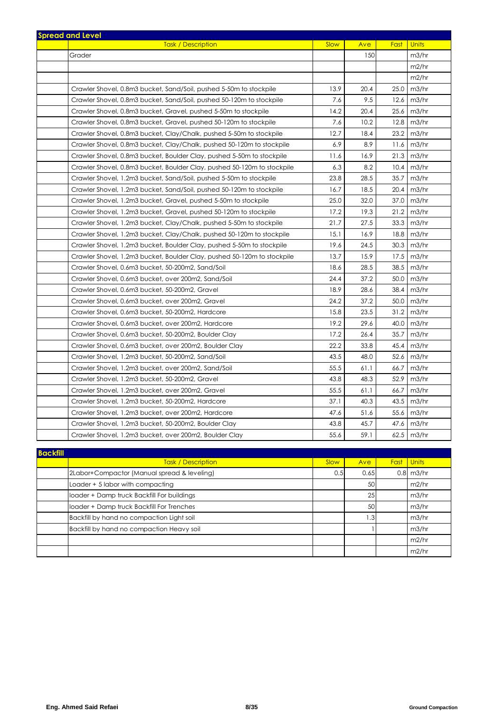| <b>Spread and Level</b> |                                                                         |             |      |             |              |
|-------------------------|-------------------------------------------------------------------------|-------------|------|-------------|--------------|
|                         | <b>Task / Description</b>                                               | <b>Slow</b> | Ave  | <b>Fast</b> | <b>Units</b> |
| Grader                  |                                                                         |             | 150  |             | m3/hr        |
|                         |                                                                         |             |      |             | m2/hr        |
|                         |                                                                         |             |      |             | m2/hr        |
|                         | Crawler Shovel, 0.8m3 bucket, Sand/Soil, pushed 5-50m to stockpile      | 13.9        | 20.4 | 25.0        | m3/hr        |
|                         | Crawler Shovel, 0.8m3 bucket, Sand/Soil, pushed 50-120m to stockpile    | 7.6         | 9.5  | 12.6        | m3/hr        |
|                         | Crawler Shovel, 0.8m3 bucket, Gravel, pushed 5-50m to stockpile         | 14.2        | 20.4 | 25.6        | m3/hr        |
|                         | Crawler Shovel, 0.8m3 bucket, Gravel, pushed 50-120m to stockpile       | 7.6         | 10.2 | 12.8        | m3/hr        |
|                         | Crawler Shovel, 0.8m3 bucket, Clay/Chalk, pushed 5-50m to stockpile     | 12.7        | 18.4 | 23.2        | m3/hr        |
|                         | Crawler Shovel, 0.8m3 bucket, Clay/Chalk, pushed 50-120m to stockpile   | 6.9         | 8.9  | 11.6        | m3/hr        |
|                         | Crawler Shovel, 0.8m3 bucket, Boulder Clay, pushed 5-50m to stockpile   | 11.6        | 16.9 | 21.3        | m3/hr        |
|                         | Crawler Shovel, 0.8m3 bucket, Boulder Clay, pushed 50-120m to stockpile | 6.3         | 8.2  | 10.4        | m3/hr        |
|                         | Crawler Shovel, 1.2m3 bucket, Sand/Soil, pushed 5-50m to stockpile      | 23.8        | 28.5 | 35.7        | m3/hr        |
|                         | Crawler Shovel, 1.2m3 bucket, Sand/Soil, pushed 50-120m to stockpile    | 16.7        | 18.5 | 20.4        | m3/hr        |
|                         | Crawler Shovel, 1.2m3 bucket, Gravel, pushed 5-50m to stockpile         | 25.0        | 32.0 | 37.0        | m3/hr        |
|                         | Crawler Shovel, 1.2m3 bucket, Gravel, pushed 50-120m to stockpile       | 17.2        | 19.3 | 21.2        | m3/hr        |
|                         | Crawler Shovel, 1.2m3 bucket, Clay/Chalk, pushed 5-50m to stockpile     | 21.7        | 27.5 | 33.3        | m3/hr        |
|                         | Crawler Shovel, 1.2m3 bucket, Clay/Chalk, pushed 50-120m to stockpile   | 15.1        | 16.9 | 18.8        | m3/hr        |
|                         | Crawler Shovel, 1.2m3 bucket, Boulder Clay, pushed 5-50m to stockpile   | 19.6        | 24.5 | 30.3        | m3/hr        |
|                         | Crawler Shovel, 1.2m3 bucket, Boulder Clay, pushed 50-120m to stockpile | 13.7        | 15.9 | 17.5        | m3/hr        |
|                         | Crawler Shovel, 0.6m3 bucket, 50-200m2, Sand/Soil                       | 18.6        | 28.5 | 38.5        | m3/hr        |
|                         | Crawler Shovel, 0.6m3 bucket, over 200m2, Sand/Soil                     | 24.4        | 37.2 | 50.0        | m3/hr        |
|                         | Crawler Shovel, 0.6m3 bucket, 50-200m2, Gravel                          | 18.9        | 28.6 | 38.4        | m3/hr        |
|                         | Crawler Shovel, 0.6m3 bucket, over 200m2, Gravel                        | 24.2        | 37.2 | 50.0        | m3/hr        |
|                         | Crawler Shovel, 0.6m3 bucket, 50-200m2, Hardcore                        | 15.8        | 23.5 | 31.2        | m3/hr        |
|                         | Crawler Shovel, 0.6m3 bucket, over 200m2, Hardcore                      | 19.2        | 29.6 | 40.0        | m3/hr        |
|                         | Crawler Shovel, 0.6m3 bucket, 50-200m2, Boulder Clay                    | 17.2        | 26.4 | 35.7        | m3/hr        |
|                         | Crawler Shovel, 0.6m3 bucket, over 200m2, Boulder Clay                  | 22.2        | 33.8 | 45.4        | m3/hr        |
|                         | Crawler Shovel, 1.2m3 bucket, 50-200m2, Sand/Soil                       | 43.5        | 48.0 | 52.6        | m3/hr        |
|                         | Crawler Shovel, 1.2m3 bucket, over 200m2, Sand/Soil                     | 55.5        | 61.1 | 66.7        | m3/hr        |
|                         | Crawler Shovel, 1.2m3 bucket, 50-200m2, Gravel                          | 43.8        | 48.3 | 52.9        | m3/hr        |
|                         | Crawler Shovel, 1.2m3 bucket, over 200m2, Gravel                        | 55.5        | 61.1 | 66.7        | m3/hr        |
|                         | Crawler Shovel, 1.2m3 bucket, 50-200m2, Hardcore                        | 37.1        | 40.3 | 43.5        | m3/hr        |
|                         | Crawler Shovel, 1.2m3 bucket, over 200m2, Hardcore                      | 47.6        | 51.6 | 55.6        | m3/hr        |
|                         | Crawler Shovel, 1.2m3 bucket, 50-200m2, Boulder Clay                    | 43.8        | 45.7 | 47.6        | m3/hr        |
|                         | Crawler Shovel, 1.2m3 bucket, over 200m2, Boulder Clay                  | 55.6        | 59.1 | 62.5        | m3/hr        |
|                         |                                                                         |             |      |             |              |

| <b>Backfill</b> |                                             |      |      |             |                 |
|-----------------|---------------------------------------------|------|------|-------------|-----------------|
|                 | <b>Task / Description</b>                   | Slow | Ave  | <b>Fast</b> | Units           |
|                 | 2Labor+Compactor (Manual spread & leveling) | 0.5  | 0.65 |             | $0.8$ m $3$ /hr |
|                 | Loader + 5 labor with compacting            |      | 50   |             | m2/hr           |
|                 | loader + Damp truck Backfill For buildings  |      | 25   |             | m3/hr           |
|                 | loader + Damp truck Backfill For Trenches   |      | 50   |             | m3/hr           |
|                 | Backfill by hand no compaction Light soil   |      | .3   |             | m3/hr           |
|                 | Backfill by hand no compaction Heavy soil   |      |      |             | m3/hr           |
|                 |                                             |      |      |             | m2/hr           |
|                 |                                             |      |      |             | m2/hr           |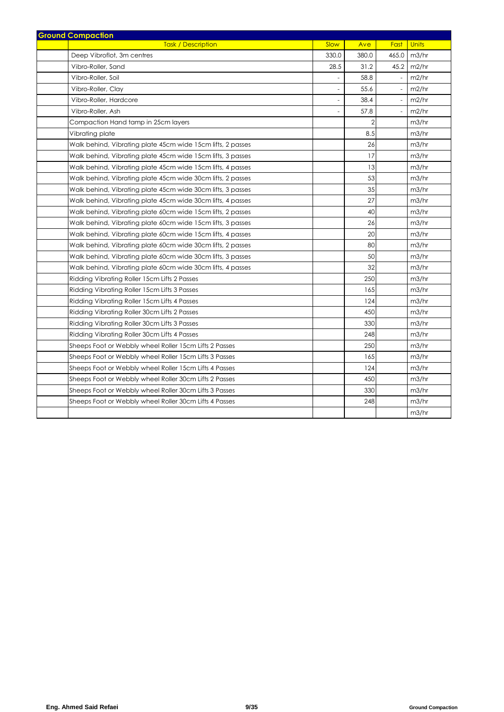| <b>Task / Description</b><br>Slow<br>Fast<br><b>Units</b><br>Ave<br>Deep Vibroflot, 3m centres<br>330.0<br>380.0<br>465.0<br>m3/hr<br>45.2<br>Vibro-Roller, Sand<br>28.5<br>31.2<br>m2/hr<br>58.8<br>m2/hr<br>Vibro-Roller, Soil<br>55.6<br>m2/hr<br>Vibro-Roller, Clay<br>38.4<br>m2/hr<br>Vibro-Roller, Hardcore<br>$\overline{\phantom{a}}$<br>Vibro-Roller, Ash<br>57.8<br>m2/hr<br>$\overline{a}$<br>$\overline{a}$<br>$\overline{2}$<br>m3/hr<br>Compaction Hand tamp in 25cm layers<br>8.5<br>Vibrating plate<br>m3/hr<br>26<br>Walk behind, Vibrating plate 45cm wide 15cm lifts, 2 passes<br>m3/hr<br>17<br>m3/hr<br>Walk behind, Vibrating plate 45cm wide 15cm lifts, 3 passes<br>13<br>m3/hr<br>Walk behind, Vibrating plate 45cm wide 15cm lifts, 4 passes<br>53<br>m3/hr<br>Walk behind, Vibrating plate 45cm wide 30cm lifts, 2 passes<br>Walk behind, Vibrating plate 45cm wide 30cm lifts, 3 passes<br>35<br>m3/hr<br>27<br>m3/hr<br>Walk behind, Vibrating plate 45cm wide 30cm lifts, 4 passes<br>40<br>m3/hr<br>Walk behind, Vibrating plate 60cm wide 15cm lifts, 2 passes<br>26<br>m3/hr<br>Walk behind, Vibrating plate 60cm wide 15cm lifts, 3 passes<br>20<br>m3/hr<br>Walk behind, Vibrating plate 60cm wide 15cm lifts, 4 passes<br>80<br>m3/hr<br>Walk behind, Vibrating plate 60cm wide 30cm lifts, 2 passes<br>50<br>m3/hr<br>Walk behind, Vibrating plate 60cm wide 30cm lifts, 3 passes<br>32<br>Walk behind, Vibrating plate 60cm wide 30cm lifts, 4 passes<br>m3/hr<br>250<br>Ridding Vibrating Roller 15cm Lifts 2 Passes<br>m3/hr<br>165<br>m3/hr<br>Ridding Vibrating Roller 15cm Lifts 3 Passes<br>124<br>m3/hr<br>Ridding Vibrating Roller 15cm Lifts 4 Passes<br>450<br>m3/hr<br>Ridding Vibrating Roller 30cm Lifts 2 Passes<br>330<br>m3/hr<br>Ridding Vibrating Roller 30cm Lifts 3 Passes<br>248<br>m3/hr<br>Ridding Vibrating Roller 30cm Lifts 4 Passes<br>Sheeps Foot or Webbly wheel Roller 15cm Lifts 2 Passes<br>250<br>m3/hr<br>Sheeps Foot or Webbly wheel Roller 15cm Lifts 3 Passes<br>165<br>m3/hr<br>124<br>Sheeps Foot or Webbly wheel Roller 15cm Lifts 4 Passes<br>m3/hr<br>450<br>Sheeps Foot or Webbly wheel Roller 30cm Lifts 2 Passes<br>m3/hr<br>330<br>m3/hr<br>Sheeps Foot or Webbly wheel Roller 30cm Lifts 3 Passes<br>Sheeps Foot or Webbly wheel Roller 30cm Lifts 4 Passes<br>248<br>m3/hr<br>m3/hr | <b>Ground Compaction</b> |  |  |  |
|----------------------------------------------------------------------------------------------------------------------------------------------------------------------------------------------------------------------------------------------------------------------------------------------------------------------------------------------------------------------------------------------------------------------------------------------------------------------------------------------------------------------------------------------------------------------------------------------------------------------------------------------------------------------------------------------------------------------------------------------------------------------------------------------------------------------------------------------------------------------------------------------------------------------------------------------------------------------------------------------------------------------------------------------------------------------------------------------------------------------------------------------------------------------------------------------------------------------------------------------------------------------------------------------------------------------------------------------------------------------------------------------------------------------------------------------------------------------------------------------------------------------------------------------------------------------------------------------------------------------------------------------------------------------------------------------------------------------------------------------------------------------------------------------------------------------------------------------------------------------------------------------------------------------------------------------------------------------------------------------------------------------------------------------------------------------------------------------------------------------------------------------------------------------------------------------------------------------------------------------------------------------------------------------------------------------------------------------------------------------------|--------------------------|--|--|--|
|                                                                                                                                                                                                                                                                                                                                                                                                                                                                                                                                                                                                                                                                                                                                                                                                                                                                                                                                                                                                                                                                                                                                                                                                                                                                                                                                                                                                                                                                                                                                                                                                                                                                                                                                                                                                                                                                                                                                                                                                                                                                                                                                                                                                                                                                                                                                                                            |                          |  |  |  |
|                                                                                                                                                                                                                                                                                                                                                                                                                                                                                                                                                                                                                                                                                                                                                                                                                                                                                                                                                                                                                                                                                                                                                                                                                                                                                                                                                                                                                                                                                                                                                                                                                                                                                                                                                                                                                                                                                                                                                                                                                                                                                                                                                                                                                                                                                                                                                                            |                          |  |  |  |
|                                                                                                                                                                                                                                                                                                                                                                                                                                                                                                                                                                                                                                                                                                                                                                                                                                                                                                                                                                                                                                                                                                                                                                                                                                                                                                                                                                                                                                                                                                                                                                                                                                                                                                                                                                                                                                                                                                                                                                                                                                                                                                                                                                                                                                                                                                                                                                            |                          |  |  |  |
|                                                                                                                                                                                                                                                                                                                                                                                                                                                                                                                                                                                                                                                                                                                                                                                                                                                                                                                                                                                                                                                                                                                                                                                                                                                                                                                                                                                                                                                                                                                                                                                                                                                                                                                                                                                                                                                                                                                                                                                                                                                                                                                                                                                                                                                                                                                                                                            |                          |  |  |  |
|                                                                                                                                                                                                                                                                                                                                                                                                                                                                                                                                                                                                                                                                                                                                                                                                                                                                                                                                                                                                                                                                                                                                                                                                                                                                                                                                                                                                                                                                                                                                                                                                                                                                                                                                                                                                                                                                                                                                                                                                                                                                                                                                                                                                                                                                                                                                                                            |                          |  |  |  |
|                                                                                                                                                                                                                                                                                                                                                                                                                                                                                                                                                                                                                                                                                                                                                                                                                                                                                                                                                                                                                                                                                                                                                                                                                                                                                                                                                                                                                                                                                                                                                                                                                                                                                                                                                                                                                                                                                                                                                                                                                                                                                                                                                                                                                                                                                                                                                                            |                          |  |  |  |
|                                                                                                                                                                                                                                                                                                                                                                                                                                                                                                                                                                                                                                                                                                                                                                                                                                                                                                                                                                                                                                                                                                                                                                                                                                                                                                                                                                                                                                                                                                                                                                                                                                                                                                                                                                                                                                                                                                                                                                                                                                                                                                                                                                                                                                                                                                                                                                            |                          |  |  |  |
|                                                                                                                                                                                                                                                                                                                                                                                                                                                                                                                                                                                                                                                                                                                                                                                                                                                                                                                                                                                                                                                                                                                                                                                                                                                                                                                                                                                                                                                                                                                                                                                                                                                                                                                                                                                                                                                                                                                                                                                                                                                                                                                                                                                                                                                                                                                                                                            |                          |  |  |  |
|                                                                                                                                                                                                                                                                                                                                                                                                                                                                                                                                                                                                                                                                                                                                                                                                                                                                                                                                                                                                                                                                                                                                                                                                                                                                                                                                                                                                                                                                                                                                                                                                                                                                                                                                                                                                                                                                                                                                                                                                                                                                                                                                                                                                                                                                                                                                                                            |                          |  |  |  |
|                                                                                                                                                                                                                                                                                                                                                                                                                                                                                                                                                                                                                                                                                                                                                                                                                                                                                                                                                                                                                                                                                                                                                                                                                                                                                                                                                                                                                                                                                                                                                                                                                                                                                                                                                                                                                                                                                                                                                                                                                                                                                                                                                                                                                                                                                                                                                                            |                          |  |  |  |
|                                                                                                                                                                                                                                                                                                                                                                                                                                                                                                                                                                                                                                                                                                                                                                                                                                                                                                                                                                                                                                                                                                                                                                                                                                                                                                                                                                                                                                                                                                                                                                                                                                                                                                                                                                                                                                                                                                                                                                                                                                                                                                                                                                                                                                                                                                                                                                            |                          |  |  |  |
|                                                                                                                                                                                                                                                                                                                                                                                                                                                                                                                                                                                                                                                                                                                                                                                                                                                                                                                                                                                                                                                                                                                                                                                                                                                                                                                                                                                                                                                                                                                                                                                                                                                                                                                                                                                                                                                                                                                                                                                                                                                                                                                                                                                                                                                                                                                                                                            |                          |  |  |  |
|                                                                                                                                                                                                                                                                                                                                                                                                                                                                                                                                                                                                                                                                                                                                                                                                                                                                                                                                                                                                                                                                                                                                                                                                                                                                                                                                                                                                                                                                                                                                                                                                                                                                                                                                                                                                                                                                                                                                                                                                                                                                                                                                                                                                                                                                                                                                                                            |                          |  |  |  |
|                                                                                                                                                                                                                                                                                                                                                                                                                                                                                                                                                                                                                                                                                                                                                                                                                                                                                                                                                                                                                                                                                                                                                                                                                                                                                                                                                                                                                                                                                                                                                                                                                                                                                                                                                                                                                                                                                                                                                                                                                                                                                                                                                                                                                                                                                                                                                                            |                          |  |  |  |
|                                                                                                                                                                                                                                                                                                                                                                                                                                                                                                                                                                                                                                                                                                                                                                                                                                                                                                                                                                                                                                                                                                                                                                                                                                                                                                                                                                                                                                                                                                                                                                                                                                                                                                                                                                                                                                                                                                                                                                                                                                                                                                                                                                                                                                                                                                                                                                            |                          |  |  |  |
|                                                                                                                                                                                                                                                                                                                                                                                                                                                                                                                                                                                                                                                                                                                                                                                                                                                                                                                                                                                                                                                                                                                                                                                                                                                                                                                                                                                                                                                                                                                                                                                                                                                                                                                                                                                                                                                                                                                                                                                                                                                                                                                                                                                                                                                                                                                                                                            |                          |  |  |  |
|                                                                                                                                                                                                                                                                                                                                                                                                                                                                                                                                                                                                                                                                                                                                                                                                                                                                                                                                                                                                                                                                                                                                                                                                                                                                                                                                                                                                                                                                                                                                                                                                                                                                                                                                                                                                                                                                                                                                                                                                                                                                                                                                                                                                                                                                                                                                                                            |                          |  |  |  |
|                                                                                                                                                                                                                                                                                                                                                                                                                                                                                                                                                                                                                                                                                                                                                                                                                                                                                                                                                                                                                                                                                                                                                                                                                                                                                                                                                                                                                                                                                                                                                                                                                                                                                                                                                                                                                                                                                                                                                                                                                                                                                                                                                                                                                                                                                                                                                                            |                          |  |  |  |
|                                                                                                                                                                                                                                                                                                                                                                                                                                                                                                                                                                                                                                                                                                                                                                                                                                                                                                                                                                                                                                                                                                                                                                                                                                                                                                                                                                                                                                                                                                                                                                                                                                                                                                                                                                                                                                                                                                                                                                                                                                                                                                                                                                                                                                                                                                                                                                            |                          |  |  |  |
|                                                                                                                                                                                                                                                                                                                                                                                                                                                                                                                                                                                                                                                                                                                                                                                                                                                                                                                                                                                                                                                                                                                                                                                                                                                                                                                                                                                                                                                                                                                                                                                                                                                                                                                                                                                                                                                                                                                                                                                                                                                                                                                                                                                                                                                                                                                                                                            |                          |  |  |  |
|                                                                                                                                                                                                                                                                                                                                                                                                                                                                                                                                                                                                                                                                                                                                                                                                                                                                                                                                                                                                                                                                                                                                                                                                                                                                                                                                                                                                                                                                                                                                                                                                                                                                                                                                                                                                                                                                                                                                                                                                                                                                                                                                                                                                                                                                                                                                                                            |                          |  |  |  |
|                                                                                                                                                                                                                                                                                                                                                                                                                                                                                                                                                                                                                                                                                                                                                                                                                                                                                                                                                                                                                                                                                                                                                                                                                                                                                                                                                                                                                                                                                                                                                                                                                                                                                                                                                                                                                                                                                                                                                                                                                                                                                                                                                                                                                                                                                                                                                                            |                          |  |  |  |
|                                                                                                                                                                                                                                                                                                                                                                                                                                                                                                                                                                                                                                                                                                                                                                                                                                                                                                                                                                                                                                                                                                                                                                                                                                                                                                                                                                                                                                                                                                                                                                                                                                                                                                                                                                                                                                                                                                                                                                                                                                                                                                                                                                                                                                                                                                                                                                            |                          |  |  |  |
|                                                                                                                                                                                                                                                                                                                                                                                                                                                                                                                                                                                                                                                                                                                                                                                                                                                                                                                                                                                                                                                                                                                                                                                                                                                                                                                                                                                                                                                                                                                                                                                                                                                                                                                                                                                                                                                                                                                                                                                                                                                                                                                                                                                                                                                                                                                                                                            |                          |  |  |  |
|                                                                                                                                                                                                                                                                                                                                                                                                                                                                                                                                                                                                                                                                                                                                                                                                                                                                                                                                                                                                                                                                                                                                                                                                                                                                                                                                                                                                                                                                                                                                                                                                                                                                                                                                                                                                                                                                                                                                                                                                                                                                                                                                                                                                                                                                                                                                                                            |                          |  |  |  |
|                                                                                                                                                                                                                                                                                                                                                                                                                                                                                                                                                                                                                                                                                                                                                                                                                                                                                                                                                                                                                                                                                                                                                                                                                                                                                                                                                                                                                                                                                                                                                                                                                                                                                                                                                                                                                                                                                                                                                                                                                                                                                                                                                                                                                                                                                                                                                                            |                          |  |  |  |
|                                                                                                                                                                                                                                                                                                                                                                                                                                                                                                                                                                                                                                                                                                                                                                                                                                                                                                                                                                                                                                                                                                                                                                                                                                                                                                                                                                                                                                                                                                                                                                                                                                                                                                                                                                                                                                                                                                                                                                                                                                                                                                                                                                                                                                                                                                                                                                            |                          |  |  |  |
|                                                                                                                                                                                                                                                                                                                                                                                                                                                                                                                                                                                                                                                                                                                                                                                                                                                                                                                                                                                                                                                                                                                                                                                                                                                                                                                                                                                                                                                                                                                                                                                                                                                                                                                                                                                                                                                                                                                                                                                                                                                                                                                                                                                                                                                                                                                                                                            |                          |  |  |  |
|                                                                                                                                                                                                                                                                                                                                                                                                                                                                                                                                                                                                                                                                                                                                                                                                                                                                                                                                                                                                                                                                                                                                                                                                                                                                                                                                                                                                                                                                                                                                                                                                                                                                                                                                                                                                                                                                                                                                                                                                                                                                                                                                                                                                                                                                                                                                                                            |                          |  |  |  |
|                                                                                                                                                                                                                                                                                                                                                                                                                                                                                                                                                                                                                                                                                                                                                                                                                                                                                                                                                                                                                                                                                                                                                                                                                                                                                                                                                                                                                                                                                                                                                                                                                                                                                                                                                                                                                                                                                                                                                                                                                                                                                                                                                                                                                                                                                                                                                                            |                          |  |  |  |
|                                                                                                                                                                                                                                                                                                                                                                                                                                                                                                                                                                                                                                                                                                                                                                                                                                                                                                                                                                                                                                                                                                                                                                                                                                                                                                                                                                                                                                                                                                                                                                                                                                                                                                                                                                                                                                                                                                                                                                                                                                                                                                                                                                                                                                                                                                                                                                            |                          |  |  |  |
|                                                                                                                                                                                                                                                                                                                                                                                                                                                                                                                                                                                                                                                                                                                                                                                                                                                                                                                                                                                                                                                                                                                                                                                                                                                                                                                                                                                                                                                                                                                                                                                                                                                                                                                                                                                                                                                                                                                                                                                                                                                                                                                                                                                                                                                                                                                                                                            |                          |  |  |  |
|                                                                                                                                                                                                                                                                                                                                                                                                                                                                                                                                                                                                                                                                                                                                                                                                                                                                                                                                                                                                                                                                                                                                                                                                                                                                                                                                                                                                                                                                                                                                                                                                                                                                                                                                                                                                                                                                                                                                                                                                                                                                                                                                                                                                                                                                                                                                                                            |                          |  |  |  |
|                                                                                                                                                                                                                                                                                                                                                                                                                                                                                                                                                                                                                                                                                                                                                                                                                                                                                                                                                                                                                                                                                                                                                                                                                                                                                                                                                                                                                                                                                                                                                                                                                                                                                                                                                                                                                                                                                                                                                                                                                                                                                                                                                                                                                                                                                                                                                                            |                          |  |  |  |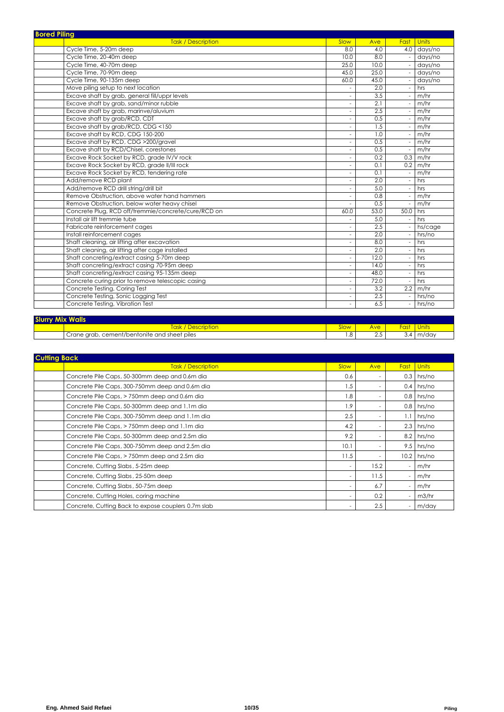| <b>Bored Piling</b>                                 |                             |      |                          |                 |
|-----------------------------------------------------|-----------------------------|------|--------------------------|-----------------|
| <b>Task / Description</b>                           | Slow                        | Ave  | Fast                     | <b>Units</b>    |
| Cycle Time, 5-20m deep                              | 8.0                         | 4.0  |                          | 4.0 days/no     |
| Cycle Time, 20-40m deep                             | 10.0                        | 8.0  |                          | days/no         |
| Cycle Time, 40-70m deep                             | 25.0                        | 10.0 |                          | days/no         |
| Cycle Time, 70-90m deep                             | 45.0                        | 25.0 |                          | days/no         |
| Cycle Time, 90-135m deep                            | 60.0                        | 45.0 |                          | days/no         |
| Move piling setup to next location                  |                             | 2.0  |                          | hrs             |
| Excave shaft by grab, general fill/uppr levels      | $\mathcal{L}_{\mathcal{A}}$ | 3.5  |                          | m/hr            |
| Excave shaft by grab, sand/minor rubble             | $\overline{\phantom{a}}$    | 2.1  |                          | m/hr            |
| Excave shaft by grab, marinve/aluvium               | $\overline{\phantom{a}}$    | 2.5  |                          | m/hr            |
| Excave shaft by grab/RCD, CDT                       | $\overline{\phantom{a}}$    | 0.5  |                          | m/hr            |
| Excave shaft by grab/RCD, CDG <150                  | $\overline{\phantom{a}}$    | 1.5  |                          | m/hr            |
| Excave shaft by RCD, CDG 150-200                    | $\overline{\phantom{a}}$    | 1.0  |                          | m/hr            |
| Excave shaft by RCD, CDG >200/gravel                | $\overline{\phantom{a}}$    | 0.5  |                          | m/hr            |
| Excave shaft by RCD/Chisel, corestones              | $\overline{\phantom{a}}$    | 0.5  |                          | m/hr            |
| Excave Rock Socket by RCD, grade IV/V rock          | $\overline{\phantom{a}}$    | 0.2  | 0.3                      | m/hr            |
| Excave Rock Socket by RCD, grade II/III rock        | $\overline{\phantom{a}}$    | 0.1  |                          | $0.2 \,$ m/hr   |
| Excave Rock Socket by RCD, tendering rate           | $\overline{\phantom{a}}$    | 0.1  |                          | m/hr            |
| Add/remove RCD plant                                | $\overline{\phantom{a}}$    | 2.0  |                          | hrs             |
| Add/remove RCD drill string/drill bit               | $\overline{\phantom{a}}$    | 5.0  |                          | hrs             |
| Remove Obstruction, above water hand hammers        | $\overline{\phantom{a}}$    | 0.8  |                          | m/hr            |
| Remove Obstruction, below water heavy chisel        | $\overline{\phantom{a}}$    | 0.5  |                          | m/hr            |
| Concrete Plug, RCD off/tremmie/concrete/cure/RCD on | 60.0                        | 53.0 | 50.0                     | hrs             |
| Install air lift tremmie tube                       | $\overline{\phantom{a}}$    | 5.0  | $\overline{\phantom{a}}$ | hrs             |
| Fabricate reinforcement cages                       | $\overline{\phantom{a}}$    | 2.5  | $\sim$                   | hs/cage         |
| Install reinforcement cages                         | $\overline{\phantom{a}}$    | 2.0  | $\sim$                   | hrs/no          |
| Shaft cleaning, air lifting after excavation        | $\overline{\phantom{a}}$    | 8.0  |                          | hrs             |
| Shaft cleaning, air lifting after cage installed    | $\overline{\phantom{a}}$    | 2.0  |                          | hrs             |
| Shaft concreting/extract casing 5-70m deep          | $\overline{\phantom{a}}$    | 12.0 |                          | hrs             |
| Shaft concreting/extract casing 70-95m deep         | $\overline{\phantom{a}}$    | 14.0 |                          | hrs             |
| Shaft concreting/extract casing 95-135m deep        | $\overline{\phantom{a}}$    | 48.0 |                          | hrs             |
| Concrete curing prior to remove telescopic casing   | $\overline{\phantom{a}}$    | 72.0 |                          | hrs             |
| Concrete Testing, Coring Test                       | $\overline{\phantom{a}}$    | 3.2  |                          | $2.2 \mid m/hr$ |
| Concrete Testing, Sonic Logging Test                | $\overline{\phantom{a}}$    | 2.5  | $\sim$                   | hrs/no          |
| Concrete Testing, Vibration Test                    | $\overline{\phantom{a}}$    | 6.5  |                          | hrs/no          |
|                                                     |                             |      |                          |                 |

| <b>Slurry A</b><br><b>Walls</b> |                                              |       |     |      |       |  |  |  |
|---------------------------------|----------------------------------------------|-------|-----|------|-------|--|--|--|
|                                 | * Description<br><b>ask</b>                  | ∕ا0اد | Ave | Fast |       |  |  |  |
|                                 | Crane grab, cement/bentonite and sheet piles | . .8  | ں ک |      | m/day |  |  |  |

| <b>Cutting Back</b>                                 |                          |                          |                          |              |  |  |  |  |
|-----------------------------------------------------|--------------------------|--------------------------|--------------------------|--------------|--|--|--|--|
| <b>Task / Description</b>                           | Slow                     | Ave                      | <b>Fast</b>              | <b>Units</b> |  |  |  |  |
| Concrete Pile Caps, 50-300mm deep and 0.6m dia      | 0.6                      |                          | 0.3                      | hrs/no       |  |  |  |  |
| Concrete Pile Caps, 300-750mm deep and 0.6m dia     | 1.5                      |                          | $0.4 \mid$               | hrs/no       |  |  |  |  |
| Concrete Pile Caps, > 750mm deep and 0.6m dia       | 1.8                      |                          | 0.8                      | hrs/no       |  |  |  |  |
| Concrete Pile Caps, 50-300mm deep and 1.1m dia      | 1.9                      |                          | 0.8                      | hrs/no       |  |  |  |  |
| Concrete Pile Caps, 300-750mm deep and 1.1m dia     | 2.5                      |                          | 1.1                      | hrs/no       |  |  |  |  |
| Concrete Pile Caps, > 750mm deep and 1.1m dia       | 4.2                      | ۰                        | $2.3 \square$            | hrs/no       |  |  |  |  |
| Concrete Pile Caps, 50-300mm deep and 2.5m dia      | 9.2                      |                          | 8.2                      | hrs/no       |  |  |  |  |
| Concrete Pile Caps, 300-750mm deep and 2.5m dia     | 10.1                     |                          | 9.5                      | hrs/no       |  |  |  |  |
| Concrete Pile Caps, > 750mm deep and 2.5m dia       | 11.5                     | $\overline{\phantom{a}}$ | 10.2                     | hrs/no       |  |  |  |  |
| Concrete, Cutting Slabs, 5-25m deep                 | $\overline{\phantom{a}}$ | 15.2                     | $\overline{\phantom{a}}$ | m/hr         |  |  |  |  |
| Concrete, Cutting Slabs, 25-50m deep                | $\overline{\phantom{a}}$ | 11.5                     | $\overline{\phantom{a}}$ | m/hr         |  |  |  |  |
| Concrete, Cutting Slabs, 50-75m deep                | $\overline{\phantom{a}}$ | 6.7                      | $\overline{\phantom{a}}$ | m/hr         |  |  |  |  |
| Concrete, Cutting Holes, coring machine             | $\overline{\phantom{a}}$ | 0.2                      | ٠                        | m3/hr        |  |  |  |  |
| Concrete, Cutting Back to expose couplers 0.7m slab | $\overline{\phantom{a}}$ | 2.5                      | $\overline{a}$           | m/day        |  |  |  |  |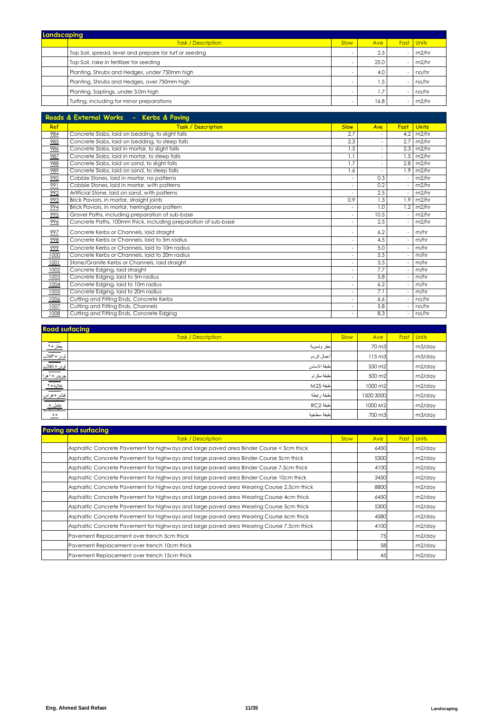| Landscaping |                                                         |      |      |      |              |  |  |  |
|-------------|---------------------------------------------------------|------|------|------|--------------|--|--|--|
|             | <b>Task / Description</b>                               | Slow | Ave  | Fast | <b>Units</b> |  |  |  |
|             | Top Soil, spread, level and prepare for turf or seeding | -    | 2.5  |      | m2/hr        |  |  |  |
|             | Top Soil, rake in fertilizer for seeding                | -    | 25.0 |      | m2/hr        |  |  |  |
|             | Planting, Shrubs and Hedges, under 750mm high           | -    | 4.0  |      | no/hr        |  |  |  |
|             | Planting, Shrubs and Hedges, over 750mm high            | -    | . .5 |      | no/hr        |  |  |  |
|             | Planting, Saplings, under 3.0m high                     | -    |      |      | no/hr        |  |  |  |
|             | Turfing, including for minor preparations               | ۰    | 16.8 |      | $-$ m2/hr    |  |  |  |

|      | Roads & External Works - Kerbs & Paving                        |                          |      |      |              |
|------|----------------------------------------------------------------|--------------------------|------|------|--------------|
| Ref  | Task / Description                                             | <b>Slow</b>              | Ave  | Fast | <b>Units</b> |
| 984  | Concrete Slabs, laid on bedding, to slight falls               | 2.7                      |      | 4.2  | m2/hr        |
| 985  | Concrete Slabs, laid on bedding, to steep falls                | 2.3                      | ٠    | 2.7  | m2/hr        |
| 986  | Concrete Slabs, laid in mortar, to slight falls                | 1.5                      |      | 2.3  | m2/hr        |
| 987  | Concrete Slabs, laid in mortar, to steep falls                 | 1.1                      |      | 1.5  | m2/hr        |
| 988  | Concrete Slabs, laid on sand, to slight falls                  | 1.7                      | ٠    | 2.8  | m2/hr        |
| 989  | Concrete Slabs, laid on sand, to steep falls                   | 1.6                      |      | 1.9  | m2/hr        |
| 990  | Cobble Stones, laid in mortar, no patterns                     |                          | 0.3  |      | m2/hr        |
| 991  | Cobble Stones, laid in mortar, with patterns                   | $\overline{a}$           | 0.2  |      | m2/hr        |
| 992  | Artificial Stone, laid on sand, with patterns                  |                          | 2.5  |      | m2/hr        |
| 993  | Brick Paviors, in mortar, straight joints                      | 0.9                      | 1.3  | 1.9  | m2/hr        |
| 994  | Brick Paviors, in mortar, herringbone pattern                  | $\overline{a}$           | 1.0  | 1.2  | m2/hr        |
| 995  | Gravel Paths, including preparation of sub-base                | ٠                        | 10.5 |      | m2/hr        |
| 996  | Concrete Paths, 100mm thick, including preparation of sub-base |                          | 2.5  |      | m2/hr        |
| 997  | Concrete Kerbs or Channels, laid straight                      | $\overline{\phantom{a}}$ | 6.2  |      | m/hr         |
| 998  | Concrete Kerbs or Channels, laid to 5m radius                  |                          | 4.5  |      | m/hr         |
| 999  | Concrete Kerbs or Channels, laid to 10m radius                 |                          | 5.0  |      | m/hr         |
| 1000 | Concrete Kerbs or Channels, laid to 20m radius                 | ٠                        | 5.5  |      | m/hr         |
| 1001 | Stone/Granite Kerbs or Channels, laid straight                 | $\overline{a}$           | 3.5  |      | m/hr         |
| 1002 | Concrete Edging, laid straight                                 |                          | 7.7  |      | m/hr         |
| 1003 | Concrete Edging, laid to 5m radius                             | $\overline{a}$           | 5.8  |      | m/hr         |
| 1004 | Concrete Edging, laid to 10m radius                            | $\overline{a}$           | 6.2  |      | m/hr         |
| 1005 | Concrete Edging, laid to 20m radius                            | ٠                        | 7.1  |      | m/hr         |
| 1006 | Cutting and Fitting Ends, Concrete Kerbs                       |                          | 6.6  |      | no/hr        |
| 1007 | Cutting and Fitting Ends, Channels                             | $\overline{a}$           | 5.8  |      | no/hr        |
| 1008 | Cutting and Fitting Ends, Concrete Edging                      |                          | 8.3  |      | no/hr        |

| <b>Road surfacing</b> |                           |      |                    |      |        |
|-----------------------|---------------------------|------|--------------------|------|--------|
|                       | <b>Task / Description</b> | Slow | Ave                | Fast | Units  |
|                       | حفر وتسوية                |      | 70 m3              |      | m3/day |
|                       | أعمال الردم               |      | $115 \text{ m}$ 3  |      | m3/day |
|                       | طبقة الاساس               |      | 550 m2             |      | m2/day |
|                       | طبقة مكرام                |      | 500 m <sub>2</sub> |      | m2/day |
|                       | طبقة M25                  |      | 1000 m2            |      | m2/day |
|                       | طبقة ر ابطة               |      | 1500:3000          |      | m2/day |
|                       | AC2 طبقة                  |      | 1000 M2            |      | m2/day |
|                       | طنقة سطخبة                |      | 700 m3             |      | m3/day |

| <b>Paving and surfacing</b>                                                              |             |      |      |              |
|------------------------------------------------------------------------------------------|-------------|------|------|--------------|
| <b>Task / Description</b>                                                                | <b>Slow</b> | Ave  | Fast | <b>Units</b> |
| Asphaltic Concrete Pavement for highways and large paved area Binder Course < 5cm thick  |             | 6450 |      | m2/day       |
| Asphaltic Concrete Pavement for highways and large paved area Binder Course 5cm thick    |             | 5300 |      | m2/day       |
| Asphaltic Concrete Pavement for highways and large paved area Binder Course 7.5cm thick  |             | 4100 |      | m2/day       |
| Asphaltic Concrete Pavement for highways and large paved area Binder Course 10cm thick   |             | 3450 |      | m2/day       |
| Asphaltic Concrete Pavement for highways and large paved area Wearing Course 2.5cm thick |             | 8800 |      | m2/day       |
| Asphaltic Concrete Pavement for highways and large paved area Wearing Course 4cm thick   |             | 6450 |      | m2/day       |
| Asphaltic Concrete Pavement for highways and large paved area Wearing Course 5cm thick   |             | 5300 |      | m2/day       |
| Asphaltic Concrete Pavement for highways and large paved area Wearing Course 6cm thick   |             | 4580 |      | m2/day       |
| Asphaltic Concrete Pavement for highways and large paved area Wearing Course 7.5cm thick |             | 4100 |      | m2/day       |
| Pavement Replacement over trench 5cm thick                                               |             | 75   |      | m2/day       |
| Pavement Replacement over trench 10cm thick                                              |             | 58   |      | m2/day       |
| Pavement Replacement over trench 15cm thick                                              |             | 45   |      | m2/day       |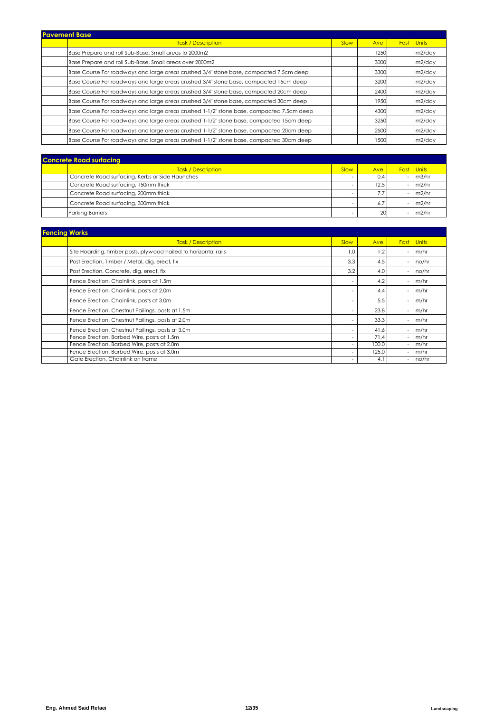| <b>Pavement Base</b> |                                                                                          |      |      |      |              |
|----------------------|------------------------------------------------------------------------------------------|------|------|------|--------------|
|                      | <b>Task / Description</b>                                                                | Slow | Ave  | Fast | <b>Units</b> |
|                      | Base Prepare and roll Sub-Base, Small areas to 2000m2                                    |      | 1250 |      | m2/day       |
|                      | Base Prepare and roll Sub-Base, Small areas over 2000m2                                  |      | 3000 |      | m2/day       |
|                      | Base Course For roadways and large areas crushed 3/4" stone base, compacted 7.5cm deep   |      | 3300 |      | m2/day       |
|                      | Base Course For roadways and large areas crushed 3/4" stone base, compacted 15cm deep    |      | 3200 |      | m2/day       |
|                      | Base Course For roadways and large areas crushed 3/4" stone base, compacted 20cm deep    |      | 2400 |      | m2/day       |
|                      | Base Course For roadways and large areas crushed 3/4" stone base, compacted 30cm deep    |      | 1950 |      | m2/day       |
|                      | Base Course For roadways and large areas crushed 1-1/2" stone base, compacted 7.5cm deep |      | 4300 |      | m2/day       |
|                      | Base Course For roadways and large areas crushed 1-1/2" stone base, compacted 15cm deep  |      | 3250 |      | m2/day       |
|                      | Base Course For roadways and large areas crushed 1-1/2" stone base, compacted 20cm deep  |      | 2500 |      | m2/day       |
|                      | Base Course For roadways and large areas crushed 1-1/2" stone base, compacted 30cm deep  |      | 1500 |      | m2/day       |

| <b>Concrete Road surfacing</b> |                                                 |      |      |  |                    |  |  |  |
|--------------------------------|-------------------------------------------------|------|------|--|--------------------|--|--|--|
|                                | <b>Task / Description</b>                       | Slow | Ave  |  | <b>Fast</b> Units  |  |  |  |
|                                | Concrete Road surfacing, Kerbs or Side Haunches |      | 0.4  |  | 1 <sub>m3/hr</sub> |  |  |  |
|                                | Concrete Road surfacing, 150mm thick            |      | 12.5 |  | m2/hr              |  |  |  |
|                                | Concrete Road surfacing, 200mm thick            |      |      |  | m2/hr              |  |  |  |
|                                | Concrete Road surfacing, 300mm thick            |      | 6.,  |  | m2/hr              |  |  |  |
|                                | <b>Parking Barriers</b>                         |      | 20   |  | m2/hr              |  |  |  |

| <b>Fencing Works</b>                                            |      |       |                          |              |  |  |  |  |
|-----------------------------------------------------------------|------|-------|--------------------------|--------------|--|--|--|--|
| <b>Task / Description</b>                                       | Slow | Ave   | Fast                     | <b>Units</b> |  |  |  |  |
| Site Hoarding, timber posts, plywood nailed to horizontal rails | 1.0  | 1.2   | ٠                        | m/hr         |  |  |  |  |
| Post Erection, Timber / Metal, dig, erect, fix                  | 3.3  | 4.5   | ٠                        | no/hr        |  |  |  |  |
| Post Erection, Concrete, dig, erect, fix                        | 3.2  | 4.0   | ٠                        | no/hr        |  |  |  |  |
| Fence Erection, Chainlink, posts at 1.5m                        |      | 4.2   | ٠                        | m/hr         |  |  |  |  |
| Fence Erection, Chainlink, posts at 2.0m                        |      | 4.4   | ٠                        | m/hr         |  |  |  |  |
| Fence Erection, Chainlink, posts at 3.0m                        |      | 5.5   |                          | m/hr         |  |  |  |  |
| Fence Erection, Chestnut Pailings, posts at 1.5m                |      | 23.8  | ٠                        | m/hr         |  |  |  |  |
| Fence Erection, Chestnut Pailings, posts at 2.0m                |      | 33.3  | ٠                        | m/hr         |  |  |  |  |
| Fence Erection, Chestnut Pailings, posts at 3.0m                |      | 41.6  |                          | m/hr         |  |  |  |  |
| Fence Erection, Barbed Wire, posts at 1.5m                      |      | 71.4  |                          | m/hr         |  |  |  |  |
| Fence Erection, Barbed Wire, posts at 2.0m                      |      | 100.0 |                          | m/hr         |  |  |  |  |
| Fence Erection, Barbed Wire, posts at 3.0m                      |      | 125.0 |                          | m/hr         |  |  |  |  |
| Gate Erection, Chainlink on frame                               |      | 4.1   | $\overline{\phantom{a}}$ | no/hr        |  |  |  |  |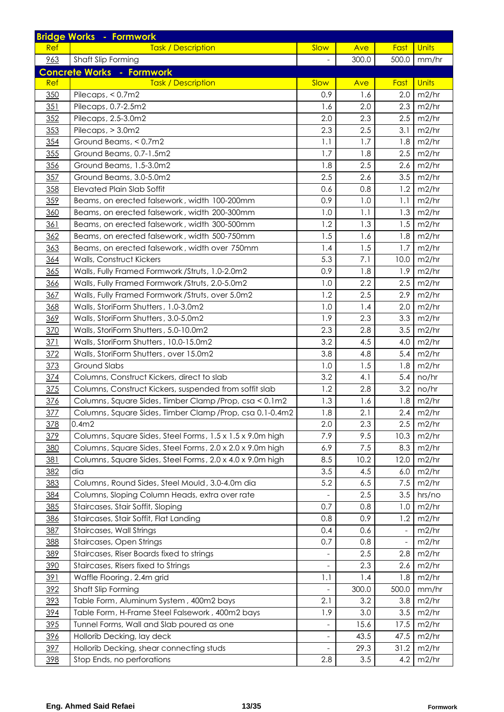| <b>Task / Description</b><br>Slow<br><b>Units</b><br>Ave<br>Fast<br>Ref<br>963<br>300.0<br>500.0<br>Shaft Slip Forming<br>mm/hr<br><b>Concrete Works - Formwork</b><br>Slow<br>Units<br><b>Ref</b><br><b>Task / Description</b><br>Fast<br>Ave<br>350<br>Pilecaps, < 0.7m2<br>0.9<br>1.6<br>2.0<br>m2/hr<br>351<br>Pilecaps, 0.7-2.5m2<br>1.6<br>2.0<br>2.3<br>m2/hr<br>352<br>2.3<br>2.5<br>m2/hr<br>Pilecaps, 2.5-3.0m2<br>2.0<br>353<br>2.3<br>2.5<br>m2/hr<br>Pilecaps, $>$ 3.0m2<br>3.1<br>1.7<br>1.1<br>m2/hr<br>354<br>Ground Beams, < 0.7m2<br>1.8<br>355<br>Ground Beams, 0.7-1.5m2<br>1.7<br>2.5<br>m2/hr<br>1.8<br>2.5<br>356<br>Ground Beams, 1.5-3.0m2<br>1.8<br>2.6<br>m2/hr<br>357<br>2.5<br>2.6<br>3.5<br>m2/hr<br>Ground Beams, 3.0-5.0m2<br>358<br>0.8<br><b>Elevated Plain Slab Soffit</b><br>0.6<br>1.2<br>m2/hr<br>359<br>Beams, on erected falsework, width 100-200mm<br>0.9<br>1.0<br>1.1<br>m2/hr<br>1.0<br>1.1<br>1.3<br>m2/hr<br>360<br>Beams, on erected falsework, width 200-300mm<br>1.3<br>361<br>Beams, on erected falsework, width 300-500mm<br>1.2<br>1.5<br>m2/hr<br>1.5<br>m2/hr<br>362<br>Beams, on erected falsework, width 500-750mm<br>1.6<br>1.8<br>1.5<br>1.7<br>363<br>m2/hr<br>Beams, on erected falsework, width over 750mm<br>1.4<br>5.3<br>364<br>Walls, Construct Kickers<br>7.1<br>10.0<br>m2/hr<br>365<br>0.9<br>1.8<br>1.9<br>m2/hr<br>Walls, Fully Framed Formwork / Struts, 1.0-2.0m2<br>2.2<br>Walls, Fully Framed Formwork / Struts, 2.0-5.0m2<br>1.0<br>2.5<br>m2/hr<br>366<br>2.5<br>2.9<br>1.2<br>367<br>Walls, Fully Framed Formwork / Struts, over 5.0m2<br>m2/hr<br>2.0<br>368<br>Walls, StoriForm Shutters, 1.0-3.0m2<br>1.0<br>1.4<br>m2/hr<br>1.9<br>2.3<br>369<br>Walls, StoriForm Shutters, 3.0-5.0m2<br>3.3<br>m2/hr<br>370<br>2.3<br>2.8<br>Walls, StoriForm Shutters, 5.0-10.0m2<br>3.5<br>m2/hr<br>3.2<br>4.5<br>371<br>Walls, StoriForm Shutters, 10.0-15.0m2<br>m2/hr<br>4.0<br>372<br>Walls, StoriForm Shutters, over 15.0m2<br>3.8<br>4.8<br>5.4<br>m2/hr<br>373<br><b>Ground Slabs</b><br>1.0<br>1.5<br>1.8<br>m2/hr<br>3.2<br>5.4<br>374<br>Columns, Construct Kickers, direct to slab<br>4.1<br>no/hr<br>375<br>Columns, Construct Kickers, suspended from soffit slab<br>1.2<br>2.8<br>3.2<br>no/hr<br>376<br>Columns, Square Sides, Timber Clamp / Prop, csa < 0.1m2<br>1.3<br>1.6<br>m2/hr<br>1.8<br>Columns, Square Sides, Timber Clamp / Prop, csa 0.1-0.4m2<br>1.8<br>m2/hr<br><u>377</u><br>2.1<br>2.4<br>378<br>0.4 <sub>m2</sub><br>2.0<br>2.3<br>2.5<br>m2/hr<br>379<br>Columns, Square Sides, Steel Forms, 1.5 x 1.5 x 9.0m high<br>7.9<br>9.5<br>10.3<br>m2/hr<br>380<br>Columns, Square Sides, Steel Forms, 2.0 x 2.0 x 9.0m high<br>7.5<br>m2/hr<br>6.9<br>8.3<br>381<br>Columns, Square Sides, Steel Forms, 2.0 x 4.0 x 9.0m high<br>8.5<br>m2/hr<br>10.2<br>12.0<br>3.5<br>382<br>dia<br>4.5<br>6.0<br>m2/hr<br>Columns, Round Sides, Steel Mould, 3.0-4.0m dia<br>383<br>5.2<br>m2/hr<br>6.5<br>7.5<br>384<br>Columns, Sloping Column Heads, extra over rate<br>2.5<br>3.5<br>hrs/no<br>385<br>Staircases, Stair Soffit, Sloping<br>0.8<br>0.7<br>1.0<br>m2/hr<br>386<br>Staircases, Stair Soffit, Flat Landing<br>0.9<br>m2/hr<br>0.8<br>1.2<br>387<br>Staircases, Wall Strings<br>0.4<br>m2/hr<br>0.6<br>$\overline{\phantom{a}}$<br>388<br>Staircases, Open Strings<br>0.7<br>0.8<br>m2/hr<br>$\overline{\phantom{a}}$<br>389<br>Staircases, Riser Boards fixed to strings<br>2.5<br>2.8<br>m2/hr<br>$\qquad \qquad -$<br>390<br>Staircases, Risers fixed to Strings<br>m2/hr<br>2.3<br>2.6<br>391<br>Waffle Flooring, 2.4m grid<br>1.4<br>1.8<br>m2/hr<br>1.1<br>392<br>Shaft Slip Forming<br>300.0<br>500.0<br>mm/hr<br>393<br>Table Form, Aluminum System, 400m2 bays<br>2.1<br>3.2<br>m2/hr<br>3.8<br>394<br>Table Form, H-Frame Steel Falsework, 400m2 bays<br>1.9<br>3.0<br>3.5<br>m2/hr<br>395<br>Tunnel Forms, Wall and Slab poured as one<br>15.6<br>17.5<br>m2/hr<br>396<br>Hollorib Decking, lay deck<br>43.5<br>47.5<br>m2/hr<br>$\overline{\phantom{a}}$<br>397<br>Hollorib Decking, shear connecting studs<br>31.2<br>29.3<br>m2/hr<br>398<br>Stop Ends, no perforations<br>m2/hr<br>2.8<br>3.5<br>4.2 | <b>Bridge Works - Formwork</b> |  |  |
|----------------------------------------------------------------------------------------------------------------------------------------------------------------------------------------------------------------------------------------------------------------------------------------------------------------------------------------------------------------------------------------------------------------------------------------------------------------------------------------------------------------------------------------------------------------------------------------------------------------------------------------------------------------------------------------------------------------------------------------------------------------------------------------------------------------------------------------------------------------------------------------------------------------------------------------------------------------------------------------------------------------------------------------------------------------------------------------------------------------------------------------------------------------------------------------------------------------------------------------------------------------------------------------------------------------------------------------------------------------------------------------------------------------------------------------------------------------------------------------------------------------------------------------------------------------------------------------------------------------------------------------------------------------------------------------------------------------------------------------------------------------------------------------------------------------------------------------------------------------------------------------------------------------------------------------------------------------------------------------------------------------------------------------------------------------------------------------------------------------------------------------------------------------------------------------------------------------------------------------------------------------------------------------------------------------------------------------------------------------------------------------------------------------------------------------------------------------------------------------------------------------------------------------------------------------------------------------------------------------------------------------------------------------------------------------------------------------------------------------------------------------------------------------------------------------------------------------------------------------------------------------------------------------------------------------------------------------------------------------------------------------------------------------------------------------------------------------------------------------------------------------------------------------------------------------------------------------------------------------------------------------------------------------------------------------------------------------------------------------------------------------------------------------------------------------------------------------------------------------------------------------------------------------------------------------------------------------------------------------------------------------------------------------------------------------------------------------------------------------------------------------------------------------------------------------------------------------------------------------------------------------------------------------------------------------------------------------------------------------------------------------------------------------------------------------------------------------------------------------------------------------------------------------------------------------------------------------------|--------------------------------|--|--|
|                                                                                                                                                                                                                                                                                                                                                                                                                                                                                                                                                                                                                                                                                                                                                                                                                                                                                                                                                                                                                                                                                                                                                                                                                                                                                                                                                                                                                                                                                                                                                                                                                                                                                                                                                                                                                                                                                                                                                                                                                                                                                                                                                                                                                                                                                                                                                                                                                                                                                                                                                                                                                                                                                                                                                                                                                                                                                                                                                                                                                                                                                                                                                                                                                                                                                                                                                                                                                                                                                                                                                                                                                                                                                                                                                                                                                                                                                                                                                                                                                                                                                                                                                                                                                      |                                |  |  |
|                                                                                                                                                                                                                                                                                                                                                                                                                                                                                                                                                                                                                                                                                                                                                                                                                                                                                                                                                                                                                                                                                                                                                                                                                                                                                                                                                                                                                                                                                                                                                                                                                                                                                                                                                                                                                                                                                                                                                                                                                                                                                                                                                                                                                                                                                                                                                                                                                                                                                                                                                                                                                                                                                                                                                                                                                                                                                                                                                                                                                                                                                                                                                                                                                                                                                                                                                                                                                                                                                                                                                                                                                                                                                                                                                                                                                                                                                                                                                                                                                                                                                                                                                                                                                      |                                |  |  |
|                                                                                                                                                                                                                                                                                                                                                                                                                                                                                                                                                                                                                                                                                                                                                                                                                                                                                                                                                                                                                                                                                                                                                                                                                                                                                                                                                                                                                                                                                                                                                                                                                                                                                                                                                                                                                                                                                                                                                                                                                                                                                                                                                                                                                                                                                                                                                                                                                                                                                                                                                                                                                                                                                                                                                                                                                                                                                                                                                                                                                                                                                                                                                                                                                                                                                                                                                                                                                                                                                                                                                                                                                                                                                                                                                                                                                                                                                                                                                                                                                                                                                                                                                                                                                      |                                |  |  |
|                                                                                                                                                                                                                                                                                                                                                                                                                                                                                                                                                                                                                                                                                                                                                                                                                                                                                                                                                                                                                                                                                                                                                                                                                                                                                                                                                                                                                                                                                                                                                                                                                                                                                                                                                                                                                                                                                                                                                                                                                                                                                                                                                                                                                                                                                                                                                                                                                                                                                                                                                                                                                                                                                                                                                                                                                                                                                                                                                                                                                                                                                                                                                                                                                                                                                                                                                                                                                                                                                                                                                                                                                                                                                                                                                                                                                                                                                                                                                                                                                                                                                                                                                                                                                      |                                |  |  |
|                                                                                                                                                                                                                                                                                                                                                                                                                                                                                                                                                                                                                                                                                                                                                                                                                                                                                                                                                                                                                                                                                                                                                                                                                                                                                                                                                                                                                                                                                                                                                                                                                                                                                                                                                                                                                                                                                                                                                                                                                                                                                                                                                                                                                                                                                                                                                                                                                                                                                                                                                                                                                                                                                                                                                                                                                                                                                                                                                                                                                                                                                                                                                                                                                                                                                                                                                                                                                                                                                                                                                                                                                                                                                                                                                                                                                                                                                                                                                                                                                                                                                                                                                                                                                      |                                |  |  |
|                                                                                                                                                                                                                                                                                                                                                                                                                                                                                                                                                                                                                                                                                                                                                                                                                                                                                                                                                                                                                                                                                                                                                                                                                                                                                                                                                                                                                                                                                                                                                                                                                                                                                                                                                                                                                                                                                                                                                                                                                                                                                                                                                                                                                                                                                                                                                                                                                                                                                                                                                                                                                                                                                                                                                                                                                                                                                                                                                                                                                                                                                                                                                                                                                                                                                                                                                                                                                                                                                                                                                                                                                                                                                                                                                                                                                                                                                                                                                                                                                                                                                                                                                                                                                      |                                |  |  |
|                                                                                                                                                                                                                                                                                                                                                                                                                                                                                                                                                                                                                                                                                                                                                                                                                                                                                                                                                                                                                                                                                                                                                                                                                                                                                                                                                                                                                                                                                                                                                                                                                                                                                                                                                                                                                                                                                                                                                                                                                                                                                                                                                                                                                                                                                                                                                                                                                                                                                                                                                                                                                                                                                                                                                                                                                                                                                                                                                                                                                                                                                                                                                                                                                                                                                                                                                                                                                                                                                                                                                                                                                                                                                                                                                                                                                                                                                                                                                                                                                                                                                                                                                                                                                      |                                |  |  |
|                                                                                                                                                                                                                                                                                                                                                                                                                                                                                                                                                                                                                                                                                                                                                                                                                                                                                                                                                                                                                                                                                                                                                                                                                                                                                                                                                                                                                                                                                                                                                                                                                                                                                                                                                                                                                                                                                                                                                                                                                                                                                                                                                                                                                                                                                                                                                                                                                                                                                                                                                                                                                                                                                                                                                                                                                                                                                                                                                                                                                                                                                                                                                                                                                                                                                                                                                                                                                                                                                                                                                                                                                                                                                                                                                                                                                                                                                                                                                                                                                                                                                                                                                                                                                      |                                |  |  |
|                                                                                                                                                                                                                                                                                                                                                                                                                                                                                                                                                                                                                                                                                                                                                                                                                                                                                                                                                                                                                                                                                                                                                                                                                                                                                                                                                                                                                                                                                                                                                                                                                                                                                                                                                                                                                                                                                                                                                                                                                                                                                                                                                                                                                                                                                                                                                                                                                                                                                                                                                                                                                                                                                                                                                                                                                                                                                                                                                                                                                                                                                                                                                                                                                                                                                                                                                                                                                                                                                                                                                                                                                                                                                                                                                                                                                                                                                                                                                                                                                                                                                                                                                                                                                      |                                |  |  |
|                                                                                                                                                                                                                                                                                                                                                                                                                                                                                                                                                                                                                                                                                                                                                                                                                                                                                                                                                                                                                                                                                                                                                                                                                                                                                                                                                                                                                                                                                                                                                                                                                                                                                                                                                                                                                                                                                                                                                                                                                                                                                                                                                                                                                                                                                                                                                                                                                                                                                                                                                                                                                                                                                                                                                                                                                                                                                                                                                                                                                                                                                                                                                                                                                                                                                                                                                                                                                                                                                                                                                                                                                                                                                                                                                                                                                                                                                                                                                                                                                                                                                                                                                                                                                      |                                |  |  |
|                                                                                                                                                                                                                                                                                                                                                                                                                                                                                                                                                                                                                                                                                                                                                                                                                                                                                                                                                                                                                                                                                                                                                                                                                                                                                                                                                                                                                                                                                                                                                                                                                                                                                                                                                                                                                                                                                                                                                                                                                                                                                                                                                                                                                                                                                                                                                                                                                                                                                                                                                                                                                                                                                                                                                                                                                                                                                                                                                                                                                                                                                                                                                                                                                                                                                                                                                                                                                                                                                                                                                                                                                                                                                                                                                                                                                                                                                                                                                                                                                                                                                                                                                                                                                      |                                |  |  |
|                                                                                                                                                                                                                                                                                                                                                                                                                                                                                                                                                                                                                                                                                                                                                                                                                                                                                                                                                                                                                                                                                                                                                                                                                                                                                                                                                                                                                                                                                                                                                                                                                                                                                                                                                                                                                                                                                                                                                                                                                                                                                                                                                                                                                                                                                                                                                                                                                                                                                                                                                                                                                                                                                                                                                                                                                                                                                                                                                                                                                                                                                                                                                                                                                                                                                                                                                                                                                                                                                                                                                                                                                                                                                                                                                                                                                                                                                                                                                                                                                                                                                                                                                                                                                      |                                |  |  |
|                                                                                                                                                                                                                                                                                                                                                                                                                                                                                                                                                                                                                                                                                                                                                                                                                                                                                                                                                                                                                                                                                                                                                                                                                                                                                                                                                                                                                                                                                                                                                                                                                                                                                                                                                                                                                                                                                                                                                                                                                                                                                                                                                                                                                                                                                                                                                                                                                                                                                                                                                                                                                                                                                                                                                                                                                                                                                                                                                                                                                                                                                                                                                                                                                                                                                                                                                                                                                                                                                                                                                                                                                                                                                                                                                                                                                                                                                                                                                                                                                                                                                                                                                                                                                      |                                |  |  |
|                                                                                                                                                                                                                                                                                                                                                                                                                                                                                                                                                                                                                                                                                                                                                                                                                                                                                                                                                                                                                                                                                                                                                                                                                                                                                                                                                                                                                                                                                                                                                                                                                                                                                                                                                                                                                                                                                                                                                                                                                                                                                                                                                                                                                                                                                                                                                                                                                                                                                                                                                                                                                                                                                                                                                                                                                                                                                                                                                                                                                                                                                                                                                                                                                                                                                                                                                                                                                                                                                                                                                                                                                                                                                                                                                                                                                                                                                                                                                                                                                                                                                                                                                                                                                      |                                |  |  |
|                                                                                                                                                                                                                                                                                                                                                                                                                                                                                                                                                                                                                                                                                                                                                                                                                                                                                                                                                                                                                                                                                                                                                                                                                                                                                                                                                                                                                                                                                                                                                                                                                                                                                                                                                                                                                                                                                                                                                                                                                                                                                                                                                                                                                                                                                                                                                                                                                                                                                                                                                                                                                                                                                                                                                                                                                                                                                                                                                                                                                                                                                                                                                                                                                                                                                                                                                                                                                                                                                                                                                                                                                                                                                                                                                                                                                                                                                                                                                                                                                                                                                                                                                                                                                      |                                |  |  |
|                                                                                                                                                                                                                                                                                                                                                                                                                                                                                                                                                                                                                                                                                                                                                                                                                                                                                                                                                                                                                                                                                                                                                                                                                                                                                                                                                                                                                                                                                                                                                                                                                                                                                                                                                                                                                                                                                                                                                                                                                                                                                                                                                                                                                                                                                                                                                                                                                                                                                                                                                                                                                                                                                                                                                                                                                                                                                                                                                                                                                                                                                                                                                                                                                                                                                                                                                                                                                                                                                                                                                                                                                                                                                                                                                                                                                                                                                                                                                                                                                                                                                                                                                                                                                      |                                |  |  |
|                                                                                                                                                                                                                                                                                                                                                                                                                                                                                                                                                                                                                                                                                                                                                                                                                                                                                                                                                                                                                                                                                                                                                                                                                                                                                                                                                                                                                                                                                                                                                                                                                                                                                                                                                                                                                                                                                                                                                                                                                                                                                                                                                                                                                                                                                                                                                                                                                                                                                                                                                                                                                                                                                                                                                                                                                                                                                                                                                                                                                                                                                                                                                                                                                                                                                                                                                                                                                                                                                                                                                                                                                                                                                                                                                                                                                                                                                                                                                                                                                                                                                                                                                                                                                      |                                |  |  |
|                                                                                                                                                                                                                                                                                                                                                                                                                                                                                                                                                                                                                                                                                                                                                                                                                                                                                                                                                                                                                                                                                                                                                                                                                                                                                                                                                                                                                                                                                                                                                                                                                                                                                                                                                                                                                                                                                                                                                                                                                                                                                                                                                                                                                                                                                                                                                                                                                                                                                                                                                                                                                                                                                                                                                                                                                                                                                                                                                                                                                                                                                                                                                                                                                                                                                                                                                                                                                                                                                                                                                                                                                                                                                                                                                                                                                                                                                                                                                                                                                                                                                                                                                                                                                      |                                |  |  |
|                                                                                                                                                                                                                                                                                                                                                                                                                                                                                                                                                                                                                                                                                                                                                                                                                                                                                                                                                                                                                                                                                                                                                                                                                                                                                                                                                                                                                                                                                                                                                                                                                                                                                                                                                                                                                                                                                                                                                                                                                                                                                                                                                                                                                                                                                                                                                                                                                                                                                                                                                                                                                                                                                                                                                                                                                                                                                                                                                                                                                                                                                                                                                                                                                                                                                                                                                                                                                                                                                                                                                                                                                                                                                                                                                                                                                                                                                                                                                                                                                                                                                                                                                                                                                      |                                |  |  |
|                                                                                                                                                                                                                                                                                                                                                                                                                                                                                                                                                                                                                                                                                                                                                                                                                                                                                                                                                                                                                                                                                                                                                                                                                                                                                                                                                                                                                                                                                                                                                                                                                                                                                                                                                                                                                                                                                                                                                                                                                                                                                                                                                                                                                                                                                                                                                                                                                                                                                                                                                                                                                                                                                                                                                                                                                                                                                                                                                                                                                                                                                                                                                                                                                                                                                                                                                                                                                                                                                                                                                                                                                                                                                                                                                                                                                                                                                                                                                                                                                                                                                                                                                                                                                      |                                |  |  |
|                                                                                                                                                                                                                                                                                                                                                                                                                                                                                                                                                                                                                                                                                                                                                                                                                                                                                                                                                                                                                                                                                                                                                                                                                                                                                                                                                                                                                                                                                                                                                                                                                                                                                                                                                                                                                                                                                                                                                                                                                                                                                                                                                                                                                                                                                                                                                                                                                                                                                                                                                                                                                                                                                                                                                                                                                                                                                                                                                                                                                                                                                                                                                                                                                                                                                                                                                                                                                                                                                                                                                                                                                                                                                                                                                                                                                                                                                                                                                                                                                                                                                                                                                                                                                      |                                |  |  |
|                                                                                                                                                                                                                                                                                                                                                                                                                                                                                                                                                                                                                                                                                                                                                                                                                                                                                                                                                                                                                                                                                                                                                                                                                                                                                                                                                                                                                                                                                                                                                                                                                                                                                                                                                                                                                                                                                                                                                                                                                                                                                                                                                                                                                                                                                                                                                                                                                                                                                                                                                                                                                                                                                                                                                                                                                                                                                                                                                                                                                                                                                                                                                                                                                                                                                                                                                                                                                                                                                                                                                                                                                                                                                                                                                                                                                                                                                                                                                                                                                                                                                                                                                                                                                      |                                |  |  |
|                                                                                                                                                                                                                                                                                                                                                                                                                                                                                                                                                                                                                                                                                                                                                                                                                                                                                                                                                                                                                                                                                                                                                                                                                                                                                                                                                                                                                                                                                                                                                                                                                                                                                                                                                                                                                                                                                                                                                                                                                                                                                                                                                                                                                                                                                                                                                                                                                                                                                                                                                                                                                                                                                                                                                                                                                                                                                                                                                                                                                                                                                                                                                                                                                                                                                                                                                                                                                                                                                                                                                                                                                                                                                                                                                                                                                                                                                                                                                                                                                                                                                                                                                                                                                      |                                |  |  |
|                                                                                                                                                                                                                                                                                                                                                                                                                                                                                                                                                                                                                                                                                                                                                                                                                                                                                                                                                                                                                                                                                                                                                                                                                                                                                                                                                                                                                                                                                                                                                                                                                                                                                                                                                                                                                                                                                                                                                                                                                                                                                                                                                                                                                                                                                                                                                                                                                                                                                                                                                                                                                                                                                                                                                                                                                                                                                                                                                                                                                                                                                                                                                                                                                                                                                                                                                                                                                                                                                                                                                                                                                                                                                                                                                                                                                                                                                                                                                                                                                                                                                                                                                                                                                      |                                |  |  |
|                                                                                                                                                                                                                                                                                                                                                                                                                                                                                                                                                                                                                                                                                                                                                                                                                                                                                                                                                                                                                                                                                                                                                                                                                                                                                                                                                                                                                                                                                                                                                                                                                                                                                                                                                                                                                                                                                                                                                                                                                                                                                                                                                                                                                                                                                                                                                                                                                                                                                                                                                                                                                                                                                                                                                                                                                                                                                                                                                                                                                                                                                                                                                                                                                                                                                                                                                                                                                                                                                                                                                                                                                                                                                                                                                                                                                                                                                                                                                                                                                                                                                                                                                                                                                      |                                |  |  |
|                                                                                                                                                                                                                                                                                                                                                                                                                                                                                                                                                                                                                                                                                                                                                                                                                                                                                                                                                                                                                                                                                                                                                                                                                                                                                                                                                                                                                                                                                                                                                                                                                                                                                                                                                                                                                                                                                                                                                                                                                                                                                                                                                                                                                                                                                                                                                                                                                                                                                                                                                                                                                                                                                                                                                                                                                                                                                                                                                                                                                                                                                                                                                                                                                                                                                                                                                                                                                                                                                                                                                                                                                                                                                                                                                                                                                                                                                                                                                                                                                                                                                                                                                                                                                      |                                |  |  |
|                                                                                                                                                                                                                                                                                                                                                                                                                                                                                                                                                                                                                                                                                                                                                                                                                                                                                                                                                                                                                                                                                                                                                                                                                                                                                                                                                                                                                                                                                                                                                                                                                                                                                                                                                                                                                                                                                                                                                                                                                                                                                                                                                                                                                                                                                                                                                                                                                                                                                                                                                                                                                                                                                                                                                                                                                                                                                                                                                                                                                                                                                                                                                                                                                                                                                                                                                                                                                                                                                                                                                                                                                                                                                                                                                                                                                                                                                                                                                                                                                                                                                                                                                                                                                      |                                |  |  |
|                                                                                                                                                                                                                                                                                                                                                                                                                                                                                                                                                                                                                                                                                                                                                                                                                                                                                                                                                                                                                                                                                                                                                                                                                                                                                                                                                                                                                                                                                                                                                                                                                                                                                                                                                                                                                                                                                                                                                                                                                                                                                                                                                                                                                                                                                                                                                                                                                                                                                                                                                                                                                                                                                                                                                                                                                                                                                                                                                                                                                                                                                                                                                                                                                                                                                                                                                                                                                                                                                                                                                                                                                                                                                                                                                                                                                                                                                                                                                                                                                                                                                                                                                                                                                      |                                |  |  |
|                                                                                                                                                                                                                                                                                                                                                                                                                                                                                                                                                                                                                                                                                                                                                                                                                                                                                                                                                                                                                                                                                                                                                                                                                                                                                                                                                                                                                                                                                                                                                                                                                                                                                                                                                                                                                                                                                                                                                                                                                                                                                                                                                                                                                                                                                                                                                                                                                                                                                                                                                                                                                                                                                                                                                                                                                                                                                                                                                                                                                                                                                                                                                                                                                                                                                                                                                                                                                                                                                                                                                                                                                                                                                                                                                                                                                                                                                                                                                                                                                                                                                                                                                                                                                      |                                |  |  |
|                                                                                                                                                                                                                                                                                                                                                                                                                                                                                                                                                                                                                                                                                                                                                                                                                                                                                                                                                                                                                                                                                                                                                                                                                                                                                                                                                                                                                                                                                                                                                                                                                                                                                                                                                                                                                                                                                                                                                                                                                                                                                                                                                                                                                                                                                                                                                                                                                                                                                                                                                                                                                                                                                                                                                                                                                                                                                                                                                                                                                                                                                                                                                                                                                                                                                                                                                                                                                                                                                                                                                                                                                                                                                                                                                                                                                                                                                                                                                                                                                                                                                                                                                                                                                      |                                |  |  |
|                                                                                                                                                                                                                                                                                                                                                                                                                                                                                                                                                                                                                                                                                                                                                                                                                                                                                                                                                                                                                                                                                                                                                                                                                                                                                                                                                                                                                                                                                                                                                                                                                                                                                                                                                                                                                                                                                                                                                                                                                                                                                                                                                                                                                                                                                                                                                                                                                                                                                                                                                                                                                                                                                                                                                                                                                                                                                                                                                                                                                                                                                                                                                                                                                                                                                                                                                                                                                                                                                                                                                                                                                                                                                                                                                                                                                                                                                                                                                                                                                                                                                                                                                                                                                      |                                |  |  |
|                                                                                                                                                                                                                                                                                                                                                                                                                                                                                                                                                                                                                                                                                                                                                                                                                                                                                                                                                                                                                                                                                                                                                                                                                                                                                                                                                                                                                                                                                                                                                                                                                                                                                                                                                                                                                                                                                                                                                                                                                                                                                                                                                                                                                                                                                                                                                                                                                                                                                                                                                                                                                                                                                                                                                                                                                                                                                                                                                                                                                                                                                                                                                                                                                                                                                                                                                                                                                                                                                                                                                                                                                                                                                                                                                                                                                                                                                                                                                                                                                                                                                                                                                                                                                      |                                |  |  |
|                                                                                                                                                                                                                                                                                                                                                                                                                                                                                                                                                                                                                                                                                                                                                                                                                                                                                                                                                                                                                                                                                                                                                                                                                                                                                                                                                                                                                                                                                                                                                                                                                                                                                                                                                                                                                                                                                                                                                                                                                                                                                                                                                                                                                                                                                                                                                                                                                                                                                                                                                                                                                                                                                                                                                                                                                                                                                                                                                                                                                                                                                                                                                                                                                                                                                                                                                                                                                                                                                                                                                                                                                                                                                                                                                                                                                                                                                                                                                                                                                                                                                                                                                                                                                      |                                |  |  |
|                                                                                                                                                                                                                                                                                                                                                                                                                                                                                                                                                                                                                                                                                                                                                                                                                                                                                                                                                                                                                                                                                                                                                                                                                                                                                                                                                                                                                                                                                                                                                                                                                                                                                                                                                                                                                                                                                                                                                                                                                                                                                                                                                                                                                                                                                                                                                                                                                                                                                                                                                                                                                                                                                                                                                                                                                                                                                                                                                                                                                                                                                                                                                                                                                                                                                                                                                                                                                                                                                                                                                                                                                                                                                                                                                                                                                                                                                                                                                                                                                                                                                                                                                                                                                      |                                |  |  |
|                                                                                                                                                                                                                                                                                                                                                                                                                                                                                                                                                                                                                                                                                                                                                                                                                                                                                                                                                                                                                                                                                                                                                                                                                                                                                                                                                                                                                                                                                                                                                                                                                                                                                                                                                                                                                                                                                                                                                                                                                                                                                                                                                                                                                                                                                                                                                                                                                                                                                                                                                                                                                                                                                                                                                                                                                                                                                                                                                                                                                                                                                                                                                                                                                                                                                                                                                                                                                                                                                                                                                                                                                                                                                                                                                                                                                                                                                                                                                                                                                                                                                                                                                                                                                      |                                |  |  |
|                                                                                                                                                                                                                                                                                                                                                                                                                                                                                                                                                                                                                                                                                                                                                                                                                                                                                                                                                                                                                                                                                                                                                                                                                                                                                                                                                                                                                                                                                                                                                                                                                                                                                                                                                                                                                                                                                                                                                                                                                                                                                                                                                                                                                                                                                                                                                                                                                                                                                                                                                                                                                                                                                                                                                                                                                                                                                                                                                                                                                                                                                                                                                                                                                                                                                                                                                                                                                                                                                                                                                                                                                                                                                                                                                                                                                                                                                                                                                                                                                                                                                                                                                                                                                      |                                |  |  |
|                                                                                                                                                                                                                                                                                                                                                                                                                                                                                                                                                                                                                                                                                                                                                                                                                                                                                                                                                                                                                                                                                                                                                                                                                                                                                                                                                                                                                                                                                                                                                                                                                                                                                                                                                                                                                                                                                                                                                                                                                                                                                                                                                                                                                                                                                                                                                                                                                                                                                                                                                                                                                                                                                                                                                                                                                                                                                                                                                                                                                                                                                                                                                                                                                                                                                                                                                                                                                                                                                                                                                                                                                                                                                                                                                                                                                                                                                                                                                                                                                                                                                                                                                                                                                      |                                |  |  |
|                                                                                                                                                                                                                                                                                                                                                                                                                                                                                                                                                                                                                                                                                                                                                                                                                                                                                                                                                                                                                                                                                                                                                                                                                                                                                                                                                                                                                                                                                                                                                                                                                                                                                                                                                                                                                                                                                                                                                                                                                                                                                                                                                                                                                                                                                                                                                                                                                                                                                                                                                                                                                                                                                                                                                                                                                                                                                                                                                                                                                                                                                                                                                                                                                                                                                                                                                                                                                                                                                                                                                                                                                                                                                                                                                                                                                                                                                                                                                                                                                                                                                                                                                                                                                      |                                |  |  |
|                                                                                                                                                                                                                                                                                                                                                                                                                                                                                                                                                                                                                                                                                                                                                                                                                                                                                                                                                                                                                                                                                                                                                                                                                                                                                                                                                                                                                                                                                                                                                                                                                                                                                                                                                                                                                                                                                                                                                                                                                                                                                                                                                                                                                                                                                                                                                                                                                                                                                                                                                                                                                                                                                                                                                                                                                                                                                                                                                                                                                                                                                                                                                                                                                                                                                                                                                                                                                                                                                                                                                                                                                                                                                                                                                                                                                                                                                                                                                                                                                                                                                                                                                                                                                      |                                |  |  |
|                                                                                                                                                                                                                                                                                                                                                                                                                                                                                                                                                                                                                                                                                                                                                                                                                                                                                                                                                                                                                                                                                                                                                                                                                                                                                                                                                                                                                                                                                                                                                                                                                                                                                                                                                                                                                                                                                                                                                                                                                                                                                                                                                                                                                                                                                                                                                                                                                                                                                                                                                                                                                                                                                                                                                                                                                                                                                                                                                                                                                                                                                                                                                                                                                                                                                                                                                                                                                                                                                                                                                                                                                                                                                                                                                                                                                                                                                                                                                                                                                                                                                                                                                                                                                      |                                |  |  |
|                                                                                                                                                                                                                                                                                                                                                                                                                                                                                                                                                                                                                                                                                                                                                                                                                                                                                                                                                                                                                                                                                                                                                                                                                                                                                                                                                                                                                                                                                                                                                                                                                                                                                                                                                                                                                                                                                                                                                                                                                                                                                                                                                                                                                                                                                                                                                                                                                                                                                                                                                                                                                                                                                                                                                                                                                                                                                                                                                                                                                                                                                                                                                                                                                                                                                                                                                                                                                                                                                                                                                                                                                                                                                                                                                                                                                                                                                                                                                                                                                                                                                                                                                                                                                      |                                |  |  |
|                                                                                                                                                                                                                                                                                                                                                                                                                                                                                                                                                                                                                                                                                                                                                                                                                                                                                                                                                                                                                                                                                                                                                                                                                                                                                                                                                                                                                                                                                                                                                                                                                                                                                                                                                                                                                                                                                                                                                                                                                                                                                                                                                                                                                                                                                                                                                                                                                                                                                                                                                                                                                                                                                                                                                                                                                                                                                                                                                                                                                                                                                                                                                                                                                                                                                                                                                                                                                                                                                                                                                                                                                                                                                                                                                                                                                                                                                                                                                                                                                                                                                                                                                                                                                      |                                |  |  |
|                                                                                                                                                                                                                                                                                                                                                                                                                                                                                                                                                                                                                                                                                                                                                                                                                                                                                                                                                                                                                                                                                                                                                                                                                                                                                                                                                                                                                                                                                                                                                                                                                                                                                                                                                                                                                                                                                                                                                                                                                                                                                                                                                                                                                                                                                                                                                                                                                                                                                                                                                                                                                                                                                                                                                                                                                                                                                                                                                                                                                                                                                                                                                                                                                                                                                                                                                                                                                                                                                                                                                                                                                                                                                                                                                                                                                                                                                                                                                                                                                                                                                                                                                                                                                      |                                |  |  |
|                                                                                                                                                                                                                                                                                                                                                                                                                                                                                                                                                                                                                                                                                                                                                                                                                                                                                                                                                                                                                                                                                                                                                                                                                                                                                                                                                                                                                                                                                                                                                                                                                                                                                                                                                                                                                                                                                                                                                                                                                                                                                                                                                                                                                                                                                                                                                                                                                                                                                                                                                                                                                                                                                                                                                                                                                                                                                                                                                                                                                                                                                                                                                                                                                                                                                                                                                                                                                                                                                                                                                                                                                                                                                                                                                                                                                                                                                                                                                                                                                                                                                                                                                                                                                      |                                |  |  |
|                                                                                                                                                                                                                                                                                                                                                                                                                                                                                                                                                                                                                                                                                                                                                                                                                                                                                                                                                                                                                                                                                                                                                                                                                                                                                                                                                                                                                                                                                                                                                                                                                                                                                                                                                                                                                                                                                                                                                                                                                                                                                                                                                                                                                                                                                                                                                                                                                                                                                                                                                                                                                                                                                                                                                                                                                                                                                                                                                                                                                                                                                                                                                                                                                                                                                                                                                                                                                                                                                                                                                                                                                                                                                                                                                                                                                                                                                                                                                                                                                                                                                                                                                                                                                      |                                |  |  |
|                                                                                                                                                                                                                                                                                                                                                                                                                                                                                                                                                                                                                                                                                                                                                                                                                                                                                                                                                                                                                                                                                                                                                                                                                                                                                                                                                                                                                                                                                                                                                                                                                                                                                                                                                                                                                                                                                                                                                                                                                                                                                                                                                                                                                                                                                                                                                                                                                                                                                                                                                                                                                                                                                                                                                                                                                                                                                                                                                                                                                                                                                                                                                                                                                                                                                                                                                                                                                                                                                                                                                                                                                                                                                                                                                                                                                                                                                                                                                                                                                                                                                                                                                                                                                      |                                |  |  |
|                                                                                                                                                                                                                                                                                                                                                                                                                                                                                                                                                                                                                                                                                                                                                                                                                                                                                                                                                                                                                                                                                                                                                                                                                                                                                                                                                                                                                                                                                                                                                                                                                                                                                                                                                                                                                                                                                                                                                                                                                                                                                                                                                                                                                                                                                                                                                                                                                                                                                                                                                                                                                                                                                                                                                                                                                                                                                                                                                                                                                                                                                                                                                                                                                                                                                                                                                                                                                                                                                                                                                                                                                                                                                                                                                                                                                                                                                                                                                                                                                                                                                                                                                                                                                      |                                |  |  |
|                                                                                                                                                                                                                                                                                                                                                                                                                                                                                                                                                                                                                                                                                                                                                                                                                                                                                                                                                                                                                                                                                                                                                                                                                                                                                                                                                                                                                                                                                                                                                                                                                                                                                                                                                                                                                                                                                                                                                                                                                                                                                                                                                                                                                                                                                                                                                                                                                                                                                                                                                                                                                                                                                                                                                                                                                                                                                                                                                                                                                                                                                                                                                                                                                                                                                                                                                                                                                                                                                                                                                                                                                                                                                                                                                                                                                                                                                                                                                                                                                                                                                                                                                                                                                      |                                |  |  |
|                                                                                                                                                                                                                                                                                                                                                                                                                                                                                                                                                                                                                                                                                                                                                                                                                                                                                                                                                                                                                                                                                                                                                                                                                                                                                                                                                                                                                                                                                                                                                                                                                                                                                                                                                                                                                                                                                                                                                                                                                                                                                                                                                                                                                                                                                                                                                                                                                                                                                                                                                                                                                                                                                                                                                                                                                                                                                                                                                                                                                                                                                                                                                                                                                                                                                                                                                                                                                                                                                                                                                                                                                                                                                                                                                                                                                                                                                                                                                                                                                                                                                                                                                                                                                      |                                |  |  |
|                                                                                                                                                                                                                                                                                                                                                                                                                                                                                                                                                                                                                                                                                                                                                                                                                                                                                                                                                                                                                                                                                                                                                                                                                                                                                                                                                                                                                                                                                                                                                                                                                                                                                                                                                                                                                                                                                                                                                                                                                                                                                                                                                                                                                                                                                                                                                                                                                                                                                                                                                                                                                                                                                                                                                                                                                                                                                                                                                                                                                                                                                                                                                                                                                                                                                                                                                                                                                                                                                                                                                                                                                                                                                                                                                                                                                                                                                                                                                                                                                                                                                                                                                                                                                      |                                |  |  |
|                                                                                                                                                                                                                                                                                                                                                                                                                                                                                                                                                                                                                                                                                                                                                                                                                                                                                                                                                                                                                                                                                                                                                                                                                                                                                                                                                                                                                                                                                                                                                                                                                                                                                                                                                                                                                                                                                                                                                                                                                                                                                                                                                                                                                                                                                                                                                                                                                                                                                                                                                                                                                                                                                                                                                                                                                                                                                                                                                                                                                                                                                                                                                                                                                                                                                                                                                                                                                                                                                                                                                                                                                                                                                                                                                                                                                                                                                                                                                                                                                                                                                                                                                                                                                      |                                |  |  |
|                                                                                                                                                                                                                                                                                                                                                                                                                                                                                                                                                                                                                                                                                                                                                                                                                                                                                                                                                                                                                                                                                                                                                                                                                                                                                                                                                                                                                                                                                                                                                                                                                                                                                                                                                                                                                                                                                                                                                                                                                                                                                                                                                                                                                                                                                                                                                                                                                                                                                                                                                                                                                                                                                                                                                                                                                                                                                                                                                                                                                                                                                                                                                                                                                                                                                                                                                                                                                                                                                                                                                                                                                                                                                                                                                                                                                                                                                                                                                                                                                                                                                                                                                                                                                      |                                |  |  |
|                                                                                                                                                                                                                                                                                                                                                                                                                                                                                                                                                                                                                                                                                                                                                                                                                                                                                                                                                                                                                                                                                                                                                                                                                                                                                                                                                                                                                                                                                                                                                                                                                                                                                                                                                                                                                                                                                                                                                                                                                                                                                                                                                                                                                                                                                                                                                                                                                                                                                                                                                                                                                                                                                                                                                                                                                                                                                                                                                                                                                                                                                                                                                                                                                                                                                                                                                                                                                                                                                                                                                                                                                                                                                                                                                                                                                                                                                                                                                                                                                                                                                                                                                                                                                      |                                |  |  |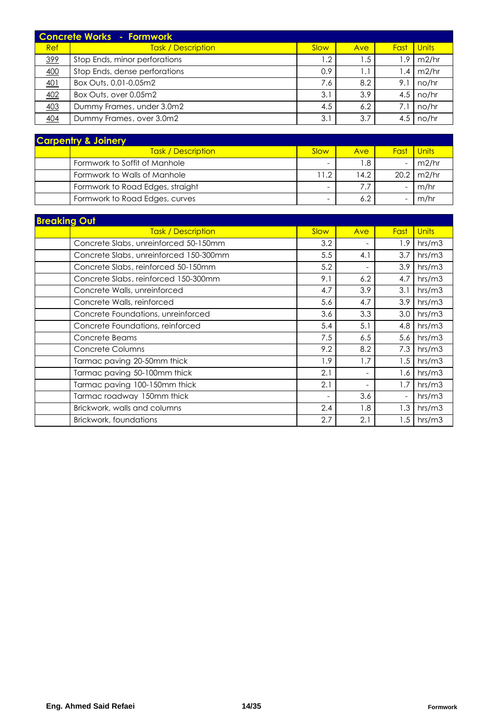|     | <b>Concrete Works - Formwork</b> |      |      |      |              |
|-----|----------------------------------|------|------|------|--------------|
| Ref | <b>Task / Description</b>        | Slow | Ave  | Fast | <b>Units</b> |
| 399 | Stop Ends, minor perforations    | .2   | 5. ا | .9   | m2/hr        |
| 400 | Stop Ends, dense perforations    | 0.9  |      | .4   | m2/hr        |
| 401 | Box Outs, 0.01-0.05m2            | 7.6  | 8.2  | 9.1  | no/hr        |
| 402 | Box Outs, over 0.05m2            | 3.1  | 3.9  | 4.5  | no/hr        |
| 403 | Dummy Frames, under 3.0m2        | 4.5  | 6.2  | 7.1  | no/hr        |
| 404 | Dummy Frames, over 3.0m2         | 3.1  | 3.7  | 4.5  | no/hr        |

| <b>Carpentry &amp; Joinery</b> |                                  |                          |      |                          |              |  |  |  |  |
|--------------------------------|----------------------------------|--------------------------|------|--------------------------|--------------|--|--|--|--|
|                                | <b>Task / Description</b>        | Slow                     | Ave  | <b>Fast</b>              | <b>Units</b> |  |  |  |  |
|                                | Formwork to Soffit of Manhole    | $\overline{\phantom{0}}$ | .8   | $\overline{\phantom{0}}$ | m2/hr        |  |  |  |  |
|                                | Formwork to Walls of Manhole     | 11.2                     | 14.2 | 20.2                     | m2/hr        |  |  |  |  |
|                                | Formwork to Road Edges, straight | -                        |      | $\overline{\phantom{0}}$ | m/hr         |  |  |  |  |
|                                | Formwork to Road Edges, curves   | $\overline{\phantom{0}}$ |      | $\overline{\phantom{0}}$ | m/hr         |  |  |  |  |

| <b>Breaking Out</b>                    |                          |                          |                          |              |  |  |  |  |  |
|----------------------------------------|--------------------------|--------------------------|--------------------------|--------------|--|--|--|--|--|
| <b>Task / Description</b>              | Slow                     | Ave                      | Fast                     | <b>Units</b> |  |  |  |  |  |
| Concrete Slabs, unreinforced 50-150mm  | 3.2                      | -                        | 1.9                      | hrs/m3       |  |  |  |  |  |
| Concrete Slabs, unreinforced 150-300mm | 5.5                      | 4.1                      | 3.7                      | hrs/m3       |  |  |  |  |  |
| Concrete Slabs, reinforced 50-150mm    | 5.2                      | -                        | 3.9                      | hrs/m3       |  |  |  |  |  |
| Concrete Slabs, reinforced 150-300mm   | 9.1                      | 6.2                      | 4.7                      | hrs/m3       |  |  |  |  |  |
| Concrete Walls, unreinforced           | 4.7                      | 3.9                      | 3.1                      | hrs/m3       |  |  |  |  |  |
| Concrete Walls, reinforced             | 5.6                      | 4.7                      | 3.9                      | hrs/m3       |  |  |  |  |  |
| Concrete Foundations, unreinforced     | 3.6                      | 3.3                      | 3.0                      | hrs/m3       |  |  |  |  |  |
| Concrete Foundations, reinforced       | 5.4                      | 5.1                      | 4.8                      | hrs/m3       |  |  |  |  |  |
| Concrete Beams                         | 7.5                      | 6.5                      | 5.6                      | hrs/m3       |  |  |  |  |  |
| Concrete Columns                       | 9.2                      | 8.2                      | 7.3                      | hrs/m3       |  |  |  |  |  |
| Tarmac paving 20-50mm thick            | 1.9                      | 1.7                      | 1.5                      | hrs/m3       |  |  |  |  |  |
| Tarmac paving 50-100mm thick           | 2.1                      | -                        | 1.6                      | hrs/m3       |  |  |  |  |  |
| Tarmac paving 100-150mm thick          | 2.1                      | $\overline{\phantom{0}}$ | 1.7                      | hrs/m3       |  |  |  |  |  |
| Tarmac roadway 150mm thick             | $\overline{\phantom{a}}$ | 3.6                      | $\overline{\phantom{a}}$ | hrs/m3       |  |  |  |  |  |
| Brickwork, walls and columns           | 2.4                      | 1.8                      | 1.3                      | hrs/m3       |  |  |  |  |  |
| Brickwork, foundations                 | 2.7                      | 2.1                      | 1.5                      | hrs/m3       |  |  |  |  |  |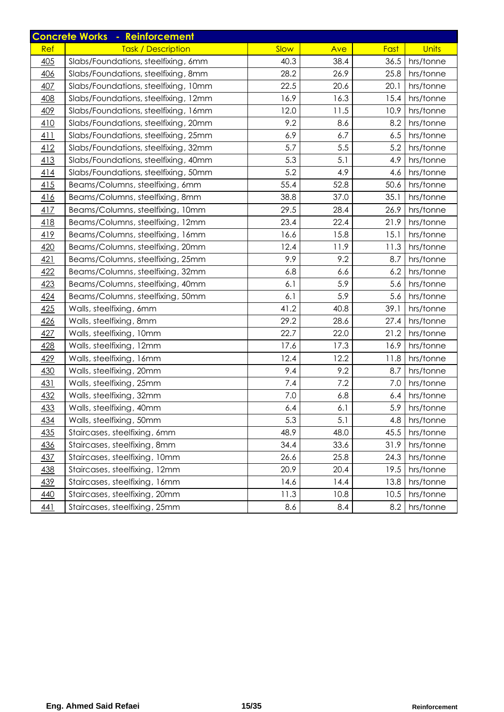|            | <b>Concrete Works - Reinforcement</b> |      |      |      |              |
|------------|---------------------------------------|------|------|------|--------------|
| Ref        | <b>Task / Description</b>             | Slow | Ave  | Fast | <b>Units</b> |
| 405        | Slabs/Foundations, steelfixing, 6mm   | 40.3 | 38.4 | 36.5 | hrs/tonne    |
| 406        | Slabs/Foundations, steelfixing, 8mm   | 28.2 | 26.9 | 25.8 | hrs/tonne    |
| 407        | Slabs/Foundations, steelfixing, 10mm  | 22.5 | 20.6 | 20.1 | hrs/tonne    |
| 408        | Slabs/Foundations, steelfixing, 12mm  | 16.9 | 16.3 | 15.4 | hrs/tonne    |
| 409        | Slabs/Foundations, steelfixing, 16mm  | 12.0 | 11.5 | 10.9 | hrs/tonne    |
| 410        | Slabs/Foundations, steelfixing, 20mm  | 9.2  | 8.6  | 8.2  | hrs/tonne    |
| 411        | Slabs/Foundations, steelfixing, 25mm  | 6.9  | 6.7  | 6.5  | hrs/tonne    |
| 412        | Slabs/Foundations, steelfixing, 32mm  | 5.7  | 5.5  | 5.2  | hrs/tonne    |
| 413        | Slabs/Foundations, steelfixing, 40mm  | 5.3  | 5.1  | 4.9  | hrs/tonne    |
| 414        | Slabs/Foundations, steelfixing, 50mm  | 5.2  | 4.9  | 4.6  | hrs/tonne    |
| 415        | Beams/Columns, steelfixing, 6mm       | 55.4 | 52.8 | 50.6 | hrs/tonne    |
| 416        | Beams/Columns, steelfixing, 8mm       | 38.8 | 37.0 | 35.1 | hrs/tonne    |
| 417        | Beams/Columns, steelfixing, 10mm      | 29.5 | 28.4 | 26.9 | hrs/tonne    |
| 418        | Beams/Columns, steelfixing, 12mm      | 23.4 | 22.4 | 21.9 | hrs/tonne    |
| 419        | Beams/Columns, steelfixing, 16mm      | 16.6 | 15.8 | 15.1 | hrs/tonne    |
| 420        | Beams/Columns, steelfixing, 20mm      | 12.4 | 11.9 | 11.3 | hrs/tonne    |
| 421        | Beams/Columns, steelfixing, 25mm      | 9.9  | 9.2  | 8.7  | hrs/tonne    |
| 422        | Beams/Columns, steelfixing, 32mm      | 6.8  | 6.6  | 6.2  | hrs/tonne    |
| 423        | Beams/Columns, steelfixing, 40mm      | 6.1  | 5.9  | 5.6  | hrs/tonne    |
| 424        | Beams/Columns, steelfixing, 50mm      | 6.1  | 5.9  | 5.6  | hrs/tonne    |
| 425        | Walls, steelfixing, 6mm               | 41.2 | 40.8 | 39.1 | hrs/tonne    |
| 426        | Walls, steelfixing, 8mm               | 29.2 | 28.6 | 27.4 | hrs/tonne    |
| 427        | Walls, steelfixing, 10mm              | 22.7 | 22.0 | 21.2 | hrs/tonne    |
| 428        | Walls, steelfixing, 12mm              | 17.6 | 17.3 | 16.9 | hrs/tonne    |
| 429        | Walls, steelfixing, 16mm              | 12.4 | 12.2 | 11.8 | hrs/tonne    |
| 430        | Walls, steelfixing, 20mm              | 9.4  | 9.2  | 8.7  | hrs/tonne    |
| 431        | Walls, steelfixing, 25mm              | 7.4  | 7.2  | 7.0  | hrs/tonne    |
| 432        | Walls, steelfixing, 32mm              | 7.0  | 6.8  | 6.4  | hrs/tonne    |
| 433        | Walls, steelfixing, 40mm              | 6.4  | 6.1  | 5.9  | hrs/tonne    |
| 434        | Walls, steelfixing, 50mm              | 5.3  | 5.1  | 4.8  | hrs/tonne    |
| 435        | Staircases, steelfixing, 6mm          | 48.9 | 48.0 | 45.5 | hrs/tonne    |
| 436        | Staircases, steelfixing, 8mm          | 34.4 | 33.6 | 31.9 | hrs/tonne    |
| <u>437</u> | Staircases, steelfixing, 10mm         | 26.6 | 25.8 | 24.3 | hrs/tonne    |
| 438        | Staircases, steelfixing, 12mm         | 20.9 | 20.4 | 19.5 | hrs/tonne    |
| 439        | Staircases, steelfixing, 16mm         | 14.6 | 14.4 | 13.8 | hrs/tonne    |
| 440        | Staircases, steelfixing, 20mm         | 11.3 | 10.8 | 10.5 | hrs/tonne    |
| 441        | Staircases, steelfixing, 25mm         | 8.6  | 8.4  | 8.2  | hrs/tonne    |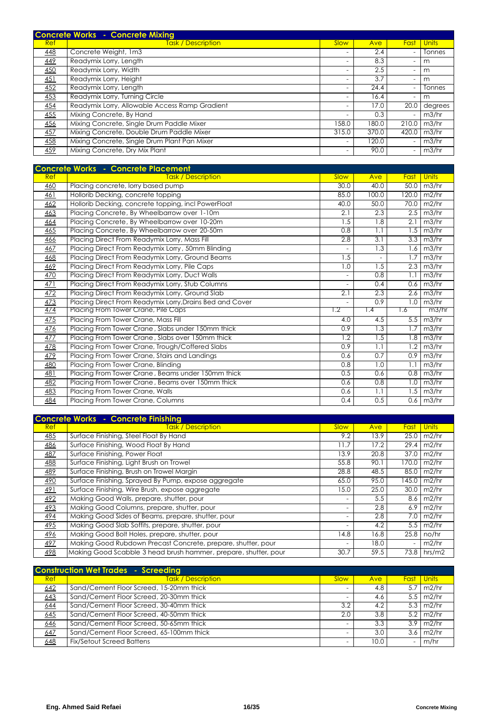|     | <b>Concrete Works - Concrete Mixing</b>        |                          |       |                          |              |
|-----|------------------------------------------------|--------------------------|-------|--------------------------|--------------|
| Ref | <b>Task / Description</b>                      | Slow                     | Ave   | Fast                     | <b>Units</b> |
| 448 | Concrete Weight, 1m3                           |                          | 2.4   |                          | Tonnes       |
| 449 | Readymix Lorry, Length                         | $\overline{\phantom{a}}$ | 8.3   | ٠                        | m            |
| 450 | Readymix Lorry, Width                          | $\overline{\phantom{a}}$ | 2.5   | $\overline{\phantom{a}}$ | m            |
| 451 | Readymix Lorry, Height                         |                          | 3.7   |                          | m            |
| 452 | Readymix Lorry, Length                         |                          | 24.4  | ٠                        | Tonnes       |
| 453 | Readymix Lorry, Turning Circle                 | $\overline{\phantom{a}}$ | 16.4  | $\overline{\phantom{a}}$ | m            |
| 454 | Readymix Lorry, Allowable Access Ramp Gradient | $\overline{\phantom{a}}$ | 17.0  | 20.0                     | degrees      |
| 455 | Mixing Concrete, By Hand                       |                          | 0.3   |                          | m3/hr        |
| 456 | Mixing Concrete, Single Drum Paddle Mixer      | 158.0                    | 180.0 | 210.0                    | m3/hr        |
| 457 | Mixing Concrete, Double Drum Paddle Mixer      | 315.0                    | 370.0 | 420.0                    | m3/hr        |
| 458 | Mixing Concrete, Single Drum Plant Pan Mixer   |                          | 120.0 |                          | m3/hr        |
| 459 | Mixing Concrete, Dry Mix Plant                 |                          | 90.0  |                          | m3/hr        |

| <b>Concrete Works - Concrete Placement</b> |                                                          |      |                  |       |              |  |  |
|--------------------------------------------|----------------------------------------------------------|------|------------------|-------|--------------|--|--|
| Ref                                        | <b>Task / Description</b>                                | Slow | Ave              | Fast  | <b>Units</b> |  |  |
| 460                                        | Placing concrete, lorry based pump                       | 30.0 | 40.0             | 50.0  | m3/hr        |  |  |
| 461                                        | Hollorib Decking, concrete topping                       | 85.0 | 100.0            | 120.0 | m2/hr        |  |  |
| 462                                        | Hollorib Decking, concrete topping, incl PowerFloat      | 40.0 | 50.0             | 70.0  | m2/hr        |  |  |
| 463                                        | Placing Concrete, By Wheelbarrow over 1-10m              | 2.1  | 2.3              | 2.5   | m3/hr        |  |  |
| 464                                        | Placing Concrete, By Wheelbarrow over 10-20m             | 1.5  | 1.8              | 2.1   | m3/hr        |  |  |
| 465                                        | Placing Concrete, By Wheelbarrow over 20-50m             | 0.8  | 1.1              | 1.5   | m3/hr        |  |  |
| 466                                        | Placing Direct From Readymix Lorry, Mass Fill            | 2.8  | $\overline{3.1}$ | 3.3   | m3/hr        |  |  |
| 467                                        | Placing Direct From Readymix Lorry, 50mm Blinding        |      | 1.3              | 1.6   | m3/hr        |  |  |
| 468                                        | Placing Direct From Readymix Lorry, Ground Beams         | 1.5  |                  | 1.7   | m3/hr        |  |  |
| 469                                        | Placing Direct From Readymix Lorry, Pile Caps            | 1.0  | 1.5              | 2.3   | m3/hr        |  |  |
| 470                                        | Placing Direct From Readymix Lorry, Duct Walls           |      | 0.8              | 1.1   | m3/hr        |  |  |
| 471                                        | Placing Direct From Readymix Lorry, Stub Columns         |      | 0.4              | 0.6   | m3/hr        |  |  |
| 472                                        | Placing Direct From Readymix Lorry, Ground Slab          | 2.1  | 2.3              | 2.6   | m3/hr        |  |  |
| 473                                        | Placing Direct From Readymix Lorry, Drains Bed and Cover |      | 0.9              | 1.0   | m3/hr        |  |  |
| 474                                        | Placing From Tower Crane, Pile Caps                      | 1.2  | 1.4              | 1.6   | m3/hr        |  |  |
| 475                                        | Placing From Tower Crane, Mass Fill                      | 4.0  | 4.5              | 5.5   | m3/hr        |  |  |
| 476                                        | Placing From Tower Crane, Slabs under 150mm thick        | 0.9  | 1.3              | 1.7   | m3/hr        |  |  |
| 477                                        | Placing From Tower Crane, Slabs over 150mm thick         | 1.2  | 1.5              | 1.8   | m3/hr        |  |  |
| 478                                        | Placing From Tower Crane, Trough/Coffered Slabs          | 0.9  | 1.1              | 1.2   | m3/hr        |  |  |
| 479                                        | Placing From Tower Crane, Stairs and Landings            | 0.6  | 0.7              | 0.9   | m3/hr        |  |  |
| 480                                        | Placing From Tower Crane, Blinding                       | 0.8  | 1.0              | 1.1   | m3/hr        |  |  |
| 481                                        | Placing From Tower Crane, Beams under 150mm thick        | 0.5  | 0.6              | 0.8   | m3/hr        |  |  |
| 482                                        | Placing From Tower Crane, Beams over 150mm thick         | 0.6  | 0.8              | 1.0   | m3/hr        |  |  |
| 483                                        | Placing From Tower Crane, Walls                          | 0.6  | 1.1              | 1.5   | m3/hr        |  |  |
| 484                                        | Placing From Tower Crane, Columns                        | 0.4  | 0.5              | 0.6   | m3/hr        |  |  |

|            | <b>Concrete Works - Concrete Finishing</b>                      |                          |      |       |              |
|------------|-----------------------------------------------------------------|--------------------------|------|-------|--------------|
| <b>Ref</b> | <b>Task / Description</b>                                       | Slow                     | Ave  | Fast  | <b>Units</b> |
| <u>485</u> | Surface Finishing, Steel Float By Hand                          | 9.2                      | 13.9 | 25.0  | m2/hr        |
| 486        | Surface Finishing, Wood Float By Hand                           | 11.7                     | 17.2 | 29.4  | m2/hr        |
| 487        | Surface Finishing, Power Float                                  | 13.9                     | 20.8 | 37.0  | m2/hr        |
| 488        | Surface Finishing, Light Brush on Trowel                        | 55.8                     | 90.1 | 170.0 | m2/hr        |
| 489        | Surface Finishing, Brush on Trowel Margin                       | 28.8                     | 48.5 | 85.0  | m2/hr        |
| 490        | Surface Finishing, Sprayed By Pump, expose aggregate            | 65.0                     | 95.0 | 145.0 | m2/hr        |
| 491        | Surface Finishing, Wire Brush, expose aggregate                 | 15.0                     | 25.0 | 30.0  | m2/hr        |
| 492        | Making Good Walls, prepare, shutter, pour                       |                          | 5.5  | 8.6   | m2/hr        |
| 493        | Making Good Columns, prepare, shutter, pour                     |                          | 2.8  | 6.9   | m2/hr        |
| 494        | Making Good Sides of Beams, prepare, shutter, pour              |                          | 2.8  | 7.0   | m2/hr        |
| 495        | Making Good Slab Soffits, prepare, shutter, pour                | $\overline{\phantom{a}}$ | 4.2  | 5.5   | m2/hr        |
| 496        | Making Good Bolt Holes, prepare, shutter, pour                  | 14.8                     | 16.8 | 25.8  | no/hr        |
| 497        | Making Good Rubdown Precast Concrete, prepare, shutter, pour    |                          | 18.0 |       | m2/hr        |
| 498        | Making Good Scabble 3 head brush hammer, prepare, shutter, pour | 30.7                     | 59.5 | 73.8  | hrs/m2       |

| <b>Construction Wet Trades - Screeding</b> |                                          |      |      |                          |       |  |  |  |  |
|--------------------------------------------|------------------------------------------|------|------|--------------------------|-------|--|--|--|--|
| Ref                                        | <b>Task / Description</b>                | Slow | Ave  | <b>Fast</b>              | Units |  |  |  |  |
| 642                                        | Sand/Cement Floor Screed, 15-20mm thick  |      | 4.8  | 5.7                      | m2/hr |  |  |  |  |
| 643                                        | Sand/Cement Floor Screed, 20-30mm thick  |      | 4.6  | 5.5                      | m2/hr |  |  |  |  |
| 644                                        | Sand/Cement Floor Screed, 30-40mm thick  | 3.2  | 4.2  | 5.3                      | m2/hr |  |  |  |  |
| 645                                        | Sand/Cement Floor Screed, 40-50mm thick  | 2.0  | 3.8  | 5.2                      | m2/hr |  |  |  |  |
| 646                                        | Sand/Cement Floor Screed, 50-65mm thick  |      | 3.3  | 3.9                      | m2/hr |  |  |  |  |
| 647                                        | Sand/Cement Floor Screed, 65-100mm thick |      | 3.0  | 3.6                      | m2/hr |  |  |  |  |
| 648                                        | <b>Fix/Setout Screed Battens</b>         |      | 10.0 | $\overline{\phantom{a}}$ | m/hr  |  |  |  |  |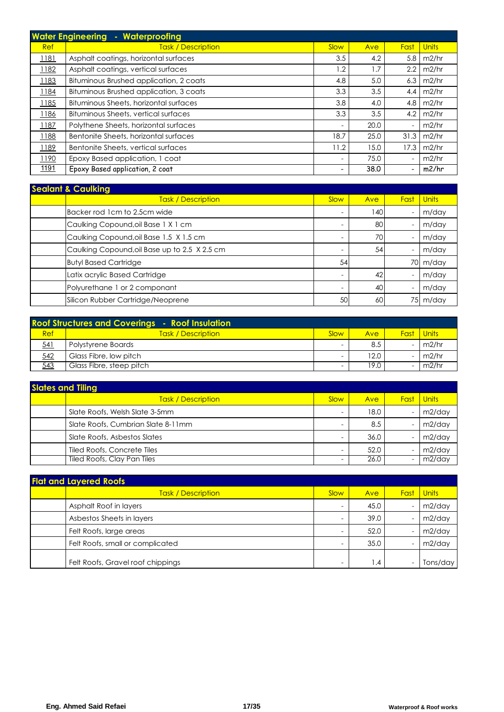| <b>Water Engineering</b><br>Waterproofing<br>a, |                                         |                          |      |      |              |  |  |  |  |
|-------------------------------------------------|-----------------------------------------|--------------------------|------|------|--------------|--|--|--|--|
| Ref                                             | <b>Task / Description</b>               | Slow                     | Ave  | Fast | <b>Units</b> |  |  |  |  |
| <u> 1181</u>                                    | Asphalt coatings, horizontal surfaces   | 3.5                      | 4.2  | 5.8  | m2/hr        |  |  |  |  |
| 1182                                            | Asphalt coatings, vertical surfaces     | 1.2                      | 1.7  | 2.2  | m2/hr        |  |  |  |  |
| 1183                                            | Bituminous Brushed application, 2 coats | 4.8                      | 5.0  | 6.3  | m2/hr        |  |  |  |  |
| 1184                                            | Bituminous Brushed application, 3 coats | 3.3                      | 3.5  | 4.4  | m2/hr        |  |  |  |  |
| 1185                                            | Bituminous Sheets, horizontal surfaces  | 3.8                      | 4.0  | 4.8  | m2/hr        |  |  |  |  |
| 1186                                            | Bituminous Sheets, vertical surfaces    | 3.3                      | 3.5  | 4.2  | m2/hr        |  |  |  |  |
| 1187                                            | Polythene Sheets, horizontal surfaces   | $\overline{\phantom{a}}$ | 20.0 |      | m2/hr        |  |  |  |  |
| 1188                                            | Bentonite Sheets, horizontal surfaces   | 18.7                     | 25.0 | 31.3 | m2/hr        |  |  |  |  |
| 1189                                            | Bentonite Sheets, vertical surfaces     | 11.2                     | 15.0 | 17.3 | m2/hr        |  |  |  |  |
| 1190                                            | Epoxy Based application, 1 coat         | ٠                        | 75.0 |      | m2/hr        |  |  |  |  |
| 1191                                            | Epoxy Based application, 2 coat         | ۰                        | 38.0 |      | m2/hr        |  |  |  |  |

| <b>Sealant &amp; Caulking</b> |                                               |                          |     |      |              |  |  |  |  |
|-------------------------------|-----------------------------------------------|--------------------------|-----|------|--------------|--|--|--|--|
|                               | <b>Task / Description</b>                     | Slow                     | Ave | Fast | <b>Units</b> |  |  |  |  |
|                               | Backer rod 1cm to 2.5cm wide                  | $\overline{\phantom{a}}$ | 140 |      | m/day        |  |  |  |  |
|                               | Caulking Copound, oil Base 1 X 1 cm           |                          | 80  |      | m/day        |  |  |  |  |
|                               | Caulking Copound, oil Base 1.5 X 1.5 cm       |                          | 70  |      | m/day        |  |  |  |  |
|                               | Caulking Copound, oil Base up to 2.5 X 2.5 cm |                          | 54  |      | m/day        |  |  |  |  |
|                               | <b>Butyl Based Cartridge</b>                  | 54                       |     |      | 70 m/day     |  |  |  |  |
|                               | Latix acrylic Based Cartridge                 |                          | 42  |      | m/day        |  |  |  |  |
|                               | Polyurethane 1 or 2 componant                 |                          | 40  |      | m/day        |  |  |  |  |
|                               | Silicon Rubber Cartridge/Neoprene             | 50                       | 60  |      | 75 m/day     |  |  |  |  |

|     | <b>Roof Structures and Coverings - Roof Insulation</b> |      |            |      |       |
|-----|--------------------------------------------------------|------|------------|------|-------|
| Ref | <b>Task / Description</b>                              | Slow | <b>Ave</b> | Fast | Units |
| 541 | Polystyrene Boards                                     | -    | 8.5        |      | m2/hr |
| 542 | Glass Fibre, low pitch                                 | -    | 12.0       |      | m2/hr |
| 543 | Glass Fibre, steep pitch                               |      | 19.0       |      | m2/hr |

| <b>Slates and Tiling</b> |                                    |                          |      |             |              |  |  |  |
|--------------------------|------------------------------------|--------------------------|------|-------------|--------------|--|--|--|
|                          | <b>Task / Description</b>          | Slow                     | Ave  | <b>Fast</b> | <b>Units</b> |  |  |  |
|                          | Slate Roofs, Welsh Slate 3-5mm     | -                        | 18.0 |             | $m2$ /day    |  |  |  |
|                          | Slate Roofs, Cumbrian Slate 8-11mm | -                        | 8.5  |             | m2/day       |  |  |  |
|                          | Slate Roofs, Asbestos Slates       | $\overline{\phantom{a}}$ | 36.0 |             | $m2$ /day    |  |  |  |
|                          | Tiled Roofs, Concrete Tiles        | -                        | 52.0 |             | $m2$ /day    |  |  |  |
|                          | Tiled Roofs, Clay Pan Tiles        | ۰                        | 26.0 |             | $m2$ /day    |  |  |  |

| <b>Flat and Layered Roofs</b> |                                   |      |                 |      |              |  |  |  |
|-------------------------------|-----------------------------------|------|-----------------|------|--------------|--|--|--|
|                               | <b>Task / Description</b>         | Slow | Ave             | Fast | <b>Units</b> |  |  |  |
|                               | Asphalt Roof in layers            | -    | 45.0            |      | $m2$ /day    |  |  |  |
|                               | Asbestos Sheets in layers         | -    | 39.0            |      | $m2$ /day    |  |  |  |
|                               | Felt Roofs, large areas           | -    | 52.0            |      | $m2$ /day    |  |  |  |
|                               | Felt Roofs, small or complicated  | -    | 35.0            |      | $m2$ /day    |  |  |  |
|                               | Felt Roofs, Gravel roof chippings | -    | $\mathsf{I}$ .4 |      | Tons/day     |  |  |  |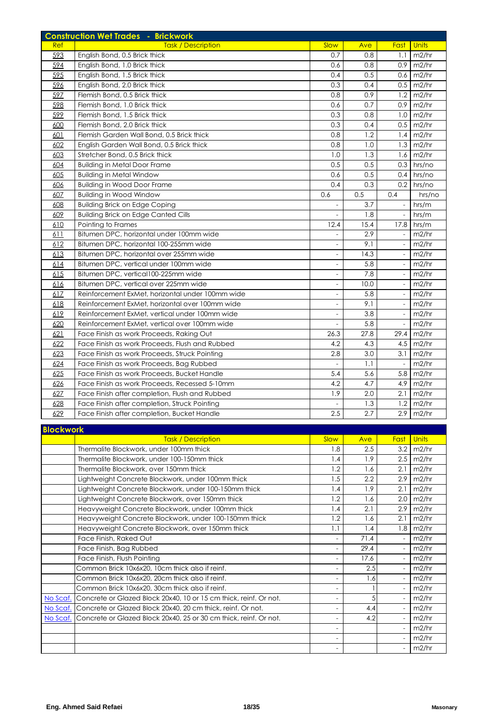|     | <b>Construction Wet Trades - Brickwork</b>       |                          |      |                          |              |
|-----|--------------------------------------------------|--------------------------|------|--------------------------|--------------|
| Ref | <b>Task / Description</b>                        | Slow                     | Ave  | Fast                     | <b>Units</b> |
| 593 | English Bond, 0.5 Brick thick                    | 0.7                      | 0.8  | 1.1                      | m2/hr        |
| 594 | English Bond, 1.0 Brick thick                    | 0.6                      | 0.8  | 0.9                      | m2/hr        |
| 595 | English Bond, 1.5 Brick thick                    | 0.4                      | 0.5  | 0.6                      | m2/hr        |
| 596 | English Bond, 2.0 Brick thick                    | 0.3                      | 0.4  | 0.5                      | m2/hr        |
| 597 | Flemish Bond, 0.5 Brick thick                    | 0.8                      | 0.9  | 1.2                      | m2/hr        |
| 598 | Flemish Bond, 1.0 Brick thick                    | 0.6                      | 0.7  | 0.9                      | m2/hr        |
| 599 | Flemish Bond, 1.5 Brick thick                    | 0.3                      | 0.8  | 1.0                      | m2/hr        |
| 600 | Flemish Bond, 2.0 Brick thick                    | 0.3                      | 0.4  | 0.5                      | m2/hr        |
| 601 | Flemish Garden Wall Bond, 0.5 Brick thick        | 0.8                      | 1.2  | 1.4                      | m2/hr        |
| 602 | English Garden Wall Bond, 0.5 Brick thick        | 0.8                      | 1.0  | 1.3                      | m2/hr        |
| 603 | Stretcher Bond, 0.5 Brick thick                  | 1.0                      | 1.3  | 1.6                      | m2/hr        |
| 604 | <b>Building in Metal Door Frame</b>              | 0.5                      | 0.5  | 0.3                      | hrs/no       |
| 605 | <b>Building in Metal Window</b>                  | 0.6                      | 0.5  | 0.4                      | hrs/no       |
| 606 | <b>Building in Wood Door Frame</b>               | 0.4                      | 0.3  | 0.2                      | hrs/no       |
| 607 | <b>Building in Wood Window</b>                   | 0.6                      | 0.5  | 0.4                      | hrs/no       |
| 608 | <b>Building Brick on Edge Coping</b>             |                          | 3.7  | $\overline{\phantom{a}}$ | hrs/m        |
| 609 | <b>Building Brick on Edge Canted Cills</b>       | $\overline{a}$           | 1.8  | $\overline{\phantom{a}}$ | hrs/m        |
| 610 | Pointing to Frames                               | 12.4                     | 15.4 | 17.8                     | hrs/m        |
| 611 | Bitumen DPC, horizontal under 100mm wide         |                          | 2.9  |                          | m2/hr        |
| 612 | Bitumen DPC, horizontal 100-255mm wide           | $\overline{\phantom{a}}$ | 9.1  | $\frac{1}{2}$            | m2/hr        |
| 613 | Bitumen DPC, horizontal over 255mm wide          | $\frac{1}{2}$            | 14.3 | $\overline{a}$           | m2/hr        |
| 614 | Bitumen DPC, vertical under 100mm wide           | $\qquad \qquad -$        | 5.8  | $\frac{1}{2}$            | m2/hr        |
| 615 | Bitumen DPC, vertical100-225mm wide              | $\qquad \qquad -$        | 7.8  | $\overline{\phantom{a}}$ | m2/hr        |
| 616 | Bitumen DPC, vertical over 225mm wide            | $\qquad \qquad -$        | 10.0 | $\overline{\phantom{a}}$ | m2/hr        |
| 617 | Reinforcement ExMet, horizontal under 100mm wide | $\overline{\phantom{a}}$ | 5.8  | $\overline{\phantom{a}}$ | m2/hr        |
| 618 | Reinforcement ExMet, horizontal over 100mm wide  | $\overline{\phantom{a}}$ | 9.1  | $\overline{\phantom{a}}$ | m2/hr        |
| 619 | Reinforcement ExMet, vertical under 100mm wide   | $\overline{\phantom{a}}$ | 3.8  | $\overline{\phantom{a}}$ | m2/hr        |
| 620 | Reinforcement ExMet, vertical over 100mm wide    | $\overline{\phantom{a}}$ | 5.8  | $\overline{\phantom{a}}$ | m2/hr        |
| 621 | Face Finish as work Proceeds, Raking Out         | 26.3                     | 27.8 | 29.4                     | m2/hr        |
| 622 | Face Finish as work Proceeds, Flush and Rubbed   | 4.2                      | 4.3  | 4.5                      | m2/hr        |
| 623 | Face Finish as work Proceeds, Struck Pointing    | 2.8                      | 3.0  | 3.1                      | m2/hr        |
| 624 | Face Finish as work Proceeds, Bag Rubbed         | $\bar{\phantom{a}}$      | 1.1  | $\bar{\phantom{a}}$      | m2/hr        |
| 625 | Face Finish as work Proceeds, Bucket Handle      | 5.4                      | 5.6  | 5.8                      | m2/hr        |
| 626 | Face Finish as work Proceeds, Recessed 5-10mm    | 4.2                      | 4.7  | 4.9                      | m2/hr        |
| 627 | Face Finish after completion, Flush and Rubbed   | 1.9                      | 2.0  | 2.1                      | m2/hr        |
| 628 | Face Finish after completion, Struck Pointing    |                          | 1.3  | 1.2                      | m2/hr        |
| 629 | Face Finish after completion, Bucket Handle      | 2.5                      | 2.7  | 2.9                      | m2/hr        |

| <b>Blockwork</b>                                                              |                          |      |                          |       |
|-------------------------------------------------------------------------------|--------------------------|------|--------------------------|-------|
| <b>Task / Description</b>                                                     | Slow                     | Ave  | Fast                     | Units |
| Thermalite Blockwork, under 100mm thick                                       | 1.8                      | 2.5  | 3.2                      | m2/hr |
| Thermalite Blockwork, under 100-150mm thick                                   | 1.4                      | 1.9  | 2.5                      | m2/hr |
| Thermalite Blockwork, over 150mm thick                                        | 1.2                      | 1.6  | 2.1                      | m2/hr |
| Lightweight Concrete Blockwork, under 100mm thick                             | 1.5                      | 2.2  | 2.9                      | m2/hr |
| Lightweight Concrete Blockwork, under 100-150mm thick                         | 1.4                      | 1.9  | 2.1                      | m2/hr |
| Lightweight Concrete Blockwork, over 150mm thick                              | 1.2                      | 1.6  | 2.0                      | m2/hr |
| Heavyweight Concrete Blockwork, under 100mm thick                             | 1.4                      | 2.1  | 2.9                      | m2/hr |
| Heavyweight Concrete Blockwork, under 100-150mm thick                         | 1.2                      | 1.6  | 2.1                      | m2/hr |
| Heavyweight Concrete Blockwork, over 150mm thick                              | 1.1                      | 1.4  | 1.8                      | m2/hr |
| Face Finish, Raked Out                                                        | $\overline{a}$           | 71.4 |                          | m2/hr |
| Face Finish, Bag Rubbed                                                       | $\overline{a}$           | 29.4 |                          | m2/hr |
| Face Finish, Flush Pointing                                                   | $\overline{\phantom{a}}$ | 17.6 |                          | m2/hr |
| Common Brick 10x6x20, 10cm thick also if reinf.                               | $\overline{a}$           | 2.5  |                          | m2/hr |
| Common Brick 10x6x20, 20cm thick also if reinf.                               | $\overline{\phantom{a}}$ | 1.6  | $\overline{\phantom{a}}$ | m2/hr |
| Common Brick 10x6x20, 30cm thick also if reinf.                               | $\overline{a}$           |      |                          | m2/hr |
| Concrete or Glazed Block 20x40, 10 or 15 cm thick, reinf. Or not.<br>No Scaf. | $\overline{\phantom{a}}$ | 5    |                          | m2/hr |
| No Scaf.<br>Concrete or Glazed Block 20x40, 20 cm thick, reinf. Or not.       | $\overline{a}$           | 4.4  |                          | m2/hr |
| No Scaf.<br>Concrete or Glazed Block 20x40, 25 or 30 cm thick, reinf. Or not. | $\overline{a}$           | 4.2  |                          | m2/hr |
|                                                                               | $\overline{\phantom{a}}$ |      |                          | m2/hr |
|                                                                               | $\overline{\phantom{a}}$ |      |                          | m2/hr |
|                                                                               |                          |      |                          | m2/hr |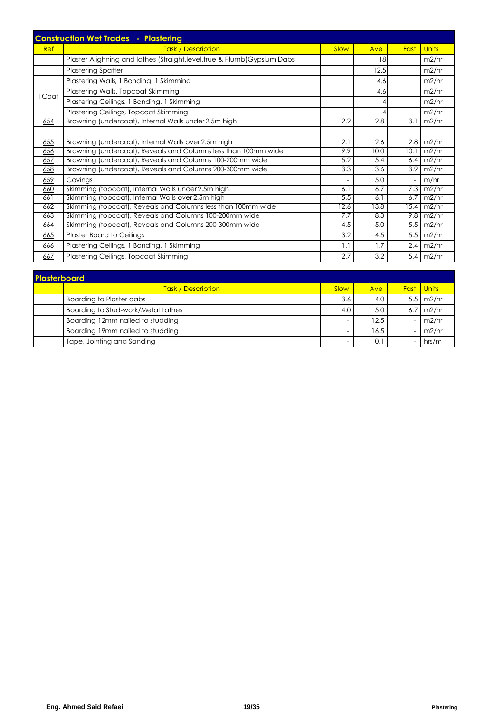|       | <b>Construction Wet Trades - Plastering</b>                               |      |                  |      |                  |
|-------|---------------------------------------------------------------------------|------|------------------|------|------------------|
| Ref   | <b>Task / Description</b>                                                 | Slow | Ave              | Fast | <b>Units</b>     |
|       | Plaster Alighning and lathes (Straight, level, true & Plumb) Gypsium Dabs |      | 18               |      | m2/hr            |
|       | <b>Plastering Spatter</b>                                                 |      | 12.5             |      | m2/hr            |
|       | Plastering Walls, 1 Bonding, 1 Skimming                                   |      | 4.6              |      | m2/hr            |
|       | Plastering Walls, Topcoat Skimming                                        |      | 4.6              |      | m2/hr            |
| 1Coat | Plastering Ceilings, 1 Bonding, 1 Skimming                                |      |                  |      | m2/hr            |
|       | Plastering Ceilings, Topcoat Skimming                                     |      |                  |      | m2/hr            |
| 654   | Browning (undercoat), Internal Walls under 2.5m high                      | 2.2  | 2.8              | 3.1  | m2/hr            |
|       |                                                                           |      |                  |      |                  |
| 655   | Browning (undercoat), Internal Walls over 2.5m high                       | 2.1  | 2.6              | 2.8  | m2/hr            |
| 656   | Browning (undercoat), Reveals and Columns less than 100mm wide            | 9.9  | 10.0             | 10.1 | m2/hr            |
| 657   | Browning (undercoat), Reveals and Columns 100-200mm wide                  | 5.2  | 5.4              | 6.4  | m2/hr            |
| 658   | Browning (undercoat), Reveals and Columns 200-300mm wide                  | 3.3  | $\overline{3.6}$ | 3.9  | m2/hr            |
| 659   | Covings                                                                   |      | 5.0              |      | m/hr             |
| 660   | Skimming (topcoat), Internal Walls under 2.5m high                        | 6.1  | 6.7              | 7.3  | m2/hr            |
| 661   | Skimming (topcoat), Internal Walls over 2.5m high                         | 5.5  | 6.1              | 6.7  | m2/hr            |
| 662   | Skimming (topcoat), Reveals and Columns less than 100mm wide              | 12.6 | 13.8             | 15.4 | m2/hr            |
| 663   | Skimming (topcoat), Reveals and Columns 100-200mm wide                    | 7.7  | 8.3              | 9.8  | m2/hr            |
| 664   | Skimming (topcoat), Reveals and Columns 200-300mm wide                    | 4.5  | 5.0              |      | $5.5 \mid m2/hr$ |
| 665   | <b>Plaster Board to Ceilings</b>                                          | 3.2  | 4.5              | 5.5  | m2/hr            |
| 666   | Plastering Ceilings, 1 Bonding, 1 Skimming                                | 1.1  | 1.7              | 2.4  | m2/hr            |
| 667   | Plastering Ceilings, Topcoat Skimming                                     | 2.7  | 3.2              | 5.4  | m2/hr            |

| <b>Plasterboard</b> |                                    |      |      |             |                |  |  |  |
|---------------------|------------------------------------|------|------|-------------|----------------|--|--|--|
|                     | <b>Task / Description</b>          | Slow | Ave  | <b>Fast</b> | <u>I Units</u> |  |  |  |
|                     | Boarding to Plaster dabs           | 3.6  | 4.0  | 5.5         | m2/hr          |  |  |  |
|                     | Boarding to Stud-work/Metal Lathes | 4.0  | 5.0  | 6.7         | m2/hr          |  |  |  |
|                     | Boarding 12mm nailed to studding   |      | 12.5 |             | m2/hr          |  |  |  |
|                     | Boarding 19mm nailed to studding   |      | 16.5 |             | m2/hr          |  |  |  |
|                     | Tape, Jointing and Sanding         |      |      |             | hrs/m          |  |  |  |

ī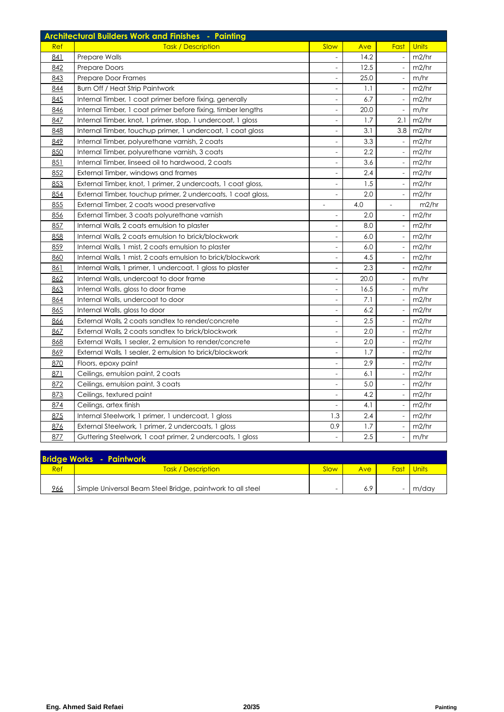|     | <b>Architectural Builders Work and Finishes - Painting</b>   |                              |      |                              |       |
|-----|--------------------------------------------------------------|------------------------------|------|------------------------------|-------|
| Ref | <b>Task / Description</b>                                    | Slow                         | Ave  | Fast                         | Units |
| 841 | Prepare Walls                                                |                              | 14.2 |                              | m2/hr |
| 842 | <b>Prepare Doors</b>                                         |                              | 12.5 |                              | m2/hr |
| 843 | Prepare Door Frames                                          |                              | 25.0 |                              | m/hr  |
| 844 | Burn Off / Heat Strip Paintwork                              | $\overline{a}$               | 1.1  | $\overline{\phantom{a}}$     | m2/hr |
| 845 | Internal Timber, 1 coat primer before fixing, generally      | $\frac{1}{2}$                | 6.7  | $\overline{\phantom{a}}$     | m2/hr |
| 846 | Internal Timber, 1 coat primer before fixing, timber lengths | $\overline{\phantom{a}}$     | 20.0 | $\overline{\phantom{a}}$     | m/hr  |
| 847 | Internal Timber, knot, 1 primer, stop, 1 undercoat, 1 gloss  | $\frac{1}{2}$                | 1.7  | 2.1                          | m2/hr |
| 848 | Internal Timber, touchup primer, 1 undercoat, 1 coat gloss   | $\overline{\phantom{m}}$     | 3.1  | 3.8                          | m2/hr |
| 849 | Internal Timber, polyurethane varnish, 2 coats               |                              | 3.3  | $\overline{\phantom{a}}$     | m2/hr |
| 850 | Internal Timber, polyurethane varnish, 3 coats               | $\frac{1}{2}$                | 2.2  | $\overline{\phantom{a}}$     | m2/hr |
| 851 | Internal Timber, linseed oil to hardwood, 2 coats            | $\frac{1}{2}$                | 3.6  | $\overline{\phantom{a}}$     | m2/hr |
| 852 | External Timber, windows and frames                          | $\overline{\phantom{0}}$     | 2.4  | $\overline{\phantom{a}}$     | m2/hr |
| 853 | External Timber, knot, 1 primer, 2 undercoats, 1 coat gloss, | $\overline{\phantom{a}}$     | 1.5  |                              | m2/hr |
| 854 | External Timber, touchup primer, 2 undercoats, 1 coat gloss, | $\frac{1}{2}$                | 2.0  | $\overline{\phantom{a}}$     | m2/hr |
| 855 | External Timber, 2 coats wood preservative                   |                              | 4.0  | $\frac{1}{2}$                | m2/hr |
| 856 | External Timber, 3 coats polyurethane varnish                | $\overline{\phantom{0}}$     | 2.0  | $\overline{\phantom{a}}$     | m2/hr |
| 857 | Internal Walls, 2 coats emulsion to plaster                  | $\overline{\phantom{a}}$     | 8.0  | $\overline{\phantom{a}}$     | m2/hr |
| 858 | Internal Walls, 2 coats emulsion to brick/blockwork          | $\frac{1}{2}$                | 6.0  | $\overline{\phantom{a}}$     | m2/hr |
| 859 | Internal Walls, 1 mist, 2 coats emulsion to plaster          | $\frac{1}{2}$                | 6.0  | $\overline{\phantom{a}}$     | m2/hr |
| 860 | Internal Walls, 1 mist, 2 coats emulsion to brick/blockwork  | $\overline{a}$               | 4.5  | $\overline{\phantom{a}}$     | m2/hr |
| 861 | Internal Walls, 1 primer, 1 undercoat, 1 gloss to plaster    |                              | 2.3  |                              | m2/hr |
| 862 | Internal Walls, undercoat to door frame                      | $\overline{\phantom{a}}$     | 20.0 | $\overline{\phantom{a}}$     | m/hr  |
| 863 | Internal Walls, gloss to door frame                          | $\frac{1}{2}$                | 16.5 | $\overline{\phantom{a}}$     | m/hr  |
| 864 | Internal Walls, undercoat to door                            | $\overline{\phantom{a}}$     | 7.1  |                              | m2/hr |
| 865 | Internal Walls, gloss to door                                | $\frac{1}{2}$                | 6.2  |                              | m2/hr |
| 866 | External Walls, 2 coats sandtex to render/concrete           | $\frac{1}{2}$                | 2.5  |                              | m2/hr |
| 867 | External Walls, 2 coats sandtex to brick/blockwork           | $\frac{1}{2}$                | 2.0  |                              | m2/hr |
| 868 | External Walls, 1 sealer, 2 emulsion to render/concrete      | $\overline{\phantom{0}}$     | 2.0  | $\overline{\phantom{a}}$     | m2/hr |
| 869 | External Walls, 1 sealer, 2 emulsion to brick/blockwork      | $\overline{\phantom{a}}$     | 1.7  | $\overline{\phantom{a}}$     | m2/hr |
| 870 | Floors, epoxy paint                                          | $\blacksquare$               | 2.9  | $\overline{\phantom{a}}$     | m2/hr |
| 871 | Ceilings, emulsion paint, 2 coats                            | $\qquad \qquad \blacksquare$ | 6.1  | $\qquad \qquad \blacksquare$ | m2/hr |
| 872 | Ceilings, emulsion paint, 3 coats                            | $\overline{a}$               | 5.0  | $\frac{1}{2}$                | m2/hr |
| 873 | Ceilings, textured paint                                     | $\frac{1}{2}$                | 4.2  | $\overline{\phantom{a}}$     | m2/hr |
| 874 | Ceilings, artex finish                                       | $\overline{\phantom{a}}$     | 4.1  | $\overline{\phantom{a}}$     | m2/hr |
| 875 | Internal Steelwork, 1 primer, 1 undercoat, 1 gloss           | 1.3                          | 2.4  |                              | m2/hr |
| 876 | External Steelwork, 1 primer, 2 undercoats, 1 gloss          | 0.9                          | 1.7  |                              | m2/hr |
| 877 | Guttering Steelwork, 1 coat primer, 2 undercoats, 1 gloss    | $\overline{a}$               | 2.5  |                              | m/hr  |

|     | <b>Bridge Works - Paintwork</b>                            |                          |     |      |       |
|-----|------------------------------------------------------------|--------------------------|-----|------|-------|
| Ref | <b>Task / Description</b>                                  | Slow                     | Ave | Fast | Units |
| 966 | Simple Universal Beam Steel Bridge, paintwork to all steel | $\overline{\phantom{0}}$ | 6.9 |      | m/day |
|     |                                                            |                          |     |      |       |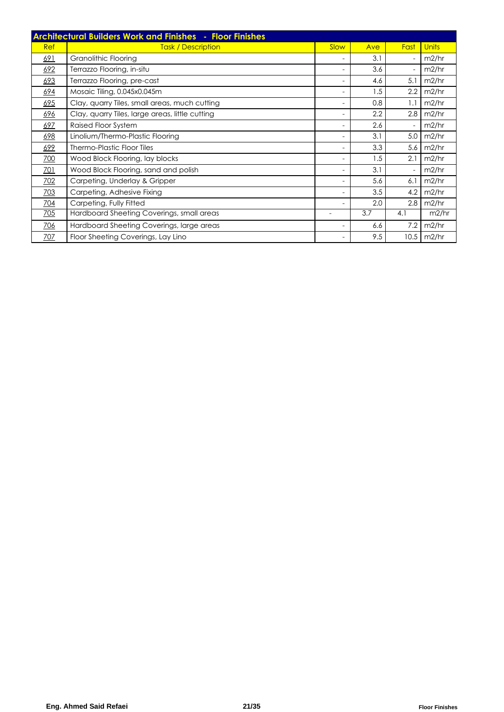|            | <b>Architectural Builders Work and Finishes - Floor Finishes</b> |                          |     |                          |              |
|------------|------------------------------------------------------------------|--------------------------|-----|--------------------------|--------------|
| Ref        | <b>Task / Description</b>                                        | Slow                     | Ave | Fast                     | <b>Units</b> |
| 691        | Granolithic Flooring                                             |                          | 3.1 | $\overline{\phantom{a}}$ | m2/hr        |
| 692        | Terrazzo Flooring, in-situ                                       |                          | 3.6 | $\overline{\phantom{a}}$ | m2/hr        |
| 693        | Terrazzo Flooring, pre-cast                                      |                          | 4.6 | 5.1                      | m2/hr        |
| 694        | Mosaic Tiling, 0.045x0.045m                                      |                          | 1.5 | 2.2                      | m2/hr        |
| 695        | Clay, quarry Tiles, small areas, much cutting                    | $\overline{\phantom{a}}$ | 0.8 | 1.1                      | m2/hr        |
| 696        | Clay, quarry Tiles, large areas, little cutting                  | $\overline{\phantom{a}}$ | 2.2 | 2.8                      | m2/hr        |
| 697        | Raised Floor System                                              | ۰                        | 2.6 | $\overline{\phantom{a}}$ | m2/hr        |
| 698        | Linolium/Thermo-Plastic Flooring                                 |                          | 3.1 | 5.0                      | m2/hr        |
| 699        | Thermo-Plastic Floor Tiles                                       | ٠                        | 3.3 | 5.6                      | m2/hr        |
| 700        | Wood Block Flooring, lay blocks                                  | -                        | 1.5 | 2.1                      | m2/hr        |
| 701        | Wood Block Flooring, sand and polish                             |                          | 3.1 | ٠                        | m2/hr        |
| 702        | Carpeting, Underlay & Gripper                                    | ۰                        | 5.6 | 6.1                      | m2/hr        |
| <b>703</b> | Carpeting, Adhesive Fixing                                       |                          | 3.5 | 4.2                      | m2/hr        |
| 704        | Carpeting, Fully Fitted                                          |                          | 2.0 | 2.8                      | m2/hr        |
| <u>705</u> | Hardboard Sheeting Coverings, small areas                        |                          | 3.7 | 4.1                      | m2/hr        |
| 706        | Hardboard Sheeting Coverings, large areas                        |                          | 6.6 | 7.2                      | m2/hr        |
| 707        | Floor Sheeting Coverings, Lay Lino                               |                          | 9.5 | 10.5                     | m2/hr        |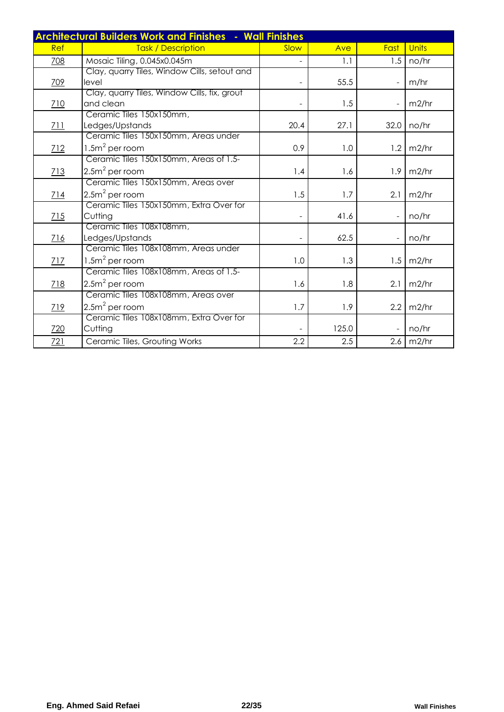|     | <b>Architectural Builders Work and Finishes - Wall Finishes</b> |      |       |      |       |
|-----|-----------------------------------------------------------------|------|-------|------|-------|
| Ref | <b>Task / Description</b>                                       | Slow | Ave   | Fast | Units |
| 708 | Mosaic Tiling, 0.045x0.045m                                     |      | 1.1   | 1.5  | no/hr |
|     | Clay, quarry Tiles, Window Cills, setout and                    |      |       |      |       |
| 709 | level                                                           |      | 55.5  |      | m/hr  |
|     | Clay, quarry Tiles, Window Cills, fix, grout                    |      |       |      |       |
| 710 | and clean                                                       |      | 1.5   |      | m2/hr |
|     | Ceramic Tiles 150x150mm,                                        | 20.4 | 27.1  | 32.0 |       |
| 711 | Ledges/Upstands<br>Ceramic Tiles 150x150mm, Areas under         |      |       |      | no/hr |
| 712 | $1.5m2$ per room                                                | 0.9  | 1.0   | 1.2  | m2/hr |
|     | Ceramic Tiles 150x150mm, Areas of 1.5-                          |      |       |      |       |
| 713 | $2.5m2$ per room                                                | 1.4  | 1.6   | 1.9  | m2/hr |
|     | Ceramic Tiles 150x150mm, Areas over                             |      |       |      |       |
| 714 | $2.5m2$ per room                                                | 1.5  | 1.7   | 2.1  | m2/hr |
|     | Ceramic Tiles 150x150mm, Extra Over for                         |      |       |      |       |
| 715 | Cutting                                                         |      | 41.6  |      | no/hr |
|     | Ceramic Tiles 108x108mm,                                        |      |       |      |       |
| 716 | Ledges/Upstands                                                 |      | 62.5  |      | no/hr |
|     | Ceramic Tiles 108x108mm, Areas under                            |      |       |      |       |
| 717 | $1.5m2$ per room                                                | 1.0  | 1.3   | 1.5  | m2/hr |
|     | Ceramic Tiles 108x108mm, Areas of 1.5-                          |      |       |      |       |
| 718 | $2.5m2$ per room                                                | 1.6  | 1.8   | 2.1  | m2/hr |
|     | Ceramic Tiles 108x108mm, Areas over                             |      |       |      |       |
| 719 | $2.5m2$ per room                                                | 1.7  | 1.9   | 2.2  | m2/hr |
|     | Ceramic Tiles 108x108mm, Extra Over for                         |      |       |      |       |
| 720 | Cutting                                                         |      | 125.0 |      | no/hr |
| 721 | Ceramic Tiles, Grouting Works                                   | 2.2  | 2.5   | 2.6  | m2/hr |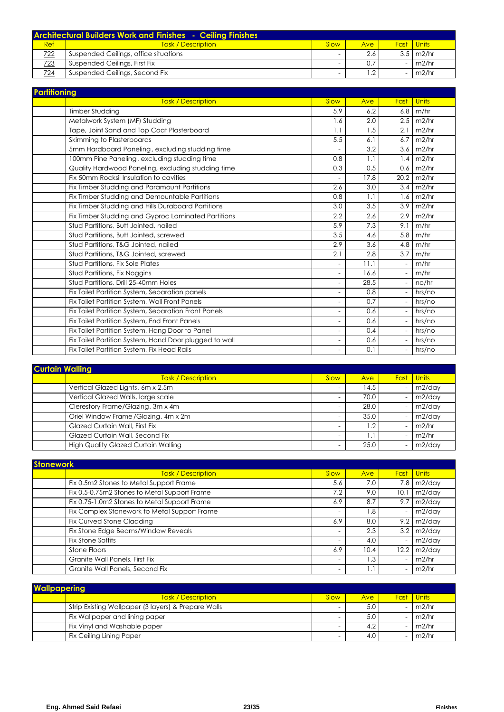|     | <b>Architectural Builders Work and Finishes - Ceiling Finishes</b> |      |     |                   |
|-----|--------------------------------------------------------------------|------|-----|-------------------|
| Ref | <b>Task / Description</b>                                          | Slow | Ave | <b>Fast</b> Units |
| 722 | Suspended Ceilings, office situations                              | -    | 2.6 | $3.5 \mid m2/hr$  |
| 723 | Suspended Ceilings, First Fix                                      |      |     | m2/hr             |
| 724 | Suspended Ceilings, Second Fix                                     |      |     | m2/hr             |

| <b>Partitioning</b> |                                                        |                          |      |      |              |
|---------------------|--------------------------------------------------------|--------------------------|------|------|--------------|
|                     | <b>Task / Description</b>                              | Slow                     | Ave  | Fast | <b>Units</b> |
|                     | <b>Timber Studding</b>                                 | 5.9                      | 6.2  | 6.8  | m/hr         |
|                     | Metalwork System (MF) Studding                         | 1.6                      | 2.0  | 2.5  | m2/hr        |
|                     | Tape, Joint Sand and Top Coat Plasterboard             | 1.1                      | 1.5  | 2.1  | m2/hr        |
|                     | Skimming to Plasterboards                              | 5.5                      | 6.1  | 6.7  | m2/hr        |
|                     | 5mm Hardboard Paneling, excluding studding time        |                          | 3.2  | 3.6  | m2/hr        |
|                     | 100mm Pine Paneling, excluding studding time           | 0.8                      | 1.1  | 1.4  | m2/hr        |
|                     | Quality Hardwood Paneling, excluding studding time     | 0.3                      | 0.5  | 0.6  | m2/hr        |
|                     | Fix 50mm Rocksil Insulation to cavities                |                          | 17.8 | 20.2 | m2/hr        |
|                     | Fix Timber Studding and Paramount Partitions           | 2.6                      | 3.0  | 3.4  | m2/hr        |
|                     | Fix Timber Studding and Demountable Partitions         | 0.8                      | 1.1  | 1.6  | m2/hr        |
|                     | Fix Timber Studding and Hills Duraboard Partitions     | 3.0                      | 3.5  | 3.9  | m2/hr        |
|                     | Fix Timber Studding and Gyproc Laminated Partitions    | 2.2                      | 2.6  | 2.9  | m2/hr        |
|                     | Stud Partitions, Butt Jointed, nailed                  | 5.9                      | 7.3  | 9.1  | m/hr         |
|                     | Stud Partitions, Butt Jointed, screwed                 | 3.5                      | 4.6  | 5.8  | m/hr         |
|                     | Stud Partitions, T&G Jointed, nailed                   | 2.9                      | 3.6  | 4.8  | m/hr         |
|                     | Stud Partitions, T&G Jointed, screwed                  | 2.1                      | 2.8  | 3.7  | m/hr         |
|                     | Stud Partitions, Fix Sole Plates                       | ÷                        | 11.1 |      | m/hr         |
|                     | Stud Partitions, Fix Noggins                           | $\overline{\phantom{a}}$ | 16.6 |      | m/hr         |
|                     | Stud Partitions, Drill 25-40mm Holes                   | $\overline{\phantom{a}}$ | 28.5 |      | no/hr        |
|                     | Fix Toilet Partition System, Separation panels         | ÷.                       | 0.8  |      | hrs/no       |
|                     | Fix Toilet Partition System, Wall Front Panels         | Ξ.                       | 0.7  |      | hrs/no       |
|                     | Fix Toilet Partition System, Separation Front Panels   | $\overline{\phantom{a}}$ | 0.6  |      | hrs/no       |
|                     | Fix Toilet Partition System, End Front Panels          | $\overline{\phantom{a}}$ | 0.6  |      | hrs/no       |
|                     | Fix Toilet Partition System, Hang Door to Panel        | Ξ.                       | 0.4  |      | hrs/no       |
|                     | Fix Toilet Partition System, Hand Door plugged to wall | $\overline{\phantom{a}}$ | 0.6  |      | hrs/no       |
|                     | Fix Toilet Partition System, Fix Head Rails            | $\overline{\phantom{a}}$ | 0.1  |      | hrs/no       |

| <b>Curtain Walling</b>                     |                          |                  |             |                |  |  |  |
|--------------------------------------------|--------------------------|------------------|-------------|----------------|--|--|--|
| Task / Description                         | Slow                     | Ave              | <b>Fast</b> | <u>I Units</u> |  |  |  |
| Vertical Glazed Lights, 6m x 2.5m          | $\overline{\phantom{a}}$ | 14.5             |             | $m2$ /day      |  |  |  |
| Vertical Glazed Walls, large scale         | $\overline{\phantom{0}}$ | 70.0             |             | $m2$ /day      |  |  |  |
| Clerestory Frame/Glazing, 3m x 4m          | $\overline{\phantom{0}}$ | 28.0             |             | m2/day         |  |  |  |
| Oriel Window Frame / Glazing, 4m x 2m      | $\equiv$                 | 35.0             |             | m2/day         |  |  |  |
| <b>Glazed Curtain Wall, First Fix</b>      |                          | 1.2              |             | m2/hr          |  |  |  |
| Glazed Curtain Wall, Second Fix            |                          | $\overline{1}$ . |             | m2/hr          |  |  |  |
| <b>High Quality Glazed Curtain Walling</b> | -                        | 25.0             |             | $m2$ /day      |  |  |  |

| <b>Stonework</b> |                                              |                          |            |      |              |
|------------------|----------------------------------------------|--------------------------|------------|------|--------------|
|                  | Task / Description                           | Slow                     | <b>Ave</b> | Fast | <b>Units</b> |
|                  | Fix 0.5m2 Stones to Metal Support Frame      | 5.6                      | 7.0        | 7.8  | m2/day       |
|                  | Fix 0.5-0.75m2 Stones to Metal Support Frame | 7.2                      | 9.0        | 10.1 | $m2$ /day    |
|                  | Fix 0.75-1.0m2 Stones to Metal Support Frame | 6.9                      | 8.7        | 9.7  | m2/day       |
|                  | Fix Complex Stonework to Metal Support Frame | $\overline{\phantom{m}}$ | 8. ا       |      | m2/day       |
|                  | Fix Curved Stone Cladding                    | 6.9                      | 8.0        | 9.2  | m2/day       |
|                  | Fix Stone Edge Beams/Window Reveals          |                          | 2.3        | 3.2  | m2/day       |
|                  | Fix Stone Soffits                            | $\overline{\phantom{0}}$ | 4.0        |      | m2/day       |
|                  | Stone Floors                                 | 6.9                      | 10.4       | 12.2 | m2/day       |
|                  | Granite Wall Panels, First Fix               | $\overline{\phantom{0}}$ | .3         |      | m2/hr        |
|                  | Granite Wall Panels, Second Fix              | $\overline{\phantom{m}}$ | i . 1      |      | m2/hr        |

| <b>Wallpapering</b> |                                                     |      |     |  |                   |  |  |
|---------------------|-----------------------------------------------------|------|-----|--|-------------------|--|--|
|                     | <b>Task / Description</b>                           | Slow | Ave |  | <b>Fast Units</b> |  |  |
|                     | Strip Existing Wallpaper (3 layers) & Prepare Walls |      | 5.0 |  | m2/hr             |  |  |
|                     | Fix Wallpaper and lining paper                      |      | 5.0 |  | m2/hr             |  |  |
|                     | Fix Vinyl and Washable paper                        |      | 4.2 |  | m2/hr             |  |  |
|                     | <b>Fix Ceiling Lining Paper</b>                     |      | 4.0 |  | m2/hr             |  |  |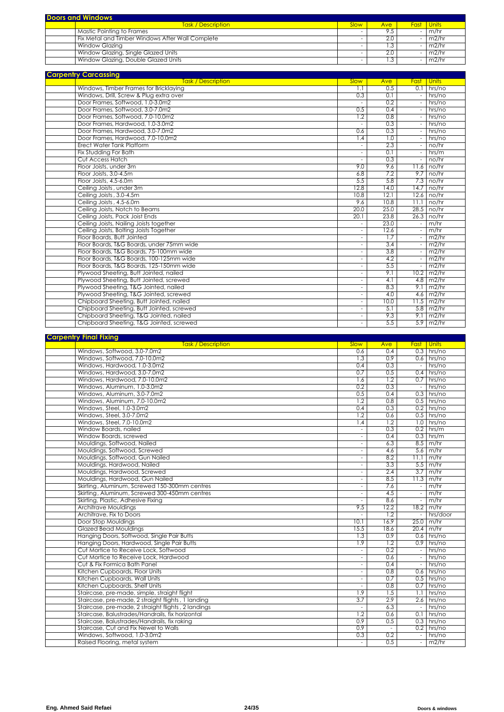| <b>Doors and Windows</b>                         |             |                  |  |                        |  |  |
|--------------------------------------------------|-------------|------------------|--|------------------------|--|--|
| <b>Task / Description</b>                        | <b>Slow</b> | Ave <sup>1</sup> |  | <b>Fast Units</b>      |  |  |
| <b>Mastic Pointing to Frames</b>                 |             |                  |  | m/hr                   |  |  |
| Fix Metal and Timber Windows After Wall Complete |             | 2.0              |  | m2/hr                  |  |  |
| Window Glazing                                   |             |                  |  | $-1 \overline{m2/h}$ r |  |  |
| Window Glazing, Single Glazed Units              |             |                  |  | m2/hr                  |  |  |
| Window Glazing, Double Glazed Units              |             |                  |  | m2/hr                  |  |  |

| <b>Carpentry Carcassing</b>               |                          |      |                          |                      |
|-------------------------------------------|--------------------------|------|--------------------------|----------------------|
| <b>Task / Description</b>                 | Slow                     | Ave  | Fast                     | <b>Units</b>         |
| Windows, Timber Frames for Bricklaying    | 1.1                      | 0.5  |                          | $0.1$ hrs/no         |
| Windows, Drill, Screw & Plug extra over   | 0.3                      | 0.1  |                          | hrs/no               |
| Door Frames, Softwood, 1.0-3.0m2          |                          | 0.2  |                          | hrs/no               |
| Door Frames, Softwood, 3.0-7.0m2          | 0.5                      | 0.4  |                          | hrs/no               |
| Door Frames, Softwood, 7.0-10.0m2         | 1.2                      | 0.8  |                          | hrs/no               |
| Door Frames, Hardwood, 1.0-3.0m2          | $\sim$                   | 0.3  |                          | hrs/no               |
| Door Frames, Hardwood, 3.0-7.0m2          | 0.6                      | 0.3  |                          | hrs/no               |
| Door Frames, Hardwood, 7.0-10.0m2         | 1.4                      | 1.0  | $\sim$                   | hrs/no               |
| <b>Erect Water Tank Platform</b>          | $\overline{\phantom{a}}$ | 2.3  | $\overline{\phantom{a}}$ | no/hr                |
| Fix Studding For Bath                     | $\overline{\phantom{a}}$ | 0.1  |                          | hrs/m                |
| Cut Access Hatch                          | $\overline{\phantom{a}}$ | 0.3  |                          | no/hr                |
| Floor Joists, under 3m                    | 9.0                      | 9.6  |                          | $11.6$ no/hr         |
| Floor Joists, 3.0-4.5m                    | 6.8                      | 7.2  |                          | $9.7$ I no/hr        |
| Floor Joists, 4.5-6.0m                    | 5.5                      | 5.8  |                          | $7.3$ no/hr          |
| Ceiling Joists, under 3m                  | 12.8                     | 14.0 |                          | 14.7 I no/hr         |
| Ceiling Joists, 3.0-4.5m                  | 10.8                     | 12.1 |                          | $12.6$ no/hr         |
| Ceiling Joists, 4.5-6.0m                  | 9.6                      | 10.8 |                          | $11.1$ no/hr         |
| Ceiling Joists, Notch to Beams            | 20.0                     | 25.0 |                          | $28.5$ no/hr         |
| Ceiling Joists, Pack Joist Ends           | 20.1                     | 23.8 |                          | $26.3$ no/hr         |
| Ceiling Joists, Nailing Joists together   | $\overline{\phantom{a}}$ | 23.0 |                          | m/hr                 |
| Ceiling Joists, Bolting Joists Together   | $\overline{\phantom{a}}$ | 12.6 |                          | m/hr                 |
| Floor Boards, Butt Jointed                | $\overline{\phantom{a}}$ | 1.7  |                          | m2/hr                |
| Floor Boards, T&G Boards, under 75mm wide | $\overline{\phantom{a}}$ | 3.4  |                          | m2/hr                |
| Floor Boards, T&G Boards, 75-100mm wide   | $\overline{\phantom{a}}$ | 3.8  |                          | m2/hr                |
| Floor Boards, T&G Boards, 100-125mm wide  | $\overline{\phantom{a}}$ | 4.2  |                          | m2/hr                |
| Floor Boards, T&G Boards, 125-150mm wide  | $\overline{\phantom{a}}$ | 5.5  |                          | m2/hr                |
| Plywood Sheeting, Butt Jointed, nailed    | $\overline{\phantom{a}}$ | 9.1  |                          | $10.2 \mid m2/hr$    |
| Plywood Sheeting, Butt Jointed, screwed   | $\overline{\phantom{a}}$ | 4.1  |                          | $4.8$ m2/hr          |
| Plywood Sheeting, T&G Jointed, nailed     | $\overline{\phantom{a}}$ | 8.3  |                          | $9.1 \text{ m}$ 2/hr |
| Plywood Sheeting, T&G Jointed, screwed    | $\overline{\phantom{a}}$ | 4.0  |                          | $4.6$ m2/hr          |
| Chipboard Sheeting, Butt Jointed, nailed  | $\overline{\phantom{a}}$ | 10.0 |                          | $11.5$ m2/hr         |
| Chipboard Sheeting, Butt Jointed, screwed | $\overline{\phantom{a}}$ | 5.1  |                          | $5.8$ m2/hr          |
| Chipboard Sheeting, T&G Jointed, nailed   | $\sim$                   | 9.3  |                          | $9.1 \text{ m2/hr}$  |
| Chipboard Sheeting, T&G Jointed, screwed  | $\overline{a}$           | 5.5  |                          | $5.9$ m2/hr          |
|                                           |                          |      |                          |                      |

| <b>Task / Description</b><br><b>Slow</b><br><b>Ave</b><br><b>Fast</b> Units<br>Windows, Softwood, 3.0-7.0m2<br>$0.3$ hrs/no<br>0.6<br>0.4<br>0.9<br>Windows, Softwood, 7.0-10.0m2<br>$0.6$ hrs/no<br>1.3<br>Windows, Hardwood, 1.0-3.0m2<br>0.4<br>0.3<br>hrs/no<br>$\sim$<br>Windows, Hardwood, 3.0-7.0m2<br>0.7<br>0.5<br>hrs/no<br>0.4<br>Windows, Hardwood, 7.0-10.0m2<br>1.2<br>hrs/no<br>0.7<br>1.6<br>0.2<br>0.3<br>hrs/no<br>Windows, Aluminum, 1.0-3.0m2<br>$\sim$<br>Windows, Aluminum, 3.0-7.0m2<br>$0.3$ hrs/no<br>0.5<br>0.4<br>$0.5$ hrs/no<br>Windows, Aluminum, 7.0-10.0m2<br>1.2<br>0.8<br>Windows, Steel, 1.0-3.0m2<br>$0.2$ hrs/no<br>0.4<br>0.3<br>$0.5$ hrs/no<br>Windows, Steel, 3.0-7.0m2<br>1.2<br>0.6<br>1.2<br>Windows, Steel, 7.0-10.0m2<br>$1.0$ hrs/no<br>1.4<br>Window Boards, nailed<br>0.3<br>0.2<br>hrs/m<br>Ξ<br>Window Boards, screwed<br>$0.3$ hrs/m<br>0.4<br>$\overline{\phantom{a}}$<br>Mouldings, Softwood, Nailed<br>$8.5$ m/hr<br>6.3<br>$\overline{\phantom{a}}$<br>Mouldings, Softwood, Screwed<br>$5.6$ m/hr<br>4.6<br>$\sim$<br>Mouldings, Softwood, Gun Nailed<br>8.2<br>11.1<br>m/hr<br>$\overline{\phantom{a}}$<br>Mouldings, Hardwood, Nailed<br>$5.5 \text{ m/hr}$<br>3.3<br>$\sim$<br>Mouldings, Hardwood, Screwed<br>2.4<br>3.7<br>m/hr<br>$\overline{\phantom{a}}$<br>Mouldinas, Hardwood, Gun Nailed<br>8.5<br>$11.3$ m/hr<br>$\overline{\phantom{a}}$<br>Skirting, Aluminum, Screwed 150-300mm centres<br>m/hr<br>7.6<br>$\overline{\phantom{a}}$<br>$\sim$<br>Skirting, Aluminum, Screwed 300-450mm centres<br>4.5<br>m/hr<br>$\sim$<br>Skirting, Plastic, Adhesive Fixing<br>m/hr<br>8.6<br>$\overline{\phantom{a}}$<br>$\overline{\phantom{a}}$<br>Architrave Mouldinas<br>9.5<br>m/hr<br>12.2<br>18.2<br>Architrave, Fix to Doors<br>1.2<br>hrs/door<br>$\sim$<br>$\sim$<br>Door Stop Mouldings<br>16.9<br>m/hr<br>10.1<br>25.0<br><b>Glazed Bead Mouldings</b><br>$20.4$ m/hr<br>15.5<br>18.6<br>Hanging Doors, Softwood, Single Pair Butts<br>0.9<br>$0.6$ hrs/no<br>1.3<br>Hanging Doors, Hardwood, Single Pair Butts<br>1.9<br>hrs/no<br>1.2<br>0.9<br>Cut Mortice to Receive Lock, Softwood<br>hrs/no<br>0.2<br>$\sim$<br>$\overline{\phantom{a}}$<br>Cut Mortice to Receive Lock, Hardwood<br>hrs/no<br>0.6<br>$\sim$<br>$\overline{\phantom{a}}$<br>Cut & Fix Formica Bath Panel<br>0.4<br>hrs/no<br>$\sim$<br>Kitchen Cupboards, Floor Units<br>0.8<br>hrs/no<br>0.6<br>$\overline{\phantom{a}}$<br>Kitchen Cupboards, Wall Units<br>$0.5$ hrs/no<br>0.7<br>$\overline{\phantom{a}}$<br>Kitchen Cupboards, Shelf Units<br>0.8<br>hrs/no<br>0.7<br>$\sim$<br>Staircase, pre-made, simple, straight flight<br>1.9<br>hrs/no<br>1.5<br>1.1<br>Staircase, pre-made, 2 straight flights, 1 landing<br>3.7<br>2.9<br>$2.6$ hrs/no<br>Staircase, pre-made, 2 straight flights, 2 landings<br>6.3<br>hrs/no<br>$\sim$<br>$\overline{\phantom{a}}$<br>Staircase, Balustrades/Handrails, fix horizontal<br>hrs/no<br>1.2<br>0.6<br>0.1<br>Staircase, Balustrades/Handrails, fix raking<br>0.9<br>0.5<br>$0.3$ hrs/no<br>Staircase, Cut and Fix Newel to Walls<br>0.9<br>$0.2$ hrs/no<br>$\overline{\phantom{a}}$<br>Windows, Softwood, 1.0-3.0m2<br>0.3<br>0.2<br>hrs/no<br>Raised Flooring, metal system<br>0.5<br>m2/hr<br>$\overline{\phantom{a}}$<br>$\sim$ | <b>Carpentry Final Fixing</b> |  |  |
|---------------------------------------------------------------------------------------------------------------------------------------------------------------------------------------------------------------------------------------------------------------------------------------------------------------------------------------------------------------------------------------------------------------------------------------------------------------------------------------------------------------------------------------------------------------------------------------------------------------------------------------------------------------------------------------------------------------------------------------------------------------------------------------------------------------------------------------------------------------------------------------------------------------------------------------------------------------------------------------------------------------------------------------------------------------------------------------------------------------------------------------------------------------------------------------------------------------------------------------------------------------------------------------------------------------------------------------------------------------------------------------------------------------------------------------------------------------------------------------------------------------------------------------------------------------------------------------------------------------------------------------------------------------------------------------------------------------------------------------------------------------------------------------------------------------------------------------------------------------------------------------------------------------------------------------------------------------------------------------------------------------------------------------------------------------------------------------------------------------------------------------------------------------------------------------------------------------------------------------------------------------------------------------------------------------------------------------------------------------------------------------------------------------------------------------------------------------------------------------------------------------------------------------------------------------------------------------------------------------------------------------------------------------------------------------------------------------------------------------------------------------------------------------------------------------------------------------------------------------------------------------------------------------------------------------------------------------------------------------------------------------------------------------------------------------------------------------------------------------------------------------------------------------------------------------------------------------------------------------------------------------------------------------------------------------------------|-------------------------------|--|--|
|                                                                                                                                                                                                                                                                                                                                                                                                                                                                                                                                                                                                                                                                                                                                                                                                                                                                                                                                                                                                                                                                                                                                                                                                                                                                                                                                                                                                                                                                                                                                                                                                                                                                                                                                                                                                                                                                                                                                                                                                                                                                                                                                                                                                                                                                                                                                                                                                                                                                                                                                                                                                                                                                                                                                                                                                                                                                                                                                                                                                                                                                                                                                                                                                                                                                                                                           |                               |  |  |
|                                                                                                                                                                                                                                                                                                                                                                                                                                                                                                                                                                                                                                                                                                                                                                                                                                                                                                                                                                                                                                                                                                                                                                                                                                                                                                                                                                                                                                                                                                                                                                                                                                                                                                                                                                                                                                                                                                                                                                                                                                                                                                                                                                                                                                                                                                                                                                                                                                                                                                                                                                                                                                                                                                                                                                                                                                                                                                                                                                                                                                                                                                                                                                                                                                                                                                                           |                               |  |  |
|                                                                                                                                                                                                                                                                                                                                                                                                                                                                                                                                                                                                                                                                                                                                                                                                                                                                                                                                                                                                                                                                                                                                                                                                                                                                                                                                                                                                                                                                                                                                                                                                                                                                                                                                                                                                                                                                                                                                                                                                                                                                                                                                                                                                                                                                                                                                                                                                                                                                                                                                                                                                                                                                                                                                                                                                                                                                                                                                                                                                                                                                                                                                                                                                                                                                                                                           |                               |  |  |
|                                                                                                                                                                                                                                                                                                                                                                                                                                                                                                                                                                                                                                                                                                                                                                                                                                                                                                                                                                                                                                                                                                                                                                                                                                                                                                                                                                                                                                                                                                                                                                                                                                                                                                                                                                                                                                                                                                                                                                                                                                                                                                                                                                                                                                                                                                                                                                                                                                                                                                                                                                                                                                                                                                                                                                                                                                                                                                                                                                                                                                                                                                                                                                                                                                                                                                                           |                               |  |  |
|                                                                                                                                                                                                                                                                                                                                                                                                                                                                                                                                                                                                                                                                                                                                                                                                                                                                                                                                                                                                                                                                                                                                                                                                                                                                                                                                                                                                                                                                                                                                                                                                                                                                                                                                                                                                                                                                                                                                                                                                                                                                                                                                                                                                                                                                                                                                                                                                                                                                                                                                                                                                                                                                                                                                                                                                                                                                                                                                                                                                                                                                                                                                                                                                                                                                                                                           |                               |  |  |
|                                                                                                                                                                                                                                                                                                                                                                                                                                                                                                                                                                                                                                                                                                                                                                                                                                                                                                                                                                                                                                                                                                                                                                                                                                                                                                                                                                                                                                                                                                                                                                                                                                                                                                                                                                                                                                                                                                                                                                                                                                                                                                                                                                                                                                                                                                                                                                                                                                                                                                                                                                                                                                                                                                                                                                                                                                                                                                                                                                                                                                                                                                                                                                                                                                                                                                                           |                               |  |  |
|                                                                                                                                                                                                                                                                                                                                                                                                                                                                                                                                                                                                                                                                                                                                                                                                                                                                                                                                                                                                                                                                                                                                                                                                                                                                                                                                                                                                                                                                                                                                                                                                                                                                                                                                                                                                                                                                                                                                                                                                                                                                                                                                                                                                                                                                                                                                                                                                                                                                                                                                                                                                                                                                                                                                                                                                                                                                                                                                                                                                                                                                                                                                                                                                                                                                                                                           |                               |  |  |
|                                                                                                                                                                                                                                                                                                                                                                                                                                                                                                                                                                                                                                                                                                                                                                                                                                                                                                                                                                                                                                                                                                                                                                                                                                                                                                                                                                                                                                                                                                                                                                                                                                                                                                                                                                                                                                                                                                                                                                                                                                                                                                                                                                                                                                                                                                                                                                                                                                                                                                                                                                                                                                                                                                                                                                                                                                                                                                                                                                                                                                                                                                                                                                                                                                                                                                                           |                               |  |  |
|                                                                                                                                                                                                                                                                                                                                                                                                                                                                                                                                                                                                                                                                                                                                                                                                                                                                                                                                                                                                                                                                                                                                                                                                                                                                                                                                                                                                                                                                                                                                                                                                                                                                                                                                                                                                                                                                                                                                                                                                                                                                                                                                                                                                                                                                                                                                                                                                                                                                                                                                                                                                                                                                                                                                                                                                                                                                                                                                                                                                                                                                                                                                                                                                                                                                                                                           |                               |  |  |
|                                                                                                                                                                                                                                                                                                                                                                                                                                                                                                                                                                                                                                                                                                                                                                                                                                                                                                                                                                                                                                                                                                                                                                                                                                                                                                                                                                                                                                                                                                                                                                                                                                                                                                                                                                                                                                                                                                                                                                                                                                                                                                                                                                                                                                                                                                                                                                                                                                                                                                                                                                                                                                                                                                                                                                                                                                                                                                                                                                                                                                                                                                                                                                                                                                                                                                                           |                               |  |  |
|                                                                                                                                                                                                                                                                                                                                                                                                                                                                                                                                                                                                                                                                                                                                                                                                                                                                                                                                                                                                                                                                                                                                                                                                                                                                                                                                                                                                                                                                                                                                                                                                                                                                                                                                                                                                                                                                                                                                                                                                                                                                                                                                                                                                                                                                                                                                                                                                                                                                                                                                                                                                                                                                                                                                                                                                                                                                                                                                                                                                                                                                                                                                                                                                                                                                                                                           |                               |  |  |
|                                                                                                                                                                                                                                                                                                                                                                                                                                                                                                                                                                                                                                                                                                                                                                                                                                                                                                                                                                                                                                                                                                                                                                                                                                                                                                                                                                                                                                                                                                                                                                                                                                                                                                                                                                                                                                                                                                                                                                                                                                                                                                                                                                                                                                                                                                                                                                                                                                                                                                                                                                                                                                                                                                                                                                                                                                                                                                                                                                                                                                                                                                                                                                                                                                                                                                                           |                               |  |  |
|                                                                                                                                                                                                                                                                                                                                                                                                                                                                                                                                                                                                                                                                                                                                                                                                                                                                                                                                                                                                                                                                                                                                                                                                                                                                                                                                                                                                                                                                                                                                                                                                                                                                                                                                                                                                                                                                                                                                                                                                                                                                                                                                                                                                                                                                                                                                                                                                                                                                                                                                                                                                                                                                                                                                                                                                                                                                                                                                                                                                                                                                                                                                                                                                                                                                                                                           |                               |  |  |
|                                                                                                                                                                                                                                                                                                                                                                                                                                                                                                                                                                                                                                                                                                                                                                                                                                                                                                                                                                                                                                                                                                                                                                                                                                                                                                                                                                                                                                                                                                                                                                                                                                                                                                                                                                                                                                                                                                                                                                                                                                                                                                                                                                                                                                                                                                                                                                                                                                                                                                                                                                                                                                                                                                                                                                                                                                                                                                                                                                                                                                                                                                                                                                                                                                                                                                                           |                               |  |  |
|                                                                                                                                                                                                                                                                                                                                                                                                                                                                                                                                                                                                                                                                                                                                                                                                                                                                                                                                                                                                                                                                                                                                                                                                                                                                                                                                                                                                                                                                                                                                                                                                                                                                                                                                                                                                                                                                                                                                                                                                                                                                                                                                                                                                                                                                                                                                                                                                                                                                                                                                                                                                                                                                                                                                                                                                                                                                                                                                                                                                                                                                                                                                                                                                                                                                                                                           |                               |  |  |
|                                                                                                                                                                                                                                                                                                                                                                                                                                                                                                                                                                                                                                                                                                                                                                                                                                                                                                                                                                                                                                                                                                                                                                                                                                                                                                                                                                                                                                                                                                                                                                                                                                                                                                                                                                                                                                                                                                                                                                                                                                                                                                                                                                                                                                                                                                                                                                                                                                                                                                                                                                                                                                                                                                                                                                                                                                                                                                                                                                                                                                                                                                                                                                                                                                                                                                                           |                               |  |  |
|                                                                                                                                                                                                                                                                                                                                                                                                                                                                                                                                                                                                                                                                                                                                                                                                                                                                                                                                                                                                                                                                                                                                                                                                                                                                                                                                                                                                                                                                                                                                                                                                                                                                                                                                                                                                                                                                                                                                                                                                                                                                                                                                                                                                                                                                                                                                                                                                                                                                                                                                                                                                                                                                                                                                                                                                                                                                                                                                                                                                                                                                                                                                                                                                                                                                                                                           |                               |  |  |
|                                                                                                                                                                                                                                                                                                                                                                                                                                                                                                                                                                                                                                                                                                                                                                                                                                                                                                                                                                                                                                                                                                                                                                                                                                                                                                                                                                                                                                                                                                                                                                                                                                                                                                                                                                                                                                                                                                                                                                                                                                                                                                                                                                                                                                                                                                                                                                                                                                                                                                                                                                                                                                                                                                                                                                                                                                                                                                                                                                                                                                                                                                                                                                                                                                                                                                                           |                               |  |  |
|                                                                                                                                                                                                                                                                                                                                                                                                                                                                                                                                                                                                                                                                                                                                                                                                                                                                                                                                                                                                                                                                                                                                                                                                                                                                                                                                                                                                                                                                                                                                                                                                                                                                                                                                                                                                                                                                                                                                                                                                                                                                                                                                                                                                                                                                                                                                                                                                                                                                                                                                                                                                                                                                                                                                                                                                                                                                                                                                                                                                                                                                                                                                                                                                                                                                                                                           |                               |  |  |
|                                                                                                                                                                                                                                                                                                                                                                                                                                                                                                                                                                                                                                                                                                                                                                                                                                                                                                                                                                                                                                                                                                                                                                                                                                                                                                                                                                                                                                                                                                                                                                                                                                                                                                                                                                                                                                                                                                                                                                                                                                                                                                                                                                                                                                                                                                                                                                                                                                                                                                                                                                                                                                                                                                                                                                                                                                                                                                                                                                                                                                                                                                                                                                                                                                                                                                                           |                               |  |  |
|                                                                                                                                                                                                                                                                                                                                                                                                                                                                                                                                                                                                                                                                                                                                                                                                                                                                                                                                                                                                                                                                                                                                                                                                                                                                                                                                                                                                                                                                                                                                                                                                                                                                                                                                                                                                                                                                                                                                                                                                                                                                                                                                                                                                                                                                                                                                                                                                                                                                                                                                                                                                                                                                                                                                                                                                                                                                                                                                                                                                                                                                                                                                                                                                                                                                                                                           |                               |  |  |
|                                                                                                                                                                                                                                                                                                                                                                                                                                                                                                                                                                                                                                                                                                                                                                                                                                                                                                                                                                                                                                                                                                                                                                                                                                                                                                                                                                                                                                                                                                                                                                                                                                                                                                                                                                                                                                                                                                                                                                                                                                                                                                                                                                                                                                                                                                                                                                                                                                                                                                                                                                                                                                                                                                                                                                                                                                                                                                                                                                                                                                                                                                                                                                                                                                                                                                                           |                               |  |  |
|                                                                                                                                                                                                                                                                                                                                                                                                                                                                                                                                                                                                                                                                                                                                                                                                                                                                                                                                                                                                                                                                                                                                                                                                                                                                                                                                                                                                                                                                                                                                                                                                                                                                                                                                                                                                                                                                                                                                                                                                                                                                                                                                                                                                                                                                                                                                                                                                                                                                                                                                                                                                                                                                                                                                                                                                                                                                                                                                                                                                                                                                                                                                                                                                                                                                                                                           |                               |  |  |
|                                                                                                                                                                                                                                                                                                                                                                                                                                                                                                                                                                                                                                                                                                                                                                                                                                                                                                                                                                                                                                                                                                                                                                                                                                                                                                                                                                                                                                                                                                                                                                                                                                                                                                                                                                                                                                                                                                                                                                                                                                                                                                                                                                                                                                                                                                                                                                                                                                                                                                                                                                                                                                                                                                                                                                                                                                                                                                                                                                                                                                                                                                                                                                                                                                                                                                                           |                               |  |  |
|                                                                                                                                                                                                                                                                                                                                                                                                                                                                                                                                                                                                                                                                                                                                                                                                                                                                                                                                                                                                                                                                                                                                                                                                                                                                                                                                                                                                                                                                                                                                                                                                                                                                                                                                                                                                                                                                                                                                                                                                                                                                                                                                                                                                                                                                                                                                                                                                                                                                                                                                                                                                                                                                                                                                                                                                                                                                                                                                                                                                                                                                                                                                                                                                                                                                                                                           |                               |  |  |
|                                                                                                                                                                                                                                                                                                                                                                                                                                                                                                                                                                                                                                                                                                                                                                                                                                                                                                                                                                                                                                                                                                                                                                                                                                                                                                                                                                                                                                                                                                                                                                                                                                                                                                                                                                                                                                                                                                                                                                                                                                                                                                                                                                                                                                                                                                                                                                                                                                                                                                                                                                                                                                                                                                                                                                                                                                                                                                                                                                                                                                                                                                                                                                                                                                                                                                                           |                               |  |  |
|                                                                                                                                                                                                                                                                                                                                                                                                                                                                                                                                                                                                                                                                                                                                                                                                                                                                                                                                                                                                                                                                                                                                                                                                                                                                                                                                                                                                                                                                                                                                                                                                                                                                                                                                                                                                                                                                                                                                                                                                                                                                                                                                                                                                                                                                                                                                                                                                                                                                                                                                                                                                                                                                                                                                                                                                                                                                                                                                                                                                                                                                                                                                                                                                                                                                                                                           |                               |  |  |
|                                                                                                                                                                                                                                                                                                                                                                                                                                                                                                                                                                                                                                                                                                                                                                                                                                                                                                                                                                                                                                                                                                                                                                                                                                                                                                                                                                                                                                                                                                                                                                                                                                                                                                                                                                                                                                                                                                                                                                                                                                                                                                                                                                                                                                                                                                                                                                                                                                                                                                                                                                                                                                                                                                                                                                                                                                                                                                                                                                                                                                                                                                                                                                                                                                                                                                                           |                               |  |  |
|                                                                                                                                                                                                                                                                                                                                                                                                                                                                                                                                                                                                                                                                                                                                                                                                                                                                                                                                                                                                                                                                                                                                                                                                                                                                                                                                                                                                                                                                                                                                                                                                                                                                                                                                                                                                                                                                                                                                                                                                                                                                                                                                                                                                                                                                                                                                                                                                                                                                                                                                                                                                                                                                                                                                                                                                                                                                                                                                                                                                                                                                                                                                                                                                                                                                                                                           |                               |  |  |
|                                                                                                                                                                                                                                                                                                                                                                                                                                                                                                                                                                                                                                                                                                                                                                                                                                                                                                                                                                                                                                                                                                                                                                                                                                                                                                                                                                                                                                                                                                                                                                                                                                                                                                                                                                                                                                                                                                                                                                                                                                                                                                                                                                                                                                                                                                                                                                                                                                                                                                                                                                                                                                                                                                                                                                                                                                                                                                                                                                                                                                                                                                                                                                                                                                                                                                                           |                               |  |  |
|                                                                                                                                                                                                                                                                                                                                                                                                                                                                                                                                                                                                                                                                                                                                                                                                                                                                                                                                                                                                                                                                                                                                                                                                                                                                                                                                                                                                                                                                                                                                                                                                                                                                                                                                                                                                                                                                                                                                                                                                                                                                                                                                                                                                                                                                                                                                                                                                                                                                                                                                                                                                                                                                                                                                                                                                                                                                                                                                                                                                                                                                                                                                                                                                                                                                                                                           |                               |  |  |
|                                                                                                                                                                                                                                                                                                                                                                                                                                                                                                                                                                                                                                                                                                                                                                                                                                                                                                                                                                                                                                                                                                                                                                                                                                                                                                                                                                                                                                                                                                                                                                                                                                                                                                                                                                                                                                                                                                                                                                                                                                                                                                                                                                                                                                                                                                                                                                                                                                                                                                                                                                                                                                                                                                                                                                                                                                                                                                                                                                                                                                                                                                                                                                                                                                                                                                                           |                               |  |  |
|                                                                                                                                                                                                                                                                                                                                                                                                                                                                                                                                                                                                                                                                                                                                                                                                                                                                                                                                                                                                                                                                                                                                                                                                                                                                                                                                                                                                                                                                                                                                                                                                                                                                                                                                                                                                                                                                                                                                                                                                                                                                                                                                                                                                                                                                                                                                                                                                                                                                                                                                                                                                                                                                                                                                                                                                                                                                                                                                                                                                                                                                                                                                                                                                                                                                                                                           |                               |  |  |
|                                                                                                                                                                                                                                                                                                                                                                                                                                                                                                                                                                                                                                                                                                                                                                                                                                                                                                                                                                                                                                                                                                                                                                                                                                                                                                                                                                                                                                                                                                                                                                                                                                                                                                                                                                                                                                                                                                                                                                                                                                                                                                                                                                                                                                                                                                                                                                                                                                                                                                                                                                                                                                                                                                                                                                                                                                                                                                                                                                                                                                                                                                                                                                                                                                                                                                                           |                               |  |  |
|                                                                                                                                                                                                                                                                                                                                                                                                                                                                                                                                                                                                                                                                                                                                                                                                                                                                                                                                                                                                                                                                                                                                                                                                                                                                                                                                                                                                                                                                                                                                                                                                                                                                                                                                                                                                                                                                                                                                                                                                                                                                                                                                                                                                                                                                                                                                                                                                                                                                                                                                                                                                                                                                                                                                                                                                                                                                                                                                                                                                                                                                                                                                                                                                                                                                                                                           |                               |  |  |
|                                                                                                                                                                                                                                                                                                                                                                                                                                                                                                                                                                                                                                                                                                                                                                                                                                                                                                                                                                                                                                                                                                                                                                                                                                                                                                                                                                                                                                                                                                                                                                                                                                                                                                                                                                                                                                                                                                                                                                                                                                                                                                                                                                                                                                                                                                                                                                                                                                                                                                                                                                                                                                                                                                                                                                                                                                                                                                                                                                                                                                                                                                                                                                                                                                                                                                                           |                               |  |  |
|                                                                                                                                                                                                                                                                                                                                                                                                                                                                                                                                                                                                                                                                                                                                                                                                                                                                                                                                                                                                                                                                                                                                                                                                                                                                                                                                                                                                                                                                                                                                                                                                                                                                                                                                                                                                                                                                                                                                                                                                                                                                                                                                                                                                                                                                                                                                                                                                                                                                                                                                                                                                                                                                                                                                                                                                                                                                                                                                                                                                                                                                                                                                                                                                                                                                                                                           |                               |  |  |
|                                                                                                                                                                                                                                                                                                                                                                                                                                                                                                                                                                                                                                                                                                                                                                                                                                                                                                                                                                                                                                                                                                                                                                                                                                                                                                                                                                                                                                                                                                                                                                                                                                                                                                                                                                                                                                                                                                                                                                                                                                                                                                                                                                                                                                                                                                                                                                                                                                                                                                                                                                                                                                                                                                                                                                                                                                                                                                                                                                                                                                                                                                                                                                                                                                                                                                                           |                               |  |  |
|                                                                                                                                                                                                                                                                                                                                                                                                                                                                                                                                                                                                                                                                                                                                                                                                                                                                                                                                                                                                                                                                                                                                                                                                                                                                                                                                                                                                                                                                                                                                                                                                                                                                                                                                                                                                                                                                                                                                                                                                                                                                                                                                                                                                                                                                                                                                                                                                                                                                                                                                                                                                                                                                                                                                                                                                                                                                                                                                                                                                                                                                                                                                                                                                                                                                                                                           |                               |  |  |
|                                                                                                                                                                                                                                                                                                                                                                                                                                                                                                                                                                                                                                                                                                                                                                                                                                                                                                                                                                                                                                                                                                                                                                                                                                                                                                                                                                                                                                                                                                                                                                                                                                                                                                                                                                                                                                                                                                                                                                                                                                                                                                                                                                                                                                                                                                                                                                                                                                                                                                                                                                                                                                                                                                                                                                                                                                                                                                                                                                                                                                                                                                                                                                                                                                                                                                                           |                               |  |  |
|                                                                                                                                                                                                                                                                                                                                                                                                                                                                                                                                                                                                                                                                                                                                                                                                                                                                                                                                                                                                                                                                                                                                                                                                                                                                                                                                                                                                                                                                                                                                                                                                                                                                                                                                                                                                                                                                                                                                                                                                                                                                                                                                                                                                                                                                                                                                                                                                                                                                                                                                                                                                                                                                                                                                                                                                                                                                                                                                                                                                                                                                                                                                                                                                                                                                                                                           |                               |  |  |
|                                                                                                                                                                                                                                                                                                                                                                                                                                                                                                                                                                                                                                                                                                                                                                                                                                                                                                                                                                                                                                                                                                                                                                                                                                                                                                                                                                                                                                                                                                                                                                                                                                                                                                                                                                                                                                                                                                                                                                                                                                                                                                                                                                                                                                                                                                                                                                                                                                                                                                                                                                                                                                                                                                                                                                                                                                                                                                                                                                                                                                                                                                                                                                                                                                                                                                                           |                               |  |  |
|                                                                                                                                                                                                                                                                                                                                                                                                                                                                                                                                                                                                                                                                                                                                                                                                                                                                                                                                                                                                                                                                                                                                                                                                                                                                                                                                                                                                                                                                                                                                                                                                                                                                                                                                                                                                                                                                                                                                                                                                                                                                                                                                                                                                                                                                                                                                                                                                                                                                                                                                                                                                                                                                                                                                                                                                                                                                                                                                                                                                                                                                                                                                                                                                                                                                                                                           |                               |  |  |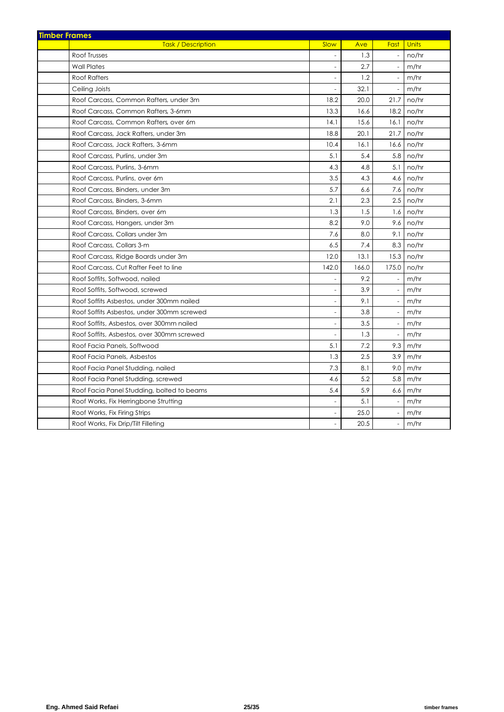| <b>Timber Frames</b>                       |                          |       |                          |              |
|--------------------------------------------|--------------------------|-------|--------------------------|--------------|
| <b>Task / Description</b>                  | Slow                     | Ave   | Fast                     | <b>Units</b> |
| Roof Trusses                               |                          | 1.3   | $\blacksquare$           | no/hr        |
| <b>Wall Plates</b>                         |                          | 2.7   |                          | m/hr         |
| <b>Roof Rafters</b>                        | $\sim$                   | 1.2   | $\blacksquare$           | m/hr         |
| Ceiling Joists                             |                          | 32.1  | $\blacksquare$           | m/hr         |
| Roof Carcass, Common Rafters, under 3m     | 18.2                     | 20.0  | 21.7                     | no/hr        |
| Roof Carcass, Common Rafters, 3-6mm        | 13.3                     | 16.6  | 18.2                     | no/hr        |
| Roof Carcass, Common Rafters, over 6m      | 14.1                     | 15.6  | 16.1                     | no/hr        |
| Roof Carcass, Jack Rafters, under 3m       | 18.8                     | 20.1  | 21.7                     | no/hr        |
| Roof Carcass, Jack Rafters, 3-6mm          | 10.4                     | 16.1  | 16.6                     | no/hr        |
| Roof Carcass, Purlins, under 3m            | 5.1                      | 5.4   | 5.8                      | no/hr        |
| Roof Carcass, Purlins, 3-6mm               | 4.3                      | 4.8   | 5.1                      | no/hr        |
| Roof Carcass, Purlins, over 6m             | 3.5                      | 4.3   | 4.6                      | no/hr        |
| Roof Carcass, Binders, under 3m            | 5.7                      | 6.6   | 7.6                      | no/hr        |
| Roof Carcass, Binders, 3-6mm               | 2.1                      | 2.3   | 2.5                      | no/hr        |
| Roof Carcass, Binders, over 6m             | 1.3                      | 1.5   | 1.6                      | no/hr        |
| Roof Carcass, Hangers, under 3m            | 8.2                      | 9.0   | 9.6                      | no/hr        |
| Roof Carcass, Collars under 3m             | 7.6                      | 8.0   | 9.1                      | no/hr        |
| Roof Carcass, Collars 3-m                  | 6.5                      | 7.4   | 8.3                      | no/hr        |
| Roof Carcass, Ridge Boards under 3m        | 12.0                     | 13.1  | 15.3                     | no/hr        |
| Roof Carcass, Cut Rafter Feet to line      | 142.0                    | 166.0 | 175.0                    | no/hr        |
| Roof Soffits, Softwood, nailed             |                          | 9.2   | $\blacksquare$           | m/hr         |
| Roof Soffits, Softwood, screwed            | $\overline{\phantom{a}}$ | 3.9   | $\overline{\phantom{a}}$ | m/hr         |
| Roof Soffits Asbestos, under 300mm nailed  | $\overline{\phantom{a}}$ | 9.1   | $\blacksquare$           | m/hr         |
| Roof Soffits Asbestos, under 300mm screwed | $\overline{\phantom{a}}$ | 3.8   | $\blacksquare$           | m/hr         |
| Roof Soffits, Asbestos, over 300mm nailed  | ÷,                       | 3.5   | $\overline{\phantom{a}}$ | m/hr         |
| Roof Soffits, Asbestos, over 300mm screwed |                          | 1.3   | $\overline{\phantom{a}}$ | m/hr         |
| Roof Facia Panels, Softwood                | 5.1                      | 7.2   | 9.3                      | m/hr         |
| Roof Facia Panels, Asbestos                | 1.3                      | 2.5   | 3.9                      | m/hr         |
| Roof Facia Panel Studding, nailed          | 7.3                      | 8.1   | 9.0                      | m/hr         |
| Roof Facia Panel Studding, screwed         | 4.6                      | 5.2   | 5.8                      | m/hr         |
| Roof Facia Panel Studding, bolted to beams | 5.4                      | 5.9   | 6.6 <sub>1</sub>         | m/hr         |
| Roof Works, Fix Herringbone Strutting      |                          | 5.1   | $\omega$                 | m/hr         |
| Roof Works, Fix Firing Strips              |                          | 25.0  |                          | m/hr         |
| Roof Works, Fix Drip/Tilt Filleting        |                          | 20.5  |                          | m/hr         |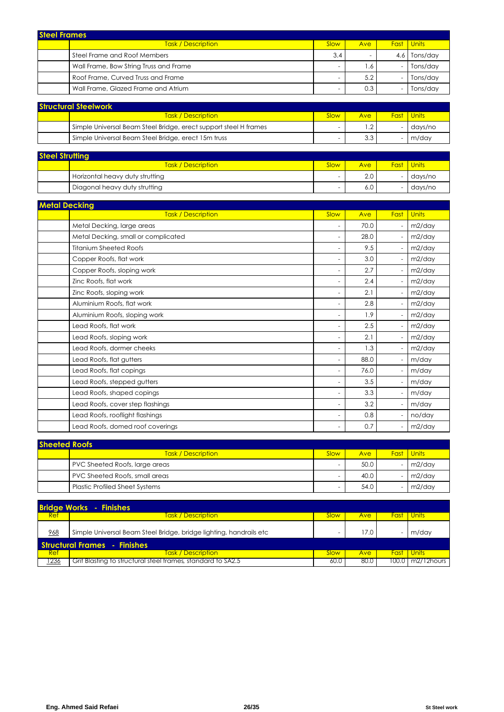| <b>Steel Frames</b> |                                        |      |                          |     |                   |  |
|---------------------|----------------------------------------|------|--------------------------|-----|-------------------|--|
|                     | <b>Task / Description</b>              | Slow | Ave <b>b</b>             |     | <b>Fast</b> Units |  |
|                     | Steel Frame and Roof Members           | 3.4  | $\overline{\phantom{0}}$ | 4.6 | Tons/day          |  |
|                     | Wall Frame, Bow String Truss and Frame |      | . .6                     |     | Tons/day          |  |
|                     | Roof Frame, Curved Truss and Frame     |      | 5.2                      |     | Tons/day          |  |
|                     | Wall Frame, Glazed Frame and Atrium    |      | 0.3                      |     | Tons/day          |  |

| <b>Structural Steelwork</b> |                                                                  |      |            |  |                   |  |
|-----------------------------|------------------------------------------------------------------|------|------------|--|-------------------|--|
|                             | <b>Task / Description</b>                                        | Slow | <b>Ave</b> |  | <b>Fast Units</b> |  |
|                             | Simple Universal Beam Steel Bridge, erect support steel H frames |      | $\cdot$ .2 |  | days/no           |  |
|                             | Simple Universal Beam Steel Bridge, erect 15m truss              | -    | 3.3        |  | m/dav             |  |

| <b>Steel Strutting</b> |                                 |                          |      |  |                   |  |  |
|------------------------|---------------------------------|--------------------------|------|--|-------------------|--|--|
|                        | <b>Task / Description</b>       | Slow                     | Ave: |  | <b>Fast Units</b> |  |  |
|                        | Horizontal heavy duty strutting | -                        | 2.0  |  | days/no           |  |  |
|                        | Diagonal heavy duty strutting   | $\overline{\phantom{0}}$ | 6.0  |  | days/no           |  |  |

| <b>Metal Decking</b>                |                          |      |      |        |
|-------------------------------------|--------------------------|------|------|--------|
| <b>Task / Description</b>           | Slow                     | Ave  | Fast | Units  |
| Metal Decking, large areas          | $\overline{\phantom{a}}$ | 70.0 |      | m2/day |
| Metal Decking, small or complicated | $\overline{\phantom{a}}$ | 28.0 |      | m2/day |
| <b>Titanium Sheeted Roofs</b>       | $\overline{\phantom{a}}$ | 9.5  |      | m2/day |
| Copper Roofs, flat work             | $\overline{\phantom{a}}$ | 3.0  |      | m2/day |
| Copper Roofs, sloping work          | $\overline{\phantom{a}}$ | 2.7  |      | m2/day |
| Zinc Roofs, flat work               | ۰.                       | 2.4  |      | m2/day |
| Zinc Roofs, sloping work            | $\overline{\phantom{a}}$ | 2.1  |      | m2/day |
| Aluminium Roofs, flat work          | $\overline{\phantom{a}}$ | 2.8  |      | m2/day |
| Aluminium Roofs, sloping work       | $\overline{\phantom{a}}$ | 1.9  |      | m2/day |
| Lead Roofs, flat work               | $\overline{\phantom{a}}$ | 2.5  |      | m2/day |
| Lead Roofs, sloping work            | ۰.                       | 2.1  |      | m2/day |
| Lead Roofs, dormer cheeks           | $\overline{a}$           | 1.3  |      | m2/day |
| Lead Roofs, flat gutters            | ۰.                       | 88.0 |      | m/day  |
| Lead Roofs, flat copings            | $\overline{\phantom{a}}$ | 76.0 |      | m/day  |
| Lead Roofs, stepped gutters         | $\overline{\phantom{a}}$ | 3.5  |      | m/day  |
| Lead Roofs, shaped copings          | $\overline{\phantom{a}}$ | 3.3  |      | m/day  |
| Lead Roofs, cover step flashings    | $\overline{\phantom{a}}$ | 3.2  |      | m/day  |
| Lead Roofs, rooflight flashings     | $\sim$                   | 0.8  |      | no/day |
| Lead Roofs, domed roof coverings    |                          | 0.7  |      | m2/day |

| <b>Sheeted Roofs</b> |                                       |                          |      |  |                   |  |  |
|----------------------|---------------------------------------|--------------------------|------|--|-------------------|--|--|
|                      | <b>Task / Description</b>             | Slow                     | Ave  |  | <b>Fast</b> Units |  |  |
|                      | PVC Sheeted Roofs, large areas        | -                        | 50.0 |  | m2/dav            |  |  |
|                      | PVC Sheeted Roofs, small areas        | -                        | 40.0 |  | m2/dav            |  |  |
|                      | <b>Plastic Profiled Sheet Systems</b> | $\overline{\phantom{0}}$ | 54.0 |  | m2/day            |  |  |

|      | <b>Bridge Works - Finishes</b>                                      |             |      |         |                     |  |  |
|------|---------------------------------------------------------------------|-------------|------|---------|---------------------|--|--|
| Ref  | <u>Task / Description </u>                                          | Slow        | Ave  |         | <b>Fast I Units</b> |  |  |
| 968  | Simple Universal Beam Steel Bridge, bridge lighting, handrails etc. |             | 17.0 |         | m/day               |  |  |
|      | <b>Structural Frames</b> - Finishes                                 |             |      |         |                     |  |  |
| Ref  | <u><b>Task / Description</b></u>                                    | <b>Slow</b> | Ave  |         | <b>Fast Units</b>   |  |  |
| 236، | Grit Blasting to structural steel frames, standard to SA2.5         | 60.0        | 80.0 | 100.0 I | m2/12hours          |  |  |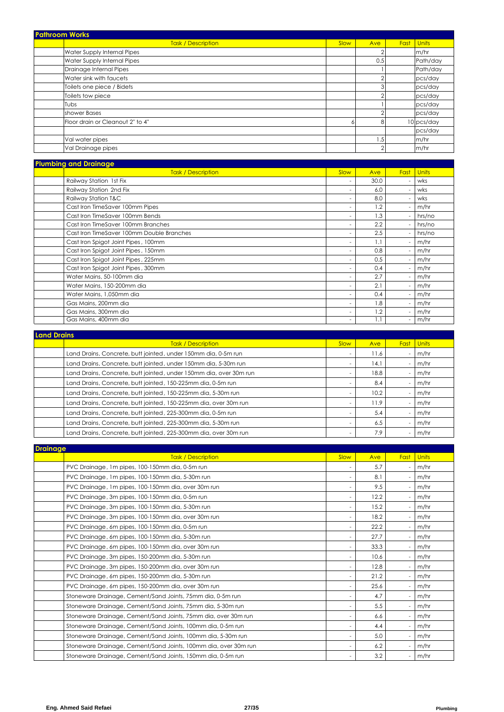| <b>Pathroom Works</b>            |                           |      |              |      |              |
|----------------------------------|---------------------------|------|--------------|------|--------------|
|                                  | <b>Task / Description</b> | Slow | Ave          | Fast | <b>Units</b> |
| Water Supply Internal Pipes      |                           |      | ⌒            |      | m/hr         |
| Water Supply Internal Pipes      |                           |      | 0.5          |      | Path/day     |
| Drainage Internal Pipes          |                           |      |              |      | Path/day     |
| Water sink with faucets          |                           |      | $\sim$       |      | pcs/day      |
| Toilets one piece / Bidets       |                           |      | 3            |      | pcs/day      |
| Toilets tow piece                |                           |      | $\sim$       |      | pcs/day      |
| Tubs                             |                           |      |              |      | pcs/day      |
| shower Bases                     |                           |      | $\sim$       |      | pcs/day      |
| Floor drain or Cleanout 2" to 4" |                           |      | 8            |      | 10 pcs/day   |
|                                  |                           |      |              |      | pcs/day      |
| Val water pipes                  |                           |      | $.5^{\circ}$ |      | m/hr         |
| Val Drainage pipes               |                           |      | $\sim$       |      | m/hr         |

|  | <b>Plumbing and Drainage</b> |      |      |     |     |
|--|------------------------------|------|------|-----|-----|
|  | ask/<br><b>Description</b>   | Slow | Ave. | Ear |     |
|  | Railway Station 1st Fix      |      | 30.0 |     | wks |

| Railway Station 1st Fix                   | ٠                        | 30.0 | wks    |
|-------------------------------------------|--------------------------|------|--------|
| Railway Station 2nd Fix                   | ٠                        | 6.0  | wks    |
| Railway Station T&C                       | $\overline{\phantom{a}}$ | 8.0  | wks    |
| Cast Iron TimeSaver 100mm Pipes           | $\overline{\phantom{0}}$ | 1.2  | m/hr   |
| Cast Iron TimeSaver 100mm Bends           | $\overline{\phantom{0}}$ | 1.3  | hrs/no |
| Cast Iron TimeSaver 100mm Branches        | $\overline{\phantom{0}}$ | 2.2  | hrs/no |
| Cast Iron TimeSaver 100mm Double Branches | ٠                        | 2.5  | hrs/no |
| Cast Iron Spigot Joint Pipes, 100mm       | ٠                        | 1.1  | m/hr   |
| Cast Iron Spigot Joint Pipes, 150mm       | $\overline{\phantom{0}}$ | 0.8  | m/hr   |
| Cast Iron Spigot Joint Pipes, 225mm       | $\overline{\phantom{0}}$ | 0.5  | m/hr   |
| Cast Iron Spigot Joint Pipes, 300mm       | $\overline{\phantom{0}}$ | 0.4  | m/hr   |
| Water Mains, 50-100mm dia                 | ٠                        | 2.7  | m/hr   |
| Water Mains, 150-200mm dia                | $\overline{\phantom{0}}$ | 2.1  | m/hr   |
| Water Mains, 1,050mm dia                  | $\overline{\phantom{0}}$ | 0.4  | m/hr   |
| Gas Mains, 200mm dia                      | ٠                        | 1.8  | m/hr   |
| Gas Mains, 300mm dia                      | $\overline{\phantom{0}}$ | 1.2  | m/hr   |
| Gas Mains, 400mm dia                      | $\overline{\phantom{a}}$ |      | m/hr   |

| <b>Land Drains</b> |                                                                    |                          |      |                          |              |  |
|--------------------|--------------------------------------------------------------------|--------------------------|------|--------------------------|--------------|--|
|                    | <b>Task / Description</b>                                          | Slow                     | Ave  | <b>Fast</b>              | <b>Units</b> |  |
|                    | Land Drains, Concrete, butt jointed, under 150mm dia, 0-5m run     | $\overline{\phantom{a}}$ | 11.6 | $\overline{\phantom{a}}$ | m/hr         |  |
|                    | Land Drains, Concrete, butt jointed, under 150mm dia, 5-30m run    |                          | 14.1 | $\overline{\phantom{a}}$ | m/hr         |  |
|                    | Land Drains, Concrete, butt jointed, under 150mm dia, over 30m run |                          | 18.8 | $\overline{\phantom{a}}$ | m/hr         |  |
|                    | Land Drains, Concrete, butt jointed, 150-225mm dia, 0-5m run       |                          | 8.4  |                          | m/hr         |  |
|                    | Land Drains, Concrete, butt jointed, 150-225mm dia, 5-30m run      | $\overline{\phantom{a}}$ | 10.2 | ٠                        | m/hr         |  |
|                    | Land Drains, Concrete, butt jointed, 150-225mm dia, over 30m run   | $\overline{\phantom{a}}$ | 11.9 |                          | m/hr         |  |
|                    | Land Drains, Concrete, butt jointed, 225-300mm dia, 0-5m run       |                          | 5.4  | ۰                        | m/hr         |  |
|                    | Land Drains, Concrete, butt jointed, 225-300mm dia, 5-30m run      | $\overline{\phantom{a}}$ | 6.5  |                          | m/hr         |  |
|                    | Land Drains, Concrete, butt jointed, 225-300mm dia, over 30m run   | $\overline{\phantom{a}}$ | 7.9  | ٠                        | m/hr         |  |

| <b>Drainage</b>                                                 |                          |      |      |              |
|-----------------------------------------------------------------|--------------------------|------|------|--------------|
| <b>Task / Description</b>                                       | Slow                     | Ave  | Fast | <b>Units</b> |
| PVC Drainage, 1m pipes, 100-150mm dia, 0-5m run                 | $\overline{\phantom{a}}$ | 5.7  |      | m/hr         |
| PVC Drainage, 1m pipes, 100-150mm dia, 5-30m run                | $\overline{a}$           | 8.1  |      | m/hr         |
| PVC Drainage, 1 m pipes, 100-150mm dia, over 30 m run           | ٠                        | 9.5  |      | m/hr         |
| PVC Drainage, 3m pipes, 100-150mm dia, 0-5m run                 | ٠                        | 12.2 |      | m/hr         |
| PVC Drainage, 3m pipes, 100-150mm dia, 5-30m run                | ٠                        | 15.2 |      | m/hr         |
| PVC Drainage, 3m pipes, 100-150mm dia, over 30m run             | ٠                        | 18.2 |      | m/hr         |
| PVC Drainage, 6m pipes, 100-150mm dia, 0-5m run                 | ٠                        | 22.2 |      | m/hr         |
| PVC Drainage, 6m pipes, 100-150mm dia, 5-30m run                | ٠                        | 27.7 |      | m/hr         |
| PVC Drainage, 6m pipes, 100-150mm dia, over 30m run             | ٠                        | 33.3 |      | m/hr         |
| PVC Drainage, 3m pipes, 150-200mm dia, 5-30m run                | ٠                        | 10.6 |      | m/hr         |
| PVC Drainage, 3m pipes, 150-200mm dia, over 30m run             | $\overline{a}$           | 12.8 |      | m/hr         |
| PVC Drainage, 6m pipes, 150-200mm dia, 5-30m run                | ٠                        | 21.2 |      | m/hr         |
| PVC Drainage, 6m pipes, 150-200mm dia, over 30m run             | ٠                        | 25.6 |      | m/hr         |
| Stoneware Drainage, Cement/Sand Joints, 75mm dia, 0-5m run      | ٠                        | 4.7  |      | m/hr         |
| Stoneware Drainage, Cement/Sand Joints, 75mm dia, 5-30m run     | ٠                        | 5.5  |      | m/hr         |
| Stoneware Drainage, Cement/Sand Joints, 75mm dia, over 30m run  | $\overline{\phantom{0}}$ | 6.6  |      | m/hr         |
| Stoneware Drainage, Cement/Sand Joints, 100mm dia, 0-5m run     | ٠                        | 4.4  |      | m/hr         |
| Stoneware Drainage, Cement/Sand Joints, 100mm dia, 5-30m run    | ٠                        | 5.0  |      | m/hr         |
| Stoneware Drainage, Cement/Sand Joints, 100mm dia, over 30m run | ٠                        | 6.2  |      | m/hr         |
| Stoneware Drainage, Cement/Sand Joints, 150mm dia, 0-5m run     | ٠                        | 3.2  |      | m/hr         |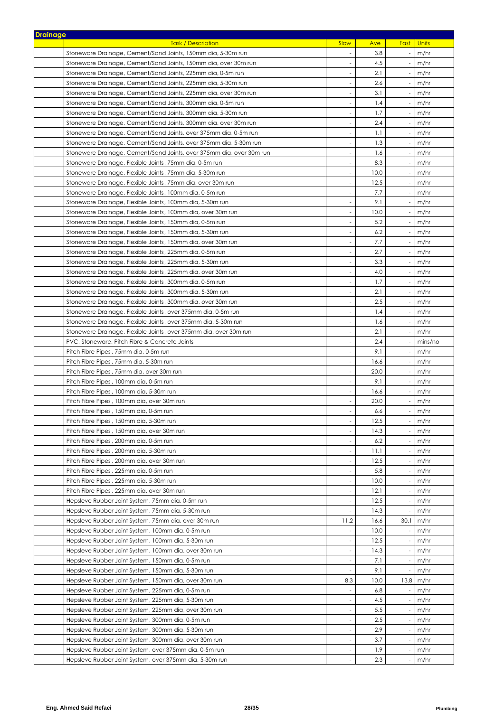| <b>Drainage</b> |                                                                      |                          |      |                          |              |
|-----------------|----------------------------------------------------------------------|--------------------------|------|--------------------------|--------------|
|                 | <b>Task / Description</b>                                            | Slow                     | Ave  | Fast                     | <b>Units</b> |
|                 | Stoneware Drainage, Cement/Sand Joints, 150mm dia, 5-30m run         | $\overline{\phantom{a}}$ | 3.8  | $\overline{\phantom{a}}$ | m/hr         |
|                 | Stoneware Drainage, Cement/Sand Joints, 150mm dia, over 30m run      | $\overline{\phantom{a}}$ | 4.5  | $\overline{\phantom{a}}$ | m/hr         |
|                 | Stoneware Drainage, Cement/Sand Joints, 225mm dia, 0-5m run          | $\overline{\phantom{a}}$ | 2.1  | $\overline{a}$           | m/hr         |
|                 | Stoneware Drainage, Cement/Sand Joints, 225mm dia, 5-30m run         | $\overline{\phantom{a}}$ | 2.6  | $\overline{\phantom{a}}$ | m/hr         |
|                 | Stoneware Drainage, Cement/Sand Joints, 225mm dia, over 30m run      | $\overline{\phantom{a}}$ | 3.1  |                          | m/hr         |
|                 | Stoneware Drainage, Cement/Sand Joints, 300mm dia, 0-5m run          | $\overline{\phantom{a}}$ | 1.4  |                          | m/hr         |
|                 | Stoneware Drainage, Cement/Sand Joints, 300mm dia, 5-30m run         | $\overline{\phantom{a}}$ | 1.7  |                          | m/hr         |
|                 | Stoneware Drainage, Cement/Sand Joints, 300mm dia, over 30m run      | $\overline{a}$           | 2.4  |                          | m/hr         |
|                 | Stoneware Drainage, Cement/Sand Joints, over 375mm dia, 0-5m run     | $\overline{\phantom{a}}$ | 1.1  |                          | m/hr         |
|                 | Stoneware Drainage, Cement/Sand Joints, over 375mm dia, 5-30m run    | $\sim$                   | 1.3  |                          | m/hr         |
|                 | Stoneware Drainage, Cement/Sand Joints, over 375mm dia, over 30m run | $\overline{\phantom{a}}$ | 1.6  |                          | m/hr         |
|                 | Stoneware Drainage, Flexible Joints, 75mm dia, 0-5m run              | $\overline{\phantom{a}}$ | 8.3  |                          | m/hr         |
|                 | Stoneware Drainage, Flexible Joints, 75mm dia, 5-30m run             | $\overline{\phantom{a}}$ | 10.0 |                          | m/hr         |
|                 | Stoneware Drainage, Flexible Joints, 75mm dia, over 30m run          | $\overline{\phantom{a}}$ | 12.5 |                          | m/hr         |
|                 | Stoneware Drainage, Flexible Joints, 100mm dia, 0-5m run             | $\overline{\phantom{a}}$ | 7.7  |                          | m/hr         |
|                 | Stoneware Drainage, Flexible Joints, 100mm dia, 5-30m run            | $\overline{\phantom{a}}$ | 9.1  |                          | m/hr         |
|                 | Stoneware Drainage, Flexible Joints, 100mm dia, over 30m run         | $\overline{\phantom{a}}$ | 10.0 |                          | m/hr         |
|                 | Stoneware Drainage, Flexible Joints, 150mm dia, 0-5m run             |                          | 5.2  |                          | m/hr         |
|                 | Stoneware Drainage, Flexible Joints, 150mm dia, 5-30m run            | $\frac{1}{2}$            | 6.2  |                          | m/hr         |
|                 | Stoneware Drainage, Flexible Joints, 150mm dia, over 30m run         | $\overline{\phantom{a}}$ | 7.7  |                          | m/hr         |
|                 | Stoneware Drainage, Flexible Joints, 225mm dia, 0-5m run             | $\sim$                   | 2.7  |                          | m/hr         |
|                 | Stoneware Drainage, Flexible Joints, 225mm dia, 5-30m run            | $\sim$                   | 3.3  |                          | m/hr         |
|                 | Stoneware Drainage, Flexible Joints, 225mm dia, over 30m run         | $\overline{\phantom{a}}$ | 4.0  |                          | m/hr         |
|                 | Stoneware Drainage, Flexible Joints, 300mm dia, 0-5m run             | $\overline{\phantom{a}}$ | 1.7  |                          | m/hr         |
|                 | Stoneware Drainage, Flexible Joints, 300mm dia, 5-30m run            | $\overline{\phantom{a}}$ | 2.1  |                          | m/hr         |
|                 | Stoneware Drainage, Flexible Joints, 300mm dia, over 30m run         | $\overline{\phantom{a}}$ | 2.5  | $\overline{\phantom{a}}$ | m/hr         |
|                 | Stoneware Drainage, Flexible Joints, over 375mm dia, 0-5m run        | $\overline{\phantom{a}}$ | 1.4  | $\overline{\phantom{a}}$ | m/hr         |
|                 | Stoneware Drainage, Flexible Joints, over 375mm dia, 5-30m run       | $\overline{\phantom{a}}$ | 1.6  | $\overline{a}$           | m/hr         |
|                 | Stoneware Drainage, Flexible Joints, over 375mm dia, over 30m run    | $\overline{\phantom{a}}$ | 2.1  |                          | m/hr         |
|                 | PVC, Stoneware, Pitch Fibre & Concrete Joints                        | $\overline{\phantom{a}}$ | 2.4  |                          | mins/no      |
|                 | Pitch Fibre Pipes, 75mm dia, 0-5m run                                | $\overline{\phantom{a}}$ | 9.1  |                          | m/hr         |
|                 | Pitch Fibre Pipes, 75mm dia, 5-30m run                               | $\overline{\phantom{a}}$ | 16.6 |                          | m/hr         |
|                 | Pitch Fibre Pipes, 75mm dia, over 30m run                            | $\overline{\phantom{a}}$ | 20.0 |                          | m/hr         |
|                 | Pitch Fibre Pipes, 100mm dia, 0-5m run                               |                          | 9.1  |                          | m/hr         |
|                 | Pitch Fibre Pipes, 100mm dia, 5-30m run                              | $\overline{\phantom{a}}$ | 16.6 |                          | m/hr         |
|                 | Pitch Fibre Pipes , 100mm dia, over 30m run                          | $\overline{a}$           | 20.0 |                          | m/hr         |
|                 | Pitch Fibre Pipes, 150mm dia, 0-5m run                               | $\overline{\phantom{a}}$ | 6.6  |                          | m/hr         |
|                 | Pitch Fibre Pipes , 150mm dia, 5-30m run                             |                          | 12.5 |                          | m/hr         |
|                 | Pitch Fibre Pipes , 150mm dia, over 30m run                          | $\overline{\phantom{a}}$ | 14.3 |                          | m/hr         |
|                 | Pitch Fibre Pipes, 200mm dia, 0-5m run                               | $\overline{\phantom{a}}$ | 6.2  |                          | m/hr         |
|                 | Pitch Fibre Pipes, 200mm dia, 5-30m run                              | $\overline{\phantom{a}}$ | 11.1 |                          | m/hr         |
|                 | Pitch Fibre Pipes, 200mm dia, over 30m run                           | $\overline{\phantom{a}}$ | 12.5 |                          | m/hr         |
|                 | Pitch Fibre Pipes, 225mm dia, 0-5m run                               |                          | 5.8  |                          | m/hr         |
|                 | Pitch Fibre Pipes, 225mm dia, 5-30m run                              |                          | 10.0 |                          | m/hr         |
|                 | Pitch Fibre Pipes, 225mm dia, over 30m run                           | $\overline{\phantom{a}}$ | 12.1 |                          | m/hr         |
|                 | Hepsleve Rubber Joint System, 75mm dia, 0-5m run                     | $\overline{\phantom{a}}$ | 12.5 |                          | m/hr         |
|                 | Hepsleve Rubber Joint System, 75mm dia, 5-30m run                    |                          | 14.3 |                          | m/hr         |
|                 | Hepsleve Rubber Joint System, 75mm dia, over 30m run                 | 11.2                     | 16.6 | 30.1                     | m/hr         |
|                 | Hepsleve Rubber Joint System, 100mm dia, 0-5m run                    |                          | 10.0 |                          | m/hr         |
|                 | Hepsleve Rubber Joint System, 100mm dia, 5-30m run                   | $\overline{\phantom{a}}$ | 12.5 |                          | m/hr         |
|                 | Hepsleve Rubber Joint System, 100mm dia, over 30m run                | $\overline{\phantom{a}}$ | 14.3 | $\overline{a}$           | m/hr         |
|                 | Hepsleve Rubber Joint System, 150mm dia, 0-5m run                    | $\overline{\phantom{a}}$ | 7.1  | $\overline{\phantom{a}}$ | m/hr         |
|                 | Hepsleve Rubber Joint System, 150mm dia, 5-30m run                   | $\overline{\phantom{a}}$ | 9.1  |                          | m/hr         |
|                 | Hepsleve Rubber Joint System, 150mm dia, over 30m run                | 8.3                      | 10.0 | 13.8                     | m/hr         |
|                 | Hepsleve Rubber Joint System, 225mm dia, 0-5m run                    | $\overline{\phantom{a}}$ | 6.8  | $\overline{\phantom{a}}$ | m/hr         |
|                 | Hepsleve Rubber Joint System, 225mm dia, 5-30m run                   | $\overline{\phantom{a}}$ | 4.5  |                          | m/hr         |
|                 | Hepsleve Rubber Joint System, 225mm dia, over 30m run                | $\overline{\phantom{a}}$ | 5.5  |                          | m/hr         |
|                 | Hepsleve Rubber Joint System, 300mm dia, 0-5m run                    | $\overline{\phantom{a}}$ | 2.5  |                          | m/hr         |
|                 | Hepsleve Rubber Joint System, 300mm dia, 5-30m run                   | $\overline{\phantom{a}}$ | 2.9  |                          | m/hr         |
|                 | Hepsleve Rubber Joint System, 300mm dia, over 30m run                | $\overline{\phantom{a}}$ | 3.7  |                          | m/hr         |
|                 | Hepsleve Rubber Joint System, over 375mm dia, 0-5m run               | $\overline{\phantom{a}}$ | 1.9  |                          | m/hr         |
|                 | Hepsleve Rubber Joint System, over 375mm dia, 5-30m run              |                          | 2.3  |                          | m/hr         |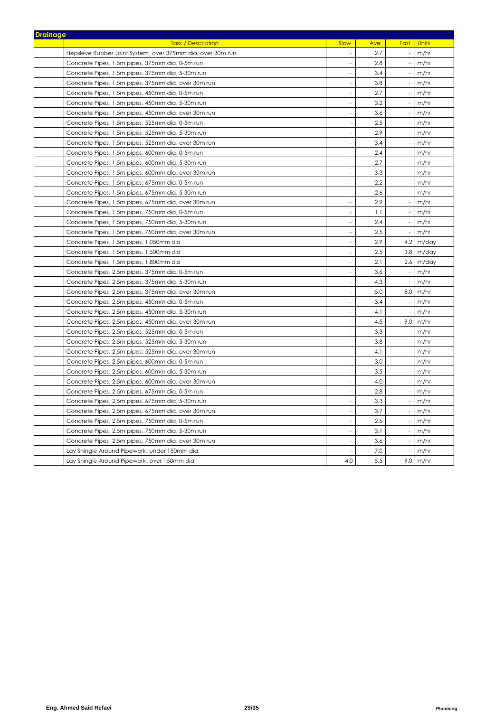| <b>Drainage</b>                                            |                          |            |                          |                  |
|------------------------------------------------------------|--------------------------|------------|--------------------------|------------------|
| <b>Task / Description</b>                                  | <b>Slow</b>              | <b>Ave</b> | <b>Fast</b> Units        |                  |
| Hepsleve Rubber Joint System, over 375mm dia, over 30m run |                          | 2.7        |                          | m/hr             |
| Concrete Pipes, 1.5m pipes, 375mm dia, 0-5m run            | $\sim$                   | 2.8        | $\overline{\phantom{a}}$ | m/hr             |
| Concrete Pipes, 1.5m pipes, 375mm dia, 5-30m run           |                          | 3.4        | $\overline{\phantom{a}}$ | m/hr             |
| Concrete Pipes, 1.5m pipes, 375mm dia, over 30m run        | $\overline{a}$           | 3.8        |                          | m/hr             |
| Concrete Pipes, 1.5m pipes, 450mm dia, 0-5m run            | ÷,                       | 2.7        |                          | m/hr             |
| Concrete Pipes, 1.5m pipes, 450mm dia, 5-30m run           | ÷,                       | 3.2        | $\sim$                   | m/hr             |
| Concrete Pipes, 1.5m pipes, 450mm dia, over 30m run        | $\overline{a}$           | 3.6        | $\overline{\phantom{a}}$ | m/hr             |
| Concrete Pipes, 1.5m pipes, 525mm dia, 0-5m run            | $\overline{a}$           | 2.5        | $\sim$                   | m/hr             |
| Concrete Pipes, 1.5m pipes, 525mm dia, 5-30m run           | $\sim$                   | 2.9        | $\sim$                   | m/hr             |
| Concrete Pipes, 1.5m pipes, 525mm dia, over 30m run        | $\overline{a}$           | 3.4        |                          | m/hr             |
| Concrete Pipes, 1.5m pipes, 600mm dia, 0-5m run            | $\overline{a}$           | 2.4        |                          | m/hr             |
| Concrete Pipes, 1.5m pipes, 600mm dia, 5-30m run           | $\overline{\phantom{a}}$ | 2.7        | $\sim$                   | m/hr             |
| Concrete Pipes, 1.5m pipes, 600mm dia, over 30m run        | $\sim$                   | 3.3        | $\overline{\phantom{a}}$ | m/hr             |
| Concrete Pipes, 1.5m pipes, 675mm dia, 0-5m run            | $\sim$                   | 2.2        |                          | m/hr             |
| Concrete Pipes, 1.5m pipes, 675mm dia, 5-30m run           | $\overline{a}$           | 2.6        | $\sim$                   | m/hr             |
| Concrete Pipes, 1.5m pipes, 675mm dia, over 30m run        | $\overline{\phantom{a}}$ | 2.9        | $\overline{\phantom{a}}$ | m/hr             |
| Concrete Pipes, 1.5m pipes, 750mm dia, 0-5m run            | $\overline{a}$           | 1.1        |                          | m/hr             |
| Concrete Pipes, 1.5m pipes, 750mm dia, 5-30m run           | $\overline{a}$           | 2.4        | $\sim$                   | m/hr             |
| Concrete Pipes, 1.5m pipes, 750mm dia, over 30m run        | $\overline{\phantom{a}}$ | 2.5        | $\sim$                   | m/hr             |
| Concrete Pipes, 1.5m pipes, 1,050mm dia                    |                          | 2.9        |                          | $4.2 \mid m/day$ |
| Concrete Pipes, 1.5m pipes, 1,500mm dia                    | $\sim$                   | 2.5        | 3.8                      | m/day            |
| Concrete Pipes, 1.5m pipes, 1,800mm dia                    | $\overline{a}$           | 2.1        | 2.6                      | m/day            |
| Concrete Pipes, 2.5m pipes, 375mm dia, 0-5m run            | ÷,                       | 3.6        | $\overline{\phantom{a}}$ | m/hr             |
| Concrete Pipes, 2.5m pipes, 375mm dia, 5-30m run           | $\overline{a}$           | 4.3        | $\sim$                   | m/hr             |
| Concrete Pipes, 2.5m pipes, 375mm dia, over 30m run        | $\overline{a}$           | 5.0        | 8.0                      | m/hr             |
| Concrete Pipes, 2.5m pipes, 450mm dia, 0-5m run            | $\sim$                   | 3.4        | $\sim$                   | m/hr             |
| Concrete Pipes, 2.5m pipes, 450mm dia, 5-30m run           | $\overline{a}$           | 4.1        |                          | m/hr             |
| Concrete Pipes, 2.5m pipes, 450mm dia, over 30m run        | $\overline{a}$           | 4.5        | 9.0                      | m/hr             |
| Concrete Pipes, 2.5m pipes, 525mm dia, 0-5m run            | $\sim$                   | 3.3        | $\sim$                   | m/hr             |
| Concrete Pipes, 2.5m pipes, 525mm dia, 5-30m run           | $\sim$                   | 3.8        | $\sim$                   | m/hr             |
| Concrete Pipes, 2.5m pipes, 525mm dia, over 30m run        | $\sim$                   | 4.1        |                          | m/hr             |
| Concrete Pipes, 2.5m pipes, 600mm dia, 0-5m run            | $\overline{a}$           | 3.0        | $\overline{\phantom{a}}$ | m/hr             |
| Concrete Pipes, 2.5m pipes, 600mm dia, 5-30m run           | $\sim$                   | 3.5        | $\sim$                   | m/hr             |
| Concrete Pipes, 2.5m pipes, 600mm dia, over 30m run        | $\overline{a}$           | 4.0        |                          | m/hr             |
| Concrete Pipes, 2.5m pipes, 675mm dia, 0-5m run            | $\overline{a}$           | 2.8        |                          | m/hr             |
| Concrete Pipes, 2.5m pipes, 675mm dia, 5-30m run           | $\overline{a}$           | 3.3        | $\overline{\phantom{a}}$ | m/hr             |
| Concrete Pipes, 2.5m pipes, 675mm dia, over 30m run        | $\sim$                   | 3.7        |                          | m/hr             |
| Concrete Pipes, 2.5m pipes, 750mm dia, 0-5m run            | $\sim$                   | 2.6        | $\sim$                   | m/hr             |
| Concrete Pipes, 2.5m pipes, 750mm dia, 5-30m run           | $\overline{a}$           | 3.1        |                          | m/hr             |
| Concrete Pipes, 2.5m pipes, 750mm dia, over 30m run        | $\frac{1}{2}$            | 3.6        | $\overline{\phantom{a}}$ | m/hr             |
| Lay Shingle Around Pipework, under 150mm dia               |                          | 7.0        |                          | m/hr             |
| Lay Shingle Around Pipework, over 150mm dia                | 4.0                      | 5.5        | 9.0                      | m/hr             |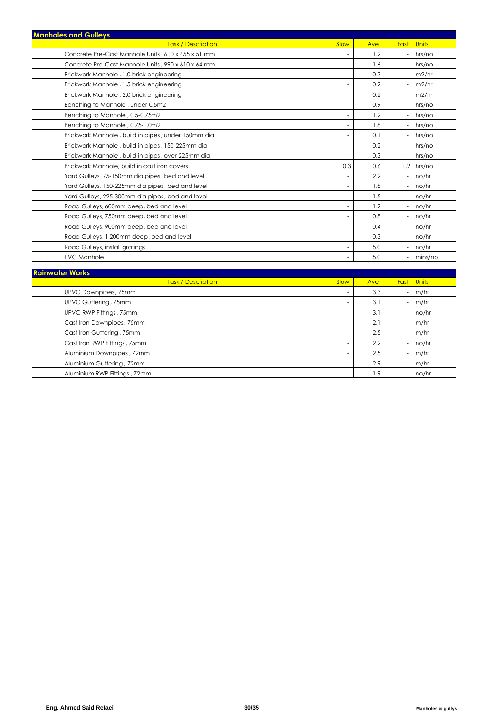| <b>Manholes and Gulleys</b>                        |                          |      |                          |              |
|----------------------------------------------------|--------------------------|------|--------------------------|--------------|
| <b>Task / Description</b>                          | Slow                     | Ave  | Fast                     | <b>Units</b> |
| Concrete Pre-Cast Manhole Units, 610 x 455 x 51 mm |                          | 1.2  |                          | hrs/no       |
| Concrete Pre-Cast Manhole Units, 990 x 610 x 64 mm |                          | 1.6  |                          | hrs/no       |
| Brickwork Manhole, 1.0 brick engineering           | $\overline{\phantom{a}}$ | 0.3  |                          | m2/hr        |
| Brickwork Manhole, 1.5 brick engineering           |                          | 0.2  |                          | m2/hr        |
| Brickwork Manhole, 2.0 brick engineering           |                          | 0.2  |                          | m2/hr        |
| Benching to Manhole, under 0.5m2                   |                          | 0.9  |                          | hrs/no       |
| Benching to Manhole, 0.5-0.75m2                    |                          | 1.2  |                          | hrs/no       |
| Benching to Manhole, 0.75-1.0m2                    | $\overline{\phantom{a}}$ | 1.8  |                          | hrs/no       |
| Brickwork Manhole, build in pipes, under 150mm dia |                          | 0.1  |                          | hrs/no       |
| Brickwork Manhole, build in pipes, 150-225mm dia   | $\sim$                   | 0.2  | $\overline{\phantom{0}}$ | hrs/no       |
| Brickwork Manhole, build in pipes, over 225mm dia  |                          | 0.3  |                          | hrs/no       |
| Brickwork Manhole, build in cast iron covers       | 0.3                      | 0.6  |                          | $1.2$ hrs/no |
| Yard Gulleys, 75-150mm dia pipes, bed and level    |                          | 2.2  |                          | no/hr        |
| Yard Gulleys, 150-225mm dia pipes, bed and level   |                          | 1.8  |                          | no/hr        |
| Yard Gulleys, 225-300mm dia pipes, bed and level   |                          | 1.5  | ٠                        | no/hr        |
| Road Gulleys, 600mm deep, bed and level            |                          | 1.2  |                          | no/hr        |
| Road Gulleys, 750mm deep, bed and level            | $\sim$                   | 0.8  |                          | no/hr        |
| Road Gulleys, 900mm deep, bed and level            |                          | 0.4  |                          | no/hr        |
| Road Gulleys, 1,200mm deep, bed and level          |                          | 0.3  |                          | no/hr        |
| Road Gulleys, install gratings                     |                          | 5.0  |                          | no/hr        |
| PVC Manhole                                        |                          | 15.0 |                          | mins/no      |

| <b>Rainwater Works</b>       |      |     |      |              |  |  |  |
|------------------------------|------|-----|------|--------------|--|--|--|
| <b>Task / Description</b>    | Slow | Ave | Fast | <b>Units</b> |  |  |  |
| UPVC Downpipes, 75mm         |      | 3.3 | ٠    | m/hr         |  |  |  |
| UPVC Guttering, 75mm         |      | 3.1 |      | m/hr         |  |  |  |
| UPVC RWP Fittings, 75mm      |      | 3.1 |      | no/hr        |  |  |  |
| Cast Iron Downpipes, 75mm    |      | 2.1 |      | m/hr         |  |  |  |
| Cast Iron Guttering, 75mm    |      | 2.5 |      | m/hr         |  |  |  |
| Cast Iron RWP Fittings, 75mm |      | 2.2 |      | no/hr        |  |  |  |
| Aluminium Downpipes, 72mm    |      | 2.5 |      | m/hr         |  |  |  |
| Aluminium Guttering, 72mm    |      | 2.9 |      | m/hr         |  |  |  |
| Aluminium RWP Fittings, 72mm |      | 1.9 |      | no/hr        |  |  |  |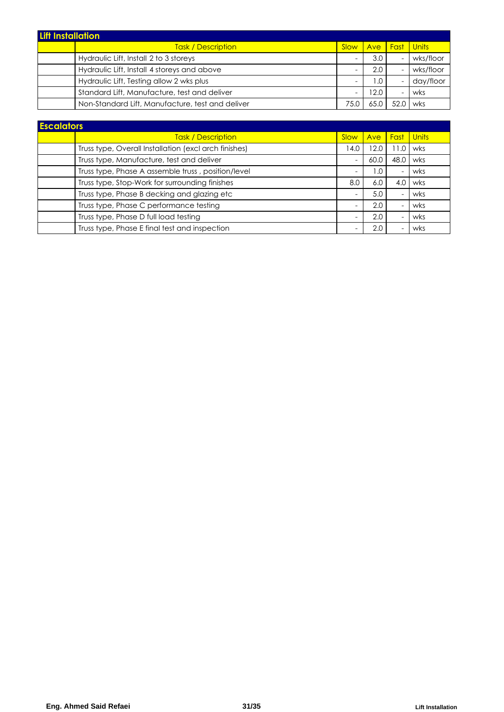| <b>Lift Installation</b> |                                                  |      |      |                              |           |
|--------------------------|--------------------------------------------------|------|------|------------------------------|-----------|
|                          | <b>Task / Description</b>                        | Slow |      | <u>  Ave   Fast   Units </u> |           |
|                          | Hydraulic Lift, Install 2 to 3 storeys           |      | 3.0  |                              | wks/floor |
|                          | Hydraulic Lift, Install 4 storeys and above      |      | 2.0  |                              | wks/floor |
|                          | Hydraulic Lift, Testing allow 2 wks plus         |      | 1.0  |                              | day/floor |
|                          | Standard Lift, Manufacture, test and deliver     |      | 12.0 |                              | wks       |
|                          | Non-Standard Lift, Manufacture, test and deliver | 75.0 |      |                              | wks       |

| <b>Task / Description</b>                             | Slow | Ave  | Fast | <b>Units</b> |
|-------------------------------------------------------|------|------|------|--------------|
| Truss type, Overall Installation (excl arch finishes) | 14.0 | 12.0 | 1.C  | wks          |
| Truss type, Manufacture, test and deliver             | ٠    | 60.0 | 48.C | wks          |
| Truss type, Phase A assemble truss, position/level    | ٠    | l .O | ۰    | wks          |
| Truss type, Stop-Work for surrounding finishes        | 8.0  | 6.0  | 4.0  | wks          |
| Truss type, Phase B decking and glazing etc           | -    | 5.0  |      | wks          |
| Truss type, Phase C performance testing               | ٠    | 2.0  |      | wks          |
| Truss type, Phase D full load testing                 | ٠    | 2.0  |      | wks          |
| Truss type, Phase E final test and inspection         | -    | 2.0  |      | wks          |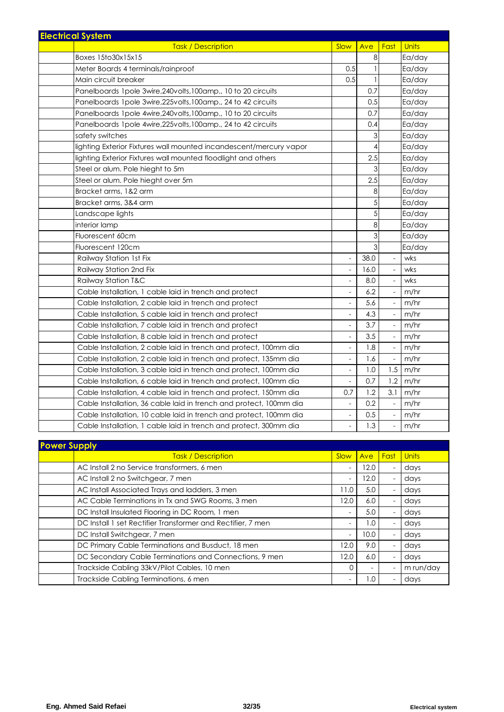| <b>Electrical System</b>                                           |                          |      |                          |              |
|--------------------------------------------------------------------|--------------------------|------|--------------------------|--------------|
| <b>Task / Description</b>                                          | Slow                     | Ave  | Fast                     | <b>Units</b> |
| Boxes 15to30x15x15                                                 |                          | 8    |                          | Ea/day       |
| Meter Boards 4 terminals/rainproof                                 | 0.5                      | 1    |                          | Ea/day       |
| Main circuit breaker                                               | 0.5                      | 1    |                          | Ea/day       |
| Panelboards 1 pole 3 wire, 240 volts, 100 amp., 10 to 20 circuits  |                          | 0.7  |                          | Ea/day       |
| Panelboards 1 pole 3wire,225volts,100 amp., 24 to 42 circuits      |                          | 0.5  |                          | Ea/day       |
| Panelboards 1 pole 4 wire, 240 volts, 100 amp., 10 to 20 circuits  |                          | 0.7  |                          | Ea/day       |
| Panelboards 1 pole 4 wire, 225 volts, 100 amp., 24 to 42 circuits  |                          | 0.4  |                          | Ea/day       |
| safety switches                                                    |                          | 3    |                          | Ea/day       |
| lighting Exterior Fixtures wall mounted incandescent/mercury vapor |                          | 4    |                          | Ea/day       |
| lighting Exterior Fixtures wall mounted floodlight and others      |                          | 2.5  |                          | Ea/day       |
| Steel or alum. Pole hieght to 5m                                   |                          | 3    |                          | Ea/day       |
| Steel or alum. Pole hieght over 5m                                 |                          | 2.5  |                          | Ea/day       |
| Bracket arms, 1&2 arm                                              |                          | 8    |                          | Ea/day       |
| Bracket arms, 3&4 arm                                              |                          | 5    |                          | Ea/day       |
| Landscape lights                                                   |                          | 5    |                          | Ea/day       |
| interior lamp                                                      |                          | 8    |                          | Ea/day       |
| Fluorescent 60cm                                                   |                          | 3    |                          | Ea/day       |
| Fluorescent 120cm                                                  |                          | 3    |                          | Ea/day       |
| Railway Station 1st Fix                                            | $\overline{\phantom{a}}$ | 38.0 | $\sim$                   | wks          |
| Railway Station 2nd Fix                                            |                          | 16.0 |                          | wks          |
| Railway Station T&C                                                | $\overline{\phantom{a}}$ | 8.0  | $\overline{\phantom{a}}$ | wks          |
| Cable Installation, 1 cable laid in trench and protect             | $\blacksquare$           | 6.2  | $\overline{\phantom{a}}$ | m/hr         |
| Cable Installation, 2 cable laid in trench and protect             | $\overline{\phantom{a}}$ | 5.6  | $\overline{\phantom{a}}$ | m/hr         |
| Cable Installation, 5 cable laid in trench and protect             | $\overline{\phantom{a}}$ | 4.3  | $\overline{\phantom{a}}$ | m/hr         |
| Cable Installation, 7 cable laid in trench and protect             | $\sim$                   | 3.7  | $\overline{\phantom{a}}$ | m/hr         |
| Cable Installation, 8 cable laid in trench and protect             | $\overline{\phantom{a}}$ | 3.5  | $\overline{\phantom{a}}$ | m/hr         |
| Cable Installation, 2 cable laid in trench and protect, 100mm dia  | ÷                        | 1.8  | $\overline{\phantom{a}}$ | m/hr         |
| Cable Installation, 2 cable laid in trench and protect, 135mm dia  | $\overline{\phantom{a}}$ | 1.6  | $\overline{\phantom{a}}$ | m/hr         |
| Cable Installation, 3 cable laid in trench and protect, 100mm dia  | $\overline{a}$           | 1.0  | 1.5                      | m/hr         |
| Cable Installation, 6 cable laid in trench and protect, 100mm dia  | $\overline{\phantom{a}}$ | 0.7  | 1.2                      | m/hr         |
| Cable Installation, 4 cable laid in trench and protect, 150mm dia  | 0.7                      | 1.2  | 3.1                      | m/hr         |
| Cable Installation, 36 cable laid in trench and protect, 100mm dia |                          | 0.2  |                          | m/hr         |
| Cable Installation, 10 cable laid in trench and protect, 100mm dia | $\overline{\phantom{a}}$ | 0.5  |                          | m/hr         |
| Cable Installation, 1 cable laid in trench and protect, 300mm dia  |                          | 1.3  |                          | m/hr         |

| <b>Prower Supply</b> |                                                             |                          |            |                          |              |
|----------------------|-------------------------------------------------------------|--------------------------|------------|--------------------------|--------------|
|                      | <b>Task / Description</b>                                   | Slow                     | <b>Ave</b> | Fast                     | <b>Units</b> |
|                      | AC Install 2 no Service transformers, 6 men                 | $\overline{\phantom{a}}$ | 12.0       | ٠                        | days         |
|                      | AC Install 2 no Switchgear, 7 men                           | $\overline{\phantom{a}}$ | 12.0       | ٠                        | days         |
|                      | AC Install Associated Trays and ladders, 3 men              | 11.0                     | 5.0        | $\overline{\phantom{a}}$ | days         |
|                      | AC Cable Terminations in Tx and SWG Rooms, 3 men            | 12.0                     | 6.0        | $\overline{\phantom{a}}$ | days         |
|                      | DC Install Insulated Flooring in DC Room, 1 men             | $\overline{\phantom{a}}$ | 5.0        | ٠                        | days         |
|                      | DC Install 1 set Rectifier Transformer and Rectifier, 7 men | $\overline{\phantom{a}}$ | 1.0        | ٠                        | days         |
|                      | DC Install Switchgear, 7 men                                | $\overline{\phantom{a}}$ | 10.0       | $\overline{\phantom{a}}$ | days         |
|                      | DC Primary Cable Terminations and Busduct, 18 men           | 12.0                     | 9.0        | ٠                        | days         |
|                      | DC Secondary Cable Terminations and Connections, 9 men      | 12.0                     | 6.0        | $\overline{\phantom{a}}$ | days         |
|                      | Trackside Cabling 33kV/Pilot Cables, 10 men                 |                          |            |                          | m run/day    |
|                      | Trackside Cabling Terminations, 6 men                       | $\overline{\phantom{a}}$ | 1.0        | ٠                        | days         |

**Power Supply**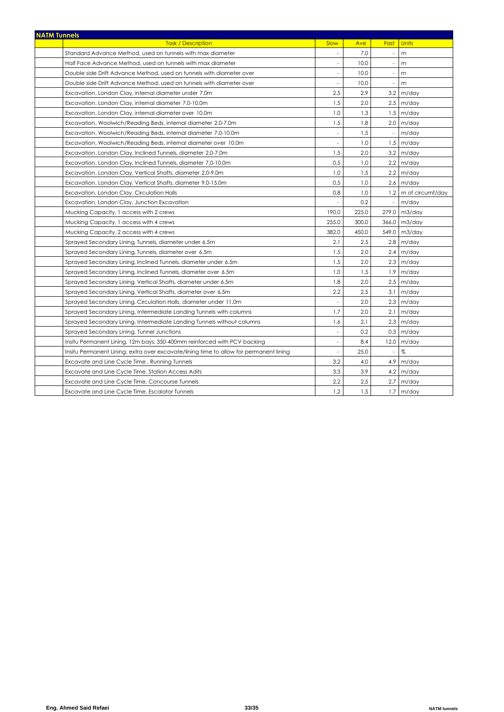| <b>NATM Tunnels</b>                                                                    |                          |       |                          |                       |  |  |
|----------------------------------------------------------------------------------------|--------------------------|-------|--------------------------|-----------------------|--|--|
| <b>Task / Description</b>                                                              | Slow                     | Ave   | Fast                     | <b>Units</b>          |  |  |
| Standard Advance Method, used on tunnels with max diameter                             | $\overline{\phantom{a}}$ | 7.0   | $\overline{\phantom{a}}$ | m                     |  |  |
| Half Face Advance Method, used on tunnels with max diameter                            |                          | 10.0  |                          | m                     |  |  |
| Double side Drift Advance Method, used on tunnels with diameter over                   |                          | 10.0  |                          | m                     |  |  |
| Double side Drift Advance Method, used on tunnels with diameter over                   |                          | 10.0  |                          | m                     |  |  |
| Excavation, London Clay, internal diameter under 7.0m                                  | 2.5                      | 2.9   | 3.2                      | m/day                 |  |  |
| Excavation, London Clay, internal diameter 7.0-10.0m                                   | 1.5                      | 2.0   |                          | $2.5$ m/day           |  |  |
| Excavation, London Clay, internal diameter over 10.0m                                  | 1.0                      | 1.3   |                          | $1.5 \mid m/day$      |  |  |
| Excavation, Woolwich/Reading Beds, internal diameter 2.0-7.0m                          | 1.5                      | 1.8   |                          | $2.0 \, \text{m/day}$ |  |  |
| Excavation, Woolwich/Reading Beds, internal diameter 7.0-10.0m                         | $\overline{\phantom{a}}$ | 1.5   | $\overline{\phantom{a}}$ | m/day                 |  |  |
| Excavation, Woolwich/Reading Beds, internal diameter over 10.0m                        | $\overline{\phantom{a}}$ | 1.0   |                          | $1.5 \mid m/day$      |  |  |
| Excavation, London Clay, Inclined Tunnels, diameter 2.0-7.0m                           | 1.5                      | 2.0   |                          | $3.2 \mid m/day$      |  |  |
| Excavation, London Clay, Inclined Tunnels, diameter 7.0-10.0m                          | 0.5                      | 1.0   |                          | $2.2 \mid m/day$      |  |  |
| Excavation, London Clay, Vertical Shafts, diameter 2.0-9.0m                            | 1.0                      | 1.5   | 2.2                      | m/day                 |  |  |
| Excavation, London Clay, Vertical Shafts, diameter 9.0-15.0m                           | 0.5                      | 1.0   |                          | $2.6$ m/day           |  |  |
| Excavation, London Clay, Circulation Halls                                             | 0.8                      | 1.0   |                          | 1.2 m of circumf/day  |  |  |
| Excavation, London Clay, Junction Excavation                                           |                          | 0.2   | $\overline{\phantom{a}}$ | m/day                 |  |  |
| Mucking Capacity, 1 access with 2 crews                                                | 190.0                    | 225.0 | 279.0                    | m3/day                |  |  |
| Mucking Capacity, 1 access with 4 crews                                                | 255.0                    | 300.0 | 366.0                    | m3/day                |  |  |
| Mucking Capacity, 2 access with 4 crews                                                | 382.0                    | 450.0 | 549.0                    | m3/day                |  |  |
| Sprayed Secondary Lining, Tunnels, diameter under 6.5m                                 | 2.1                      | 2.5   |                          | $2.8 \, \text{m/day}$ |  |  |
| Sprayed Secondary Lining, Tunnels, diameter over 6.5m                                  | 1.5                      | 2.0   | 2.4                      | m/day                 |  |  |
| Sprayed Secondary Lining, Inclined Tunnels, diameter under 6.5m                        | 1.5                      | 2.0   |                          | $2.3 \, m/day$        |  |  |
| Sprayed Secondary Lining, Inclined Tunnels, diameter over 6.5m                         | 1.0                      | 1.5   | 1.9                      | m/day                 |  |  |
| Sprayed Secondary Lining, Vertical Shafts, diameter under 6.5m                         | 1.8                      | 2.0   |                          | $2.5$ m/day           |  |  |
| Sprayed Secondary Lining, Vertical Shafts, diameter over 6.5m                          | 2.2                      | 2.5   | 3.1                      | m/day                 |  |  |
| Sprayed Secondary Lining, Circulation Halls, diameter under 11.0m                      |                          | 2.0   |                          | $2.3 \, m/day$        |  |  |
| Sprayed Secondary Lining, Intermediate Landing Tunnels with columns                    | 1.7                      | 2.0   | 2.1                      | m/day                 |  |  |
| Sprayed Secondary Lining, Intermediate Landing Tunnels without columns                 | 1.6                      | 2.1   | 2.3                      | m/day                 |  |  |
| Sprayed Secondary Lining, Tunnel Junctions                                             | $\overline{a}$           | 0.2   | 0.3                      | m/day                 |  |  |
| Insitu Permanent Lining, 12m bays, 350-400mm reinforced with PCV backing               | $\overline{\phantom{a}}$ | 8.4   | 12.0                     | m/day                 |  |  |
| Insitu Permanent Lining, extra over excavate/lining time to allow for permanent lining | $\sim$                   | 25.0  | $\overline{\phantom{a}}$ | $\%$                  |  |  |
| Excavate and Line Cycle Time, Running Tunnels                                          | 3.2                      | 4.0   | 4.9                      | m/day                 |  |  |
| Excavate and Line Cycle Time, Station Access Adits                                     | 3.3                      | 3.9   | 4.2                      | m/day                 |  |  |
| Excavate and Line Cycle Time, Concourse Tunnels                                        | 2.2                      | 2.5   | 2.7                      | m/day                 |  |  |
| Excavate and Line Cycle Time, Escalator Tunnels                                        | 1.2                      | 1.5   | 1.7                      | m/day                 |  |  |
|                                                                                        |                          |       |                          |                       |  |  |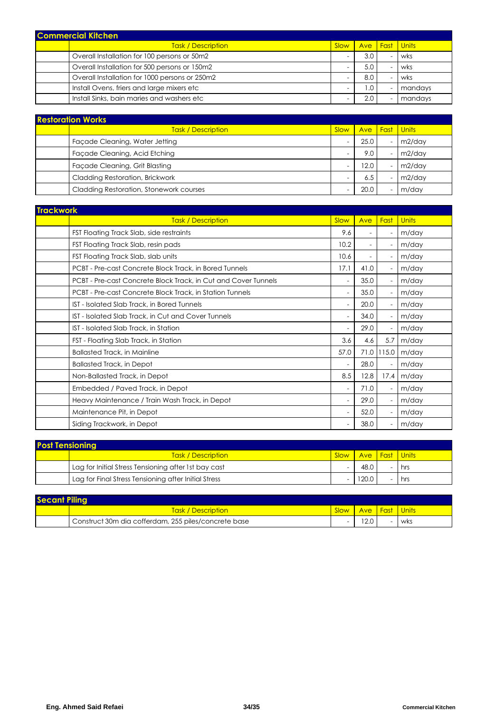| <b>Commercial Kitchen</b> |                                                |             |     |                           |         |
|---------------------------|------------------------------------------------|-------------|-----|---------------------------|---------|
|                           | <b>Task / Description</b>                      | <b>Slow</b> |     | <b>Ave   Fast   Units</b> |         |
|                           | Overall Installation for 100 persons or 50m2   |             | 3.0 |                           | wks     |
|                           | Overall Installation for 500 persons or 150m2  |             | 5.0 |                           | wks     |
|                           | Overall Installation for 1000 persons or 250m2 |             | 8.0 |                           | wks     |
|                           | Install Ovens, friers and large mixers etc     |             | . 0 |                           | mandays |
|                           | Install Sinks, bain maries and washers etc     |             | 2.0 |                           | mandays |

| <b>Restoration Works</b> |                                         |      |      |             |                 |
|--------------------------|-----------------------------------------|------|------|-------------|-----------------|
|                          | <b>Task / Description</b>               | Slow | Ave  | <b>Fast</b> | <u>II Units</u> |
|                          | Facade Cleaning, Water Jetting          |      | 25.0 |             | m2/day          |
|                          | Facade Cleaning, Acid Etching           |      | 9.0  |             | m2/day          |
|                          | Facade Cleaning, Grit Blasting          |      | 12.0 |             | m2/day          |
|                          | Cladding Restoration, Brickwork         |      | 6.5  |             | m2/day          |
|                          | Cladding Restoration, Stonework courses |      | 20.0 |             | m/day           |

| <b>Trackwork</b>                                               |                          |                          |       |       |
|----------------------------------------------------------------|--------------------------|--------------------------|-------|-------|
| <b>Task / Description</b>                                      | Slow                     | Ave                      | Fast  | Units |
| FST Floating Track Slab, side restraints                       | 9.6                      | $\overline{\phantom{a}}$ |       | m/day |
| FST Floating Track Slab, resin pads                            | 10.2                     | $\overline{\phantom{a}}$ |       | m/day |
| FST Floating Track Slab, slab units                            | 10.6                     | $\overline{\phantom{a}}$ |       | m/day |
| PCBT - Pre-cast Concrete Block Track, in Bored Tunnels         | 17.1                     | 41.0                     |       | m/day |
| PCBT - Pre-cast Concrete Block Track, in Cut and Cover Tunnels | $\overline{\phantom{a}}$ | 35.0                     |       | m/day |
| PCBT - Pre-cast Concrete Block Track, in Station Tunnels       | $\overline{a}$           | 35.0                     |       | m/day |
| IST - Isolated Slab Track, in Bored Tunnels                    | $\overline{\phantom{a}}$ | 20.0                     |       | m/day |
| IST - Isolated Slab Track, in Cut and Cover Tunnels            |                          | 34.0                     |       | m/day |
| IST - Isolated Slab Track, in Station                          | $\overline{\phantom{a}}$ | 29.0                     |       | m/day |
| FST - Floating Slab Track, in Station                          | 3.6                      | 4.6                      | 5.7   | m/day |
| <b>Ballasted Track, in Mainline</b>                            | 57.0                     | 71.0                     | 115.0 | m/day |
| <b>Ballasted Track, in Depot</b>                               | $\overline{\phantom{a}}$ | 28.0                     |       | m/day |
| Non-Ballasted Track, in Depot                                  | 8.5                      | 12.8                     | 17.4  | m/day |
| Embedded / Paved Track, in Depot                               | $\overline{\phantom{a}}$ | 71.0                     |       | m/day |
| Heavy Maintenance / Train Wash Track, in Depot                 | $\overline{\phantom{a}}$ | 29.0                     |       | m/day |
| Maintenance Pit, in Depot                                      |                          | 52.0                     |       | m/day |
| Siding Trackwork, in Depot                                     |                          | 38.0                     |       | m/day |

| <b>Post Tensioning</b> |                                                      |        |                                     |     |
|------------------------|------------------------------------------------------|--------|-------------------------------------|-----|
|                        | <b>Task / Description</b>                            | Slow I | <mark>l Ave l Fast I Units I</mark> |     |
|                        | Lag for Initial Stress Tensioning after 1st bay cast |        | 48.0                                | hrs |
|                        | Lag for Final Stress Tensioning after Initial Stress |        | 120.0                               | hrs |

| <b>Secant Piling</b> |                                                      |      |                       |  |     |
|----------------------|------------------------------------------------------|------|-----------------------|--|-----|
|                      | <b>Task / Description</b>                            | Slow | <b>Ave Fast Units</b> |  |     |
|                      | Construct 30m dia cofferdam, 255 piles/concrete base |      | 12.0                  |  | wks |